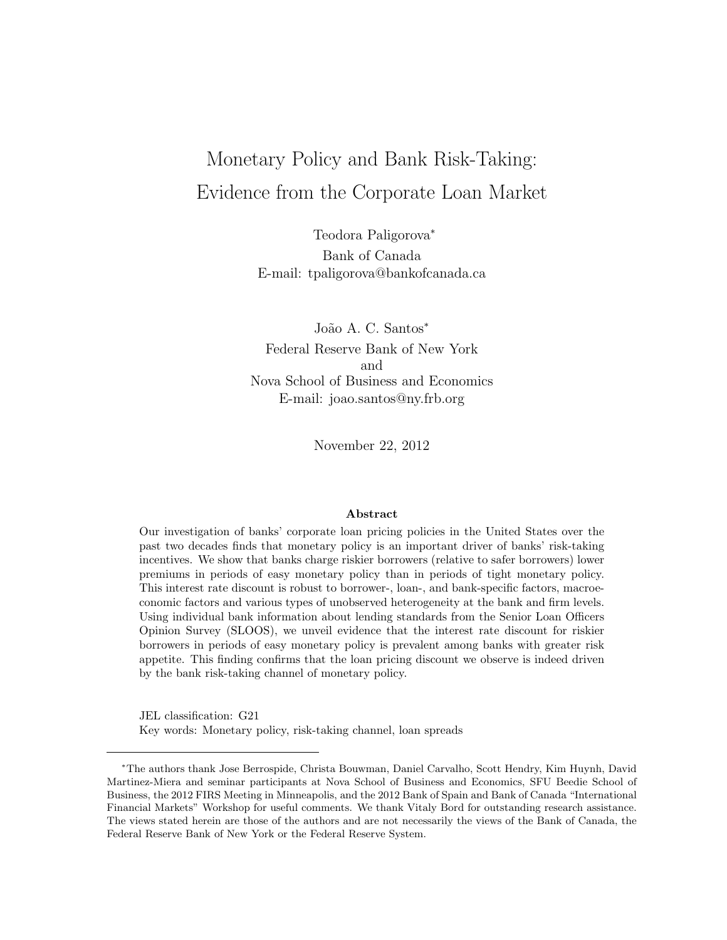# Monetary Policy and Bank Risk-Taking: Evidence from the Corporate Loan Market

Teodora Paligorova*<sup>∗</sup>* Bank of Canada E-mail: tpaligorova@bankofcanada.ca

Jo˜ao A. C. Santos*<sup>∗</sup>* Federal Reserve Bank of New York and Nova School of Business and Economics E-mail: joao.santos@ny.frb.org

November 22, 2012

#### **Abstract**

Our investigation of banks' corporate loan pricing policies in the United States over the past two decades finds that monetary policy is an important driver of banks' risk-taking incentives. We show that banks charge riskier borrowers (relative to safer borrowers) lower premiums in periods of easy monetary policy than in periods of tight monetary policy. This interest rate discount is robust to borrower-, loan-, and bank-specific factors, macroeconomic factors and various types of unobserved heterogeneity at the bank and firm levels. Using individual bank information about lending standards from the Senior Loan Officers Opinion Survey (SLOOS), we unveil evidence that the interest rate discount for riskier borrowers in periods of easy monetary policy is prevalent among banks with greater risk appetite. This finding confirms that the loan pricing discount we observe is indeed driven by the bank risk-taking channel of monetary policy.

JEL classification: G21 Key words: Monetary policy, risk-taking channel, loan spreads

*<sup>∗</sup>*The authors thank Jose Berrospide, Christa Bouwman, Daniel Carvalho, Scott Hendry, Kim Huynh, David Martinez-Miera and seminar participants at Nova School of Business and Economics, SFU Beedie School of Business, the 2012 FIRS Meeting in Minneapolis, and the 2012 Bank of Spain and Bank of Canada "International Financial Markets" Workshop for useful comments. We thank Vitaly Bord for outstanding research assistance. The views stated herein are those of the authors and are not necessarily the views of the Bank of Canada, the Federal Reserve Bank of New York or the Federal Reserve System.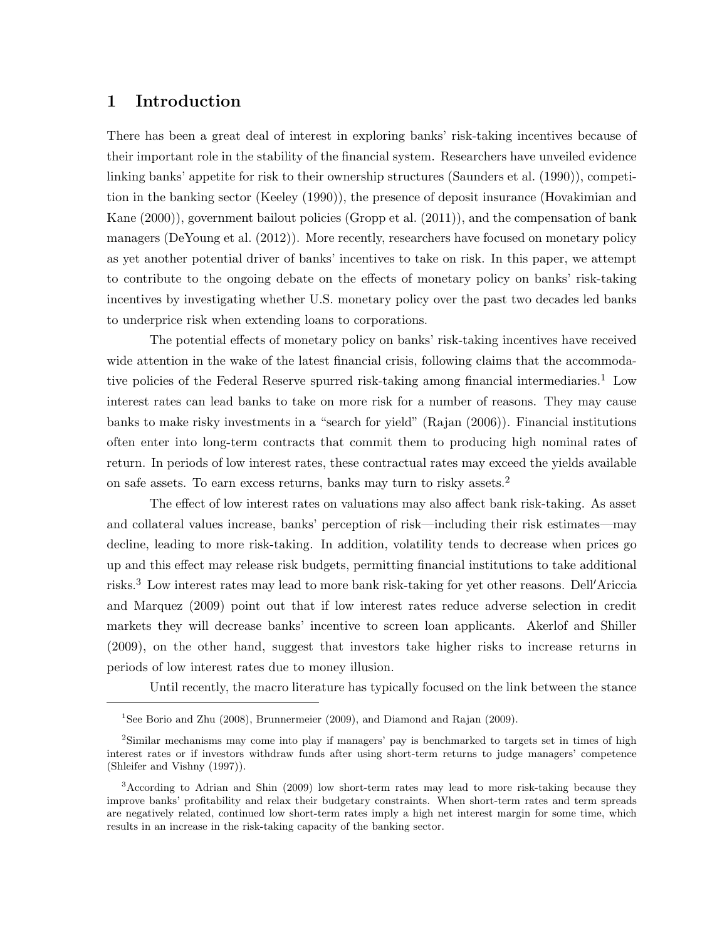# **1 Introduction**

There has been a great deal of interest in exploring banks' risk-taking incentives because of their important role in the stability of the financial system. Researchers have unveiled evidence linking banks' appetite for risk to their ownership structures (Saunders et al. (1990)), competition in the banking sector (Keeley (1990)), the presence of deposit insurance (Hovakimian and Kane (2000)), government bailout policies (Gropp et al. (2011)), and the compensation of bank managers (DeYoung et al. (2012)). More recently, researchers have focused on monetary policy as yet another potential driver of banks' incentives to take on risk. In this paper, we attempt to contribute to the ongoing debate on the effects of monetary policy on banks' risk-taking incentives by investigating whether U.S. monetary policy over the past two decades led banks to underprice risk when extending loans to corporations.

The potential effects of monetary policy on banks' risk-taking incentives have received wide attention in the wake of the latest financial crisis, following claims that the accommodative policies of the Federal Reserve spurred risk-taking among financial intermediaries.<sup>1</sup> Low interest rates can lead banks to take on more risk for a number of reasons. They may cause banks to make risky investments in a "search for yield" (Rajan (2006)). Financial institutions often enter into long-term contracts that commit them to producing high nominal rates of return. In periods of low interest rates, these contractual rates may exceed the yields available on safe assets. To earn excess returns, banks may turn to risky assets.<sup>2</sup>

The effect of low interest rates on valuations may also affect bank risk-taking. As asset and collateral values increase, banks' perception of risk—including their risk estimates—may decline, leading to more risk-taking. In addition, volatility tends to decrease when prices go up and this effect may release risk budgets, permitting financial institutions to take additional risks.<sup>3</sup> Low interest rates may lead to more bank risk-taking for yet other reasons. Dell*′*Ariccia and Marquez (2009) point out that if low interest rates reduce adverse selection in credit markets they will decrease banks' incentive to screen loan applicants. Akerlof and Shiller (2009), on the other hand, suggest that investors take higher risks to increase returns in periods of low interest rates due to money illusion.

Until recently, the macro literature has typically focused on the link between the stance

<sup>&</sup>lt;sup>1</sup>See Borio and Zhu (2008), Brunnermeier (2009), and Diamond and Rajan (2009).

<sup>2</sup>Similar mechanisms may come into play if managers' pay is benchmarked to targets set in times of high interest rates or if investors withdraw funds after using short-term returns to judge managers' competence (Shleifer and Vishny (1997)).

<sup>3</sup>According to Adrian and Shin (2009) low short-term rates may lead to more risk-taking because they improve banks' profitability and relax their budgetary constraints. When short-term rates and term spreads are negatively related, continued low short-term rates imply a high net interest margin for some time, which results in an increase in the risk-taking capacity of the banking sector.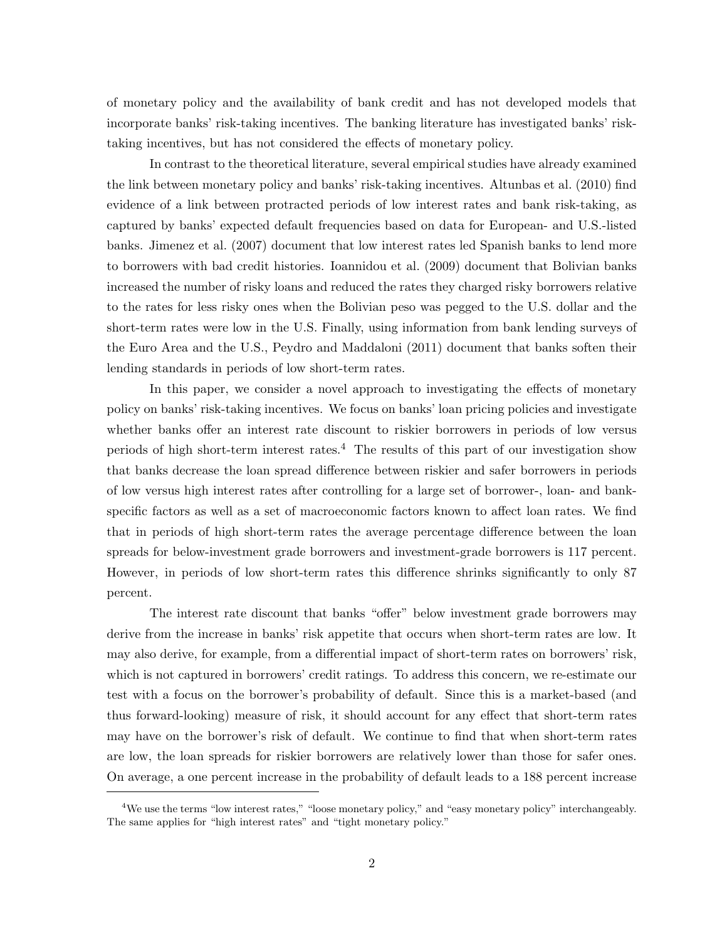of monetary policy and the availability of bank credit and has not developed models that incorporate banks' risk-taking incentives. The banking literature has investigated banks' risktaking incentives, but has not considered the effects of monetary policy.

In contrast to the theoretical literature, several empirical studies have already examined the link between monetary policy and banks' risk-taking incentives. Altunbas et al. (2010) find evidence of a link between protracted periods of low interest rates and bank risk-taking, as captured by banks' expected default frequencies based on data for European- and U.S.-listed banks. Jimenez et al. (2007) document that low interest rates led Spanish banks to lend more to borrowers with bad credit histories. Ioannidou et al. (2009) document that Bolivian banks increased the number of risky loans and reduced the rates they charged risky borrowers relative to the rates for less risky ones when the Bolivian peso was pegged to the U.S. dollar and the short-term rates were low in the U.S. Finally, using information from bank lending surveys of the Euro Area and the U.S., Peydro and Maddaloni (2011) document that banks soften their lending standards in periods of low short-term rates.

In this paper, we consider a novel approach to investigating the effects of monetary policy on banks' risk-taking incentives. We focus on banks' loan pricing policies and investigate whether banks offer an interest rate discount to riskier borrowers in periods of low versus periods of high short-term interest rates.<sup>4</sup> The results of this part of our investigation show that banks decrease the loan spread difference between riskier and safer borrowers in periods of low versus high interest rates after controlling for a large set of borrower-, loan- and bankspecific factors as well as a set of macroeconomic factors known to affect loan rates. We find that in periods of high short-term rates the average percentage difference between the loan spreads for below-investment grade borrowers and investment-grade borrowers is 117 percent. However, in periods of low short-term rates this difference shrinks significantly to only 87 percent.

The interest rate discount that banks "offer" below investment grade borrowers may derive from the increase in banks' risk appetite that occurs when short-term rates are low. It may also derive, for example, from a differential impact of short-term rates on borrowers' risk, which is not captured in borrowers' credit ratings. To address this concern, we re-estimate our test with a focus on the borrower's probability of default. Since this is a market-based (and thus forward-looking) measure of risk, it should account for any effect that short-term rates may have on the borrower's risk of default. We continue to find that when short-term rates are low, the loan spreads for riskier borrowers are relatively lower than those for safer ones. On average, a one percent increase in the probability of default leads to a 188 percent increase

<sup>4</sup>We use the terms "low interest rates," "loose monetary policy," and "easy monetary policy" interchangeably. The same applies for "high interest rates" and "tight monetary policy."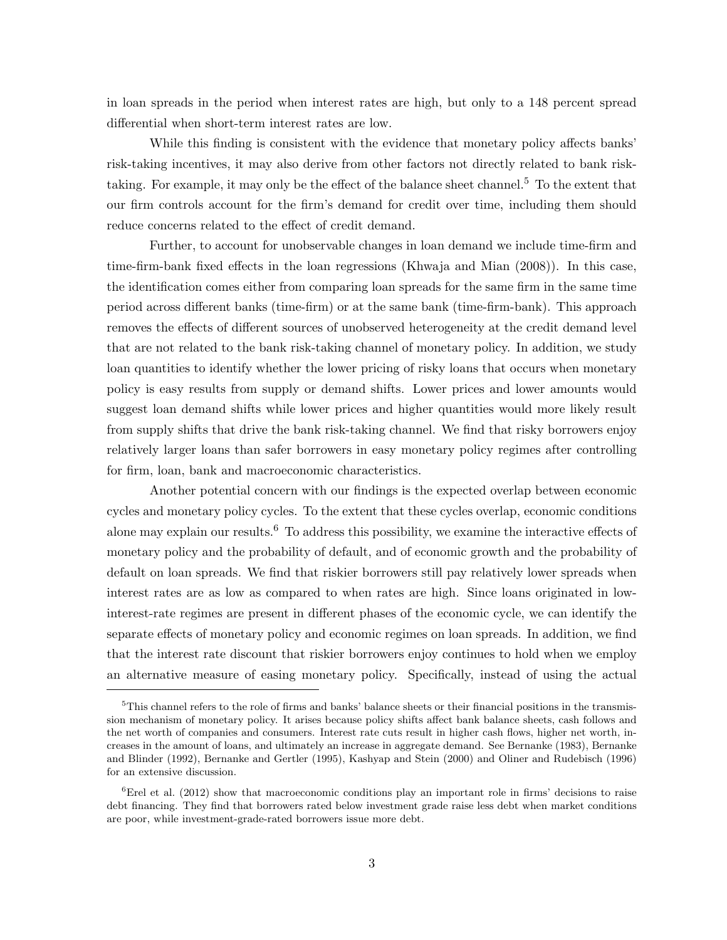in loan spreads in the period when interest rates are high, but only to a 148 percent spread differential when short-term interest rates are low.

While this finding is consistent with the evidence that monetary policy affects banks' risk-taking incentives, it may also derive from other factors not directly related to bank risktaking. For example, it may only be the effect of the balance sheet channel.<sup>5</sup> To the extent that our firm controls account for the firm's demand for credit over time, including them should reduce concerns related to the effect of credit demand.

Further, to account for unobservable changes in loan demand we include time-firm and time-firm-bank fixed effects in the loan regressions (Khwaja and Mian (2008)). In this case, the identification comes either from comparing loan spreads for the same firm in the same time period across different banks (time-firm) or at the same bank (time-firm-bank). This approach removes the effects of different sources of unobserved heterogeneity at the credit demand level that are not related to the bank risk-taking channel of monetary policy. In addition, we study loan quantities to identify whether the lower pricing of risky loans that occurs when monetary policy is easy results from supply or demand shifts. Lower prices and lower amounts would suggest loan demand shifts while lower prices and higher quantities would more likely result from supply shifts that drive the bank risk-taking channel. We find that risky borrowers enjoy relatively larger loans than safer borrowers in easy monetary policy regimes after controlling for firm, loan, bank and macroeconomic characteristics.

Another potential concern with our findings is the expected overlap between economic cycles and monetary policy cycles. To the extent that these cycles overlap, economic conditions alone may explain our results.<sup>6</sup> To address this possibility, we examine the interactive effects of monetary policy and the probability of default, and of economic growth and the probability of default on loan spreads. We find that riskier borrowers still pay relatively lower spreads when interest rates are as low as compared to when rates are high. Since loans originated in lowinterest-rate regimes are present in different phases of the economic cycle, we can identify the separate effects of monetary policy and economic regimes on loan spreads. In addition, we find that the interest rate discount that riskier borrowers enjoy continues to hold when we employ an alternative measure of easing monetary policy. Specifically, instead of using the actual

<sup>&</sup>lt;sup>5</sup>This channel refers to the role of firms and banks' balance sheets or their financial positions in the transmission mechanism of monetary policy. It arises because policy shifts affect bank balance sheets, cash follows and the net worth of companies and consumers. Interest rate cuts result in higher cash flows, higher net worth, increases in the amount of loans, and ultimately an increase in aggregate demand. See Bernanke (1983), Bernanke and Blinder (1992), Bernanke and Gertler (1995), Kashyap and Stein (2000) and Oliner and Rudebisch (1996) for an extensive discussion.

 ${}^{6}$ Erel et al. (2012) show that macroeconomic conditions play an important role in firms' decisions to raise debt financing. They find that borrowers rated below investment grade raise less debt when market conditions are poor, while investment-grade-rated borrowers issue more debt.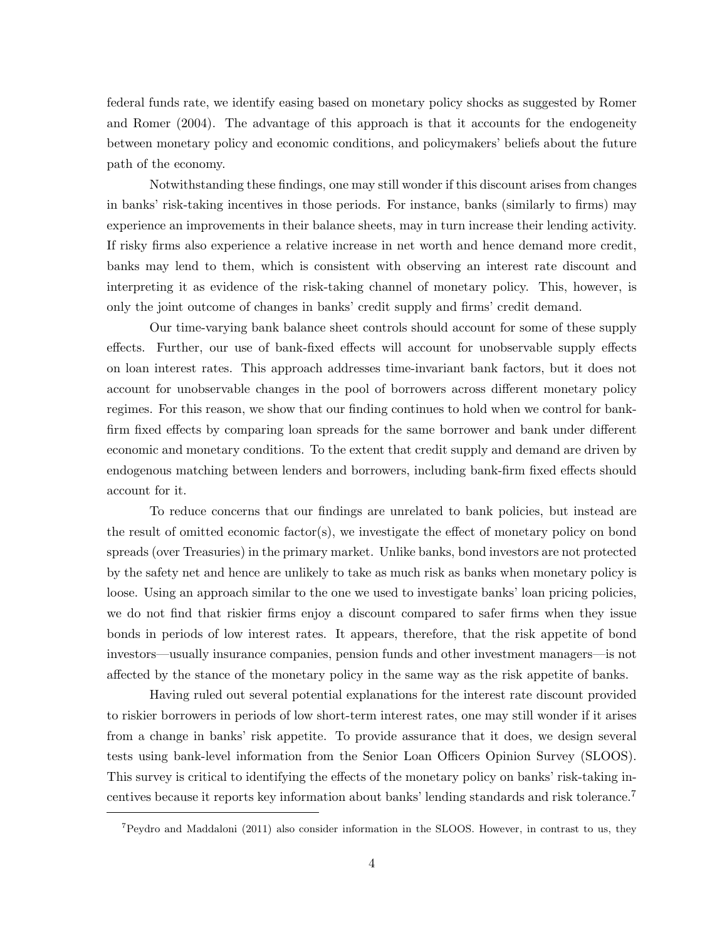federal funds rate, we identify easing based on monetary policy shocks as suggested by Romer and Romer (2004). The advantage of this approach is that it accounts for the endogeneity between monetary policy and economic conditions, and policymakers' beliefs about the future path of the economy.

Notwithstanding these findings, one may still wonder if this discount arises from changes in banks' risk-taking incentives in those periods. For instance, banks (similarly to firms) may experience an improvements in their balance sheets, may in turn increase their lending activity. If risky firms also experience a relative increase in net worth and hence demand more credit, banks may lend to them, which is consistent with observing an interest rate discount and interpreting it as evidence of the risk-taking channel of monetary policy. This, however, is only the joint outcome of changes in banks' credit supply and firms' credit demand.

Our time-varying bank balance sheet controls should account for some of these supply effects. Further, our use of bank-fixed effects will account for unobservable supply effects on loan interest rates. This approach addresses time-invariant bank factors, but it does not account for unobservable changes in the pool of borrowers across different monetary policy regimes. For this reason, we show that our finding continues to hold when we control for bankfirm fixed effects by comparing loan spreads for the same borrower and bank under different economic and monetary conditions. To the extent that credit supply and demand are driven by endogenous matching between lenders and borrowers, including bank-firm fixed effects should account for it.

To reduce concerns that our findings are unrelated to bank policies, but instead are the result of omitted economic factor(s), we investigate the effect of monetary policy on bond spreads (over Treasuries) in the primary market. Unlike banks, bond investors are not protected by the safety net and hence are unlikely to take as much risk as banks when monetary policy is loose. Using an approach similar to the one we used to investigate banks' loan pricing policies, we do not find that riskier firms enjoy a discount compared to safer firms when they issue bonds in periods of low interest rates. It appears, therefore, that the risk appetite of bond investors—usually insurance companies, pension funds and other investment managers—is not affected by the stance of the monetary policy in the same way as the risk appetite of banks.

Having ruled out several potential explanations for the interest rate discount provided to riskier borrowers in periods of low short-term interest rates, one may still wonder if it arises from a change in banks' risk appetite. To provide assurance that it does, we design several tests using bank-level information from the Senior Loan Officers Opinion Survey (SLOOS). This survey is critical to identifying the effects of the monetary policy on banks' risk-taking incentives because it reports key information about banks' lending standards and risk tolerance.<sup>7</sup>

<sup>7</sup>Peydro and Maddaloni (2011) also consider information in the SLOOS. However, in contrast to us, they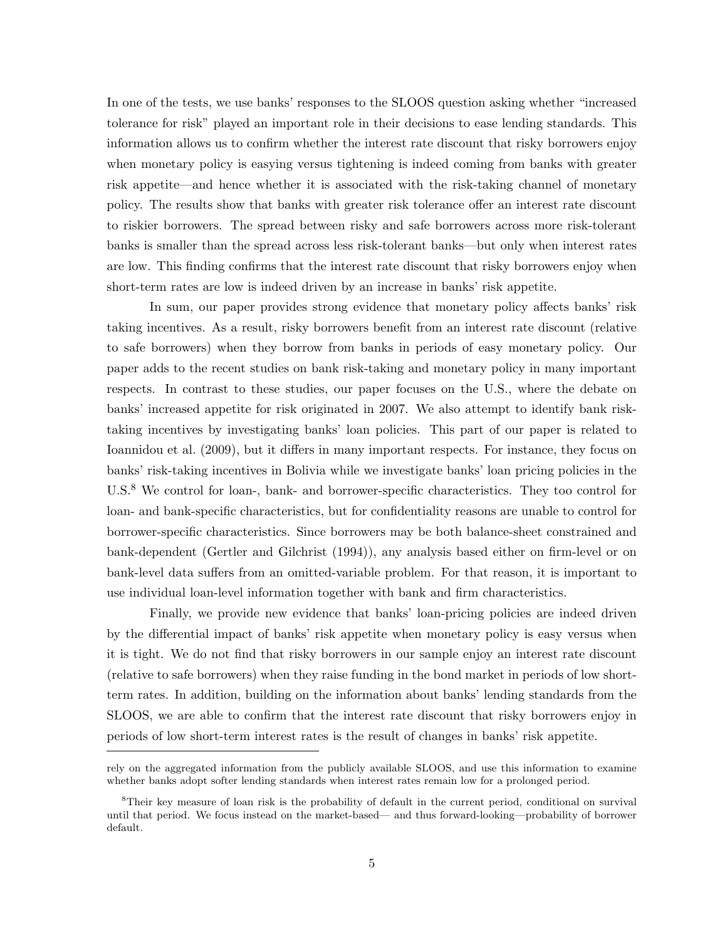In one of the tests, we use banks' responses to the SLOOS question asking whether "increased tolerance for risk" played an important role in their decisions to ease lending standards. This information allows us to confirm whether the interest rate discount that risky borrowers enjoy when monetary policy is easying versus tightening is indeed coming from banks with greater risk appetite—and hence whether it is associated with the risk-taking channel of monetary policy. The results show that banks with greater risk tolerance offer an interest rate discount to riskier borrowers. The spread between risky and safe borrowers across more risk-tolerant banks is smaller than the spread across less risk-tolerant banks—but only when interest rates are low. This finding confirms that the interest rate discount that risky borrowers enjoy when short-term rates are low is indeed driven by an increase in banks' risk appetite.

In sum, our paper provides strong evidence that monetary policy affects banks' risk taking incentives. As a result, risky borrowers benefit from an interest rate discount (relative to safe borrowers) when they borrow from banks in periods of easy monetary policy. Our paper adds to the recent studies on bank risk-taking and monetary policy in many important respects. In contrast to these studies, our paper focuses on the U.S., where the debate on banks' increased appetite for risk originated in 2007. We also attempt to identify bank risktaking incentives by investigating banks' loan policies. This part of our paper is related to Ioannidou et al. (2009), but it differs in many important respects. For instance, they focus on banks' risk-taking incentives in Bolivia while we investigate banks' loan pricing policies in the U.S.<sup>8</sup> We control for loan-, bank- and borrower-specific characteristics. They too control for loan- and bank-specific characteristics, but for confidentiality reasons are unable to control for borrower-specific characteristics. Since borrowers may be both balance-sheet constrained and bank-dependent (Gertler and Gilchrist (1994)), any analysis based either on firm-level or on bank-level data suffers from an omitted-variable problem. For that reason, it is important to use individual loan-level information together with bank and firm characteristics.

Finally, we provide new evidence that banks' loan-pricing policies are indeed driven by the differential impact of banks' risk appetite when monetary policy is easy versus when it is tight. We do not find that risky borrowers in our sample enjoy an interest rate discount (relative to safe borrowers) when they raise funding in the bond market in periods of low shortterm rates. In addition, building on the information about banks' lending standards from the SLOOS, we are able to confirm that the interest rate discount that risky borrowers enjoy in periods of low short-term interest rates is the result of changes in banks' risk appetite.

rely on the aggregated information from the publicly available SLOOS, and use this information to examine whether banks adopt softer lending standards when interest rates remain low for a prolonged period.

<sup>&</sup>lt;sup>8</sup>Their key measure of loan risk is the probability of default in the current period, conditional on survival until that period. We focus instead on the market-based— and thus forward-looking—probability of borrower default.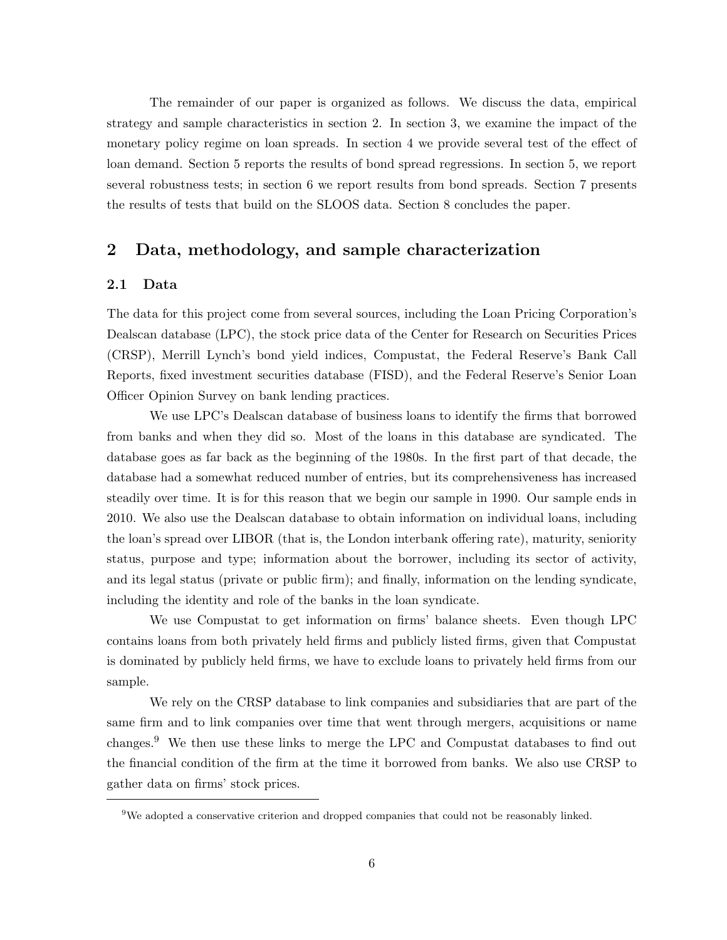The remainder of our paper is organized as follows. We discuss the data, empirical strategy and sample characteristics in section 2. In section 3, we examine the impact of the monetary policy regime on loan spreads. In section 4 we provide several test of the effect of loan demand. Section 5 reports the results of bond spread regressions. In section 5, we report several robustness tests; in section 6 we report results from bond spreads. Section 7 presents the results of tests that build on the SLOOS data. Section 8 concludes the paper.

# **2 Data, methodology, and sample characterization**

#### **2.1 Data**

The data for this project come from several sources, including the Loan Pricing Corporation's Dealscan database (LPC), the stock price data of the Center for Research on Securities Prices (CRSP), Merrill Lynch's bond yield indices, Compustat, the Federal Reserve's Bank Call Reports, fixed investment securities database (FISD), and the Federal Reserve's Senior Loan Officer Opinion Survey on bank lending practices.

We use LPC's Dealscan database of business loans to identify the firms that borrowed from banks and when they did so. Most of the loans in this database are syndicated. The database goes as far back as the beginning of the 1980s. In the first part of that decade, the database had a somewhat reduced number of entries, but its comprehensiveness has increased steadily over time. It is for this reason that we begin our sample in 1990. Our sample ends in 2010. We also use the Dealscan database to obtain information on individual loans, including the loan's spread over LIBOR (that is, the London interbank offering rate), maturity, seniority status, purpose and type; information about the borrower, including its sector of activity, and its legal status (private or public firm); and finally, information on the lending syndicate, including the identity and role of the banks in the loan syndicate.

We use Compustat to get information on firms' balance sheets. Even though LPC contains loans from both privately held firms and publicly listed firms, given that Compustat is dominated by publicly held firms, we have to exclude loans to privately held firms from our sample.

We rely on the CRSP database to link companies and subsidiaries that are part of the same firm and to link companies over time that went through mergers, acquisitions or name changes.<sup>9</sup> We then use these links to merge the LPC and Compustat databases to find out the financial condition of the firm at the time it borrowed from banks. We also use CRSP to gather data on firms' stock prices.

<sup>9</sup>We adopted a conservative criterion and dropped companies that could not be reasonably linked.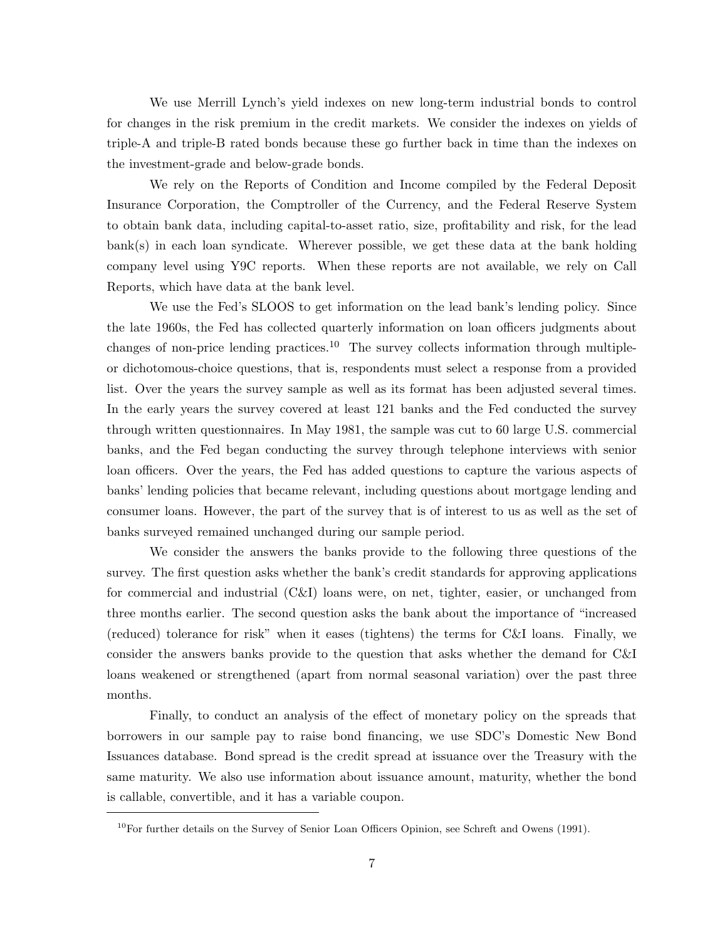We use Merrill Lynch's yield indexes on new long-term industrial bonds to control for changes in the risk premium in the credit markets. We consider the indexes on yields of triple-A and triple-B rated bonds because these go further back in time than the indexes on the investment-grade and below-grade bonds.

We rely on the Reports of Condition and Income compiled by the Federal Deposit Insurance Corporation, the Comptroller of the Currency, and the Federal Reserve System to obtain bank data, including capital-to-asset ratio, size, profitability and risk, for the lead bank(s) in each loan syndicate. Wherever possible, we get these data at the bank holding company level using Y9C reports. When these reports are not available, we rely on Call Reports, which have data at the bank level.

We use the Fed's SLOOS to get information on the lead bank's lending policy. Since the late 1960s, the Fed has collected quarterly information on loan officers judgments about changes of non-price lending practices.<sup>10</sup> The survey collects information through multipleor dichotomous-choice questions, that is, respondents must select a response from a provided list. Over the years the survey sample as well as its format has been adjusted several times. In the early years the survey covered at least 121 banks and the Fed conducted the survey through written questionnaires. In May 1981, the sample was cut to 60 large U.S. commercial banks, and the Fed began conducting the survey through telephone interviews with senior loan officers. Over the years, the Fed has added questions to capture the various aspects of banks' lending policies that became relevant, including questions about mortgage lending and consumer loans. However, the part of the survey that is of interest to us as well as the set of banks surveyed remained unchanged during our sample period.

We consider the answers the banks provide to the following three questions of the survey. The first question asks whether the bank's credit standards for approving applications for commercial and industrial (C&I) loans were, on net, tighter, easier, or unchanged from three months earlier. The second question asks the bank about the importance of "increased (reduced) tolerance for risk" when it eases (tightens) the terms for C&I loans. Finally, we consider the answers banks provide to the question that asks whether the demand for C&I loans weakened or strengthened (apart from normal seasonal variation) over the past three months.

Finally, to conduct an analysis of the effect of monetary policy on the spreads that borrowers in our sample pay to raise bond financing, we use SDC's Domestic New Bond Issuances database. Bond spread is the credit spread at issuance over the Treasury with the same maturity. We also use information about issuance amount, maturity, whether the bond is callable, convertible, and it has a variable coupon.

<sup>&</sup>lt;sup>10</sup>For further details on the Survey of Senior Loan Officers Opinion, see Schreft and Owens (1991).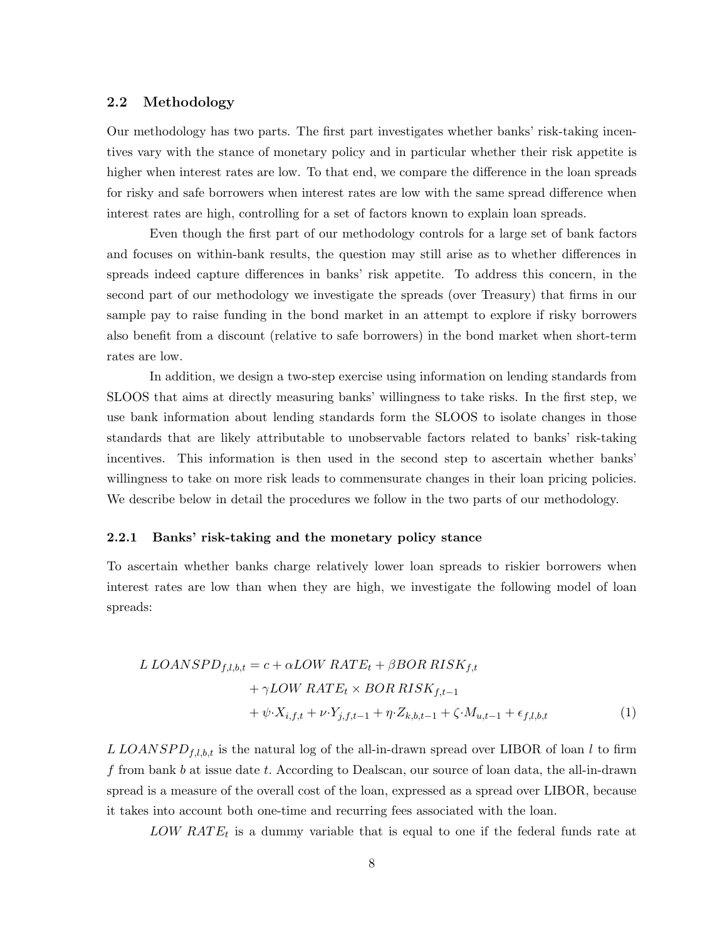#### **2.2 Methodology**

Our methodology has two parts. The first part investigates whether banks' risk-taking incentives vary with the stance of monetary policy and in particular whether their risk appetite is higher when interest rates are low. To that end, we compare the difference in the loan spreads for risky and safe borrowers when interest rates are low with the same spread difference when interest rates are high, controlling for a set of factors known to explain loan spreads.

Even though the first part of our methodology controls for a large set of bank factors and focuses on within-bank results, the question may still arise as to whether differences in spreads indeed capture differences in banks' risk appetite. To address this concern, in the second part of our methodology we investigate the spreads (over Treasury) that firms in our sample pay to raise funding in the bond market in an attempt to explore if risky borrowers also benefit from a discount (relative to safe borrowers) in the bond market when short-term rates are low.

In addition, we design a two-step exercise using information on lending standards from SLOOS that aims at directly measuring banks' willingness to take risks. In the first step, we use bank information about lending standards form the SLOOS to isolate changes in those standards that are likely attributable to unobservable factors related to banks' risk-taking incentives. This information is then used in the second step to ascertain whether banks' willingness to take on more risk leads to commensurate changes in their loan pricing policies. We describe below in detail the procedures we follow in the two parts of our methodology.

#### **2.2.1 Banks' risk-taking and the monetary policy stance**

To ascertain whether banks charge relatively lower loan spreads to riskier borrowers when interest rates are low than when they are high, we investigate the following model of loan spreads:

$$
L\text{LOANSPD}_{f,l,b,t} = c + \alpha \text{LOW RATE}_{t} + \beta \text{BOR RISK}_{f,t} + \gamma \text{LOW RATE}_{t} \times \text{BOR RISK}_{f,t-1} + \psi \cdot X_{i,f,t} + \nu \cdot Y_{j,f,t-1} + \eta \cdot Z_{k,b,t-1} + \zeta \cdot M_{u,t-1} + \epsilon_{f,l,b,t}
$$
(1)

*L LOANSPD*<sub>*f,l,b,t*</sub> is the natural log of the all-in-drawn spread over LIBOR of loan *l* to firm *f* from bank *b* at issue date *t.* According to Dealscan, our source of loan data, the all-in-drawn spread is a measure of the overall cost of the loan, expressed as a spread over LIBOR, because it takes into account both one-time and recurring fees associated with the loan.

LOW RAT  $E_t$  is a dummy variable that is equal to one if the federal funds rate at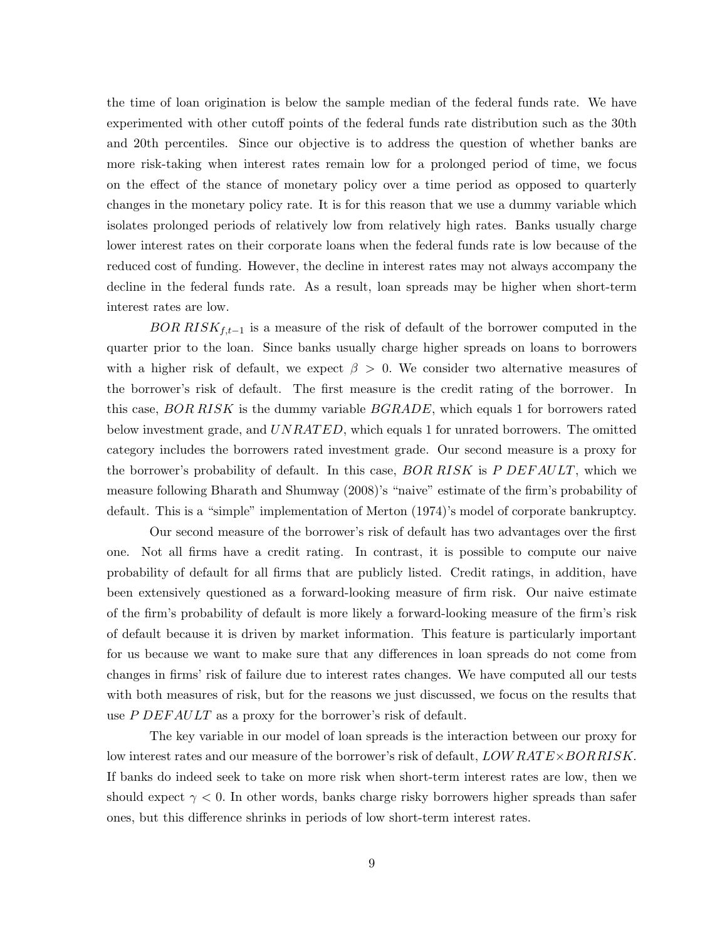the time of loan origination is below the sample median of the federal funds rate. We have experimented with other cutoff points of the federal funds rate distribution such as the 30th and 20th percentiles. Since our objective is to address the question of whether banks are more risk-taking when interest rates remain low for a prolonged period of time, we focus on the effect of the stance of monetary policy over a time period as opposed to quarterly changes in the monetary policy rate. It is for this reason that we use a dummy variable which isolates prolonged periods of relatively low from relatively high rates. Banks usually charge lower interest rates on their corporate loans when the federal funds rate is low because of the reduced cost of funding. However, the decline in interest rates may not always accompany the decline in the federal funds rate. As a result, loan spreads may be higher when short-term interest rates are low.

*BOR RISK<sub>f,t−1</sub>* is a measure of the risk of default of the borrower computed in the quarter prior to the loan. Since banks usually charge higher spreads on loans to borrowers with a higher risk of default, we expect  $\beta > 0$ . We consider two alternative measures of the borrower's risk of default. The first measure is the credit rating of the borrower. In this case, *BOR RISK* is the dummy variable *BGRADE,* which equals 1 for borrowers rated below investment grade, and *UNRAT ED*, which equals 1 for unrated borrowers. The omitted category includes the borrowers rated investment grade. Our second measure is a proxy for the borrower's probability of default. In this case, *BOR RISK* is *P DEF AULT*, which we measure following Bharath and Shumway (2008)'s "naive" estimate of the firm's probability of default. This is a "simple" implementation of Merton (1974)'s model of corporate bankruptcy.

Our second measure of the borrower's risk of default has two advantages over the first one. Not all firms have a credit rating. In contrast, it is possible to compute our naive probability of default for all firms that are publicly listed. Credit ratings, in addition, have been extensively questioned as a forward-looking measure of firm risk. Our naive estimate of the firm's probability of default is more likely a forward-looking measure of the firm's risk of default because it is driven by market information. This feature is particularly important for us because we want to make sure that any differences in loan spreads do not come from changes in firms' risk of failure due to interest rates changes. We have computed all our tests with both measures of risk, but for the reasons we just discussed, we focus on the results that use *P DEF AULT* as a proxy for the borrower's risk of default.

The key variable in our model of loan spreads is the interaction between our proxy for low interest rates and our measure of the borrower's risk of default, *LOW RAT E×BORRISK.* If banks do indeed seek to take on more risk when short-term interest rates are low, then we should expect  $\gamma < 0$ . In other words, banks charge risky borrowers higher spreads than safer ones, but this difference shrinks in periods of low short-term interest rates.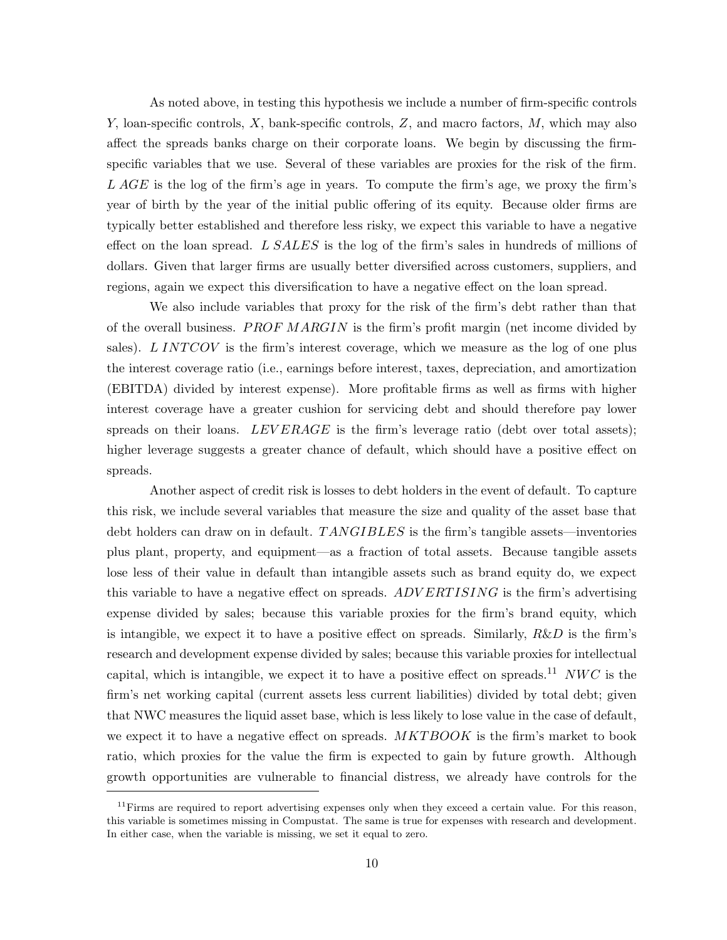As noted above, in testing this hypothesis we include a number of firm-specific controls *Y,* loan-specific controls, *X,* bank-specific controls, *Z*, and macro factors, *M,* which may also affect the spreads banks charge on their corporate loans. We begin by discussing the firmspecific variables that we use. Several of these variables are proxies for the risk of the firm. *L AGE* is the log of the firm's age in years. To compute the firm's age, we proxy the firm's year of birth by the year of the initial public offering of its equity. Because older firms are typically better established and therefore less risky, we expect this variable to have a negative effect on the loan spread. *L SALES* is the log of the firm's sales in hundreds of millions of dollars. Given that larger firms are usually better diversified across customers, suppliers, and regions, again we expect this diversification to have a negative effect on the loan spread.

We also include variables that proxy for the risk of the firm's debt rather than that of the overall business. *P ROF MARGIN* is the firm's profit margin (net income divided by sales). *LINTCOV* is the firm's interest coverage, which we measure as the log of one plus the interest coverage ratio (i.e., earnings before interest, taxes, depreciation, and amortization (EBITDA) divided by interest expense). More profitable firms as well as firms with higher interest coverage have a greater cushion for servicing debt and should therefore pay lower spreads on their loans. *LEV ERAGE* is the firm's leverage ratio (debt over total assets); higher leverage suggests a greater chance of default, which should have a positive effect on spreads.

Another aspect of credit risk is losses to debt holders in the event of default. To capture this risk, we include several variables that measure the size and quality of the asset base that debt holders can draw on in default. *T ANGIBLES* is the firm's tangible assets—inventories plus plant, property, and equipment—as a fraction of total assets. Because tangible assets lose less of their value in default than intangible assets such as brand equity do, we expect this variable to have a negative effect on spreads. *ADV ERT ISING* is the firm's advertising expense divided by sales; because this variable proxies for the firm's brand equity, which is intangible, we expect it to have a positive effect on spreads. Similarly, *R*&*D* is the firm's research and development expense divided by sales; because this variable proxies for intellectual capital, which is intangible, we expect it to have a positive effect on spreads.<sup>11</sup> *NW C* is the firm's net working capital (current assets less current liabilities) divided by total debt; given that NWC measures the liquid asset base, which is less likely to lose value in the case of default, we expect it to have a negative effect on spreads. *MKT BOOK* is the firm's market to book ratio, which proxies for the value the firm is expected to gain by future growth. Although growth opportunities are vulnerable to financial distress, we already have controls for the

 $11$ Firms are required to report advertising expenses only when they exceed a certain value. For this reason, this variable is sometimes missing in Compustat. The same is true for expenses with research and development. In either case, when the variable is missing, we set it equal to zero.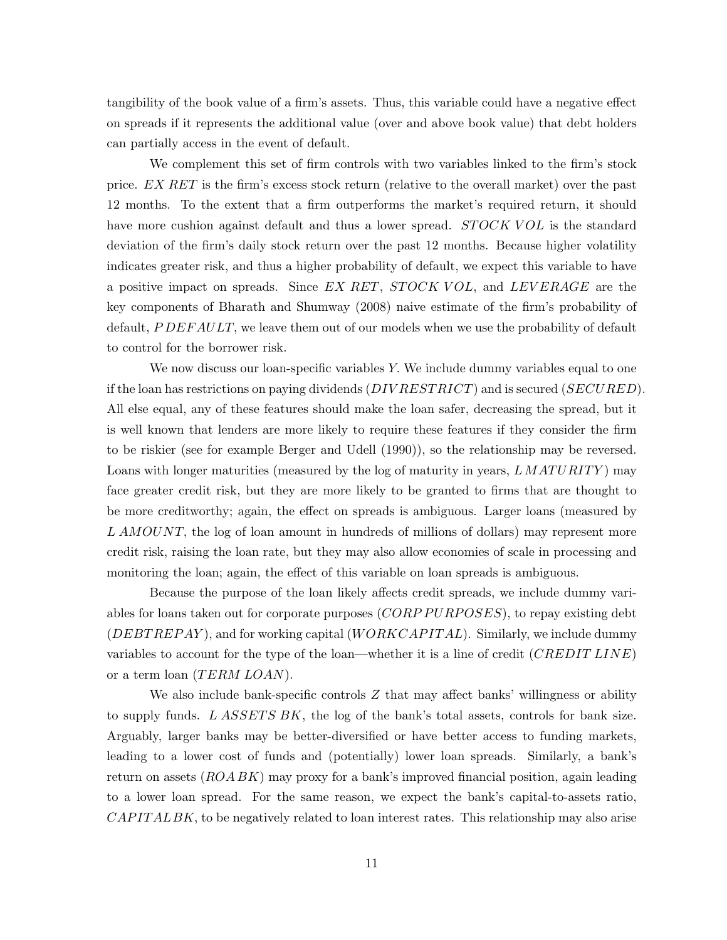tangibility of the book value of a firm's assets. Thus, this variable could have a negative effect on spreads if it represents the additional value (over and above book value) that debt holders can partially access in the event of default.

We complement this set of firm controls with two variables linked to the firm's stock price. *EX RET* is the firm's excess stock return (relative to the overall market) over the past 12 months. To the extent that a firm outperforms the market's required return, it should have more cushion against default and thus a lower spread. *STOCK VOL* is the standard deviation of the firm's daily stock return over the past 12 months. Because higher volatility indicates greater risk, and thus a higher probability of default, we expect this variable to have a positive impact on spreads. Since *EX RET*, *ST OCK V OL*, and *LEV ERAGE* are the key components of Bharath and Shumway (2008) naive estimate of the firm's probability of default, *P DEF AULT,* we leave them out of our models when we use the probability of default to control for the borrower risk.

We now discuss our loan-specific variables *Y.* We include dummy variables equal to one if the loan has restrictions on paying dividends (*DIV REST RICT*) and is secured (*SECURED*). All else equal, any of these features should make the loan safer, decreasing the spread, but it is well known that lenders are more likely to require these features if they consider the firm to be riskier (see for example Berger and Udell (1990)), so the relationship may be reversed. Loans with longer maturities (measured by the log of maturity in years, *LMATURITY*) may face greater credit risk, but they are more likely to be granted to firms that are thought to be more creditworthy; again, the effect on spreads is ambiguous. Larger loans (measured by *L AMOUNT,* the log of loan amount in hundreds of millions of dollars) may represent more credit risk, raising the loan rate, but they may also allow economies of scale in processing and monitoring the loan; again, the effect of this variable on loan spreads is ambiguous.

Because the purpose of the loan likely affects credit spreads, we include dummy variables for loans taken out for corporate purposes (*CORP PURPOSES*), to repay existing debt (*DEBT REP AY* ), and for working capital (*W ORKCAP IT AL*). Similarly, we include dummy variables to account for the type of the loan—whether it is a line of credit (*CREDIT LINE*) or a term loan (*T ERM LOAN*).

We also include bank-specific controls *Z* that may affect banks' willingness or ability to supply funds. *L ASSET S BK*, the log of the bank's total assets, controls for bank size. Arguably, larger banks may be better-diversified or have better access to funding markets, leading to a lower cost of funds and (potentially) lower loan spreads. Similarly, a bank's return on assets (*ROA BK*) may proxy for a bank's improved financial position, again leading to a lower loan spread. For the same reason, we expect the bank's capital-to-assets ratio, *CAP IT ALBK,* to be negatively related to loan interest rates. This relationship may also arise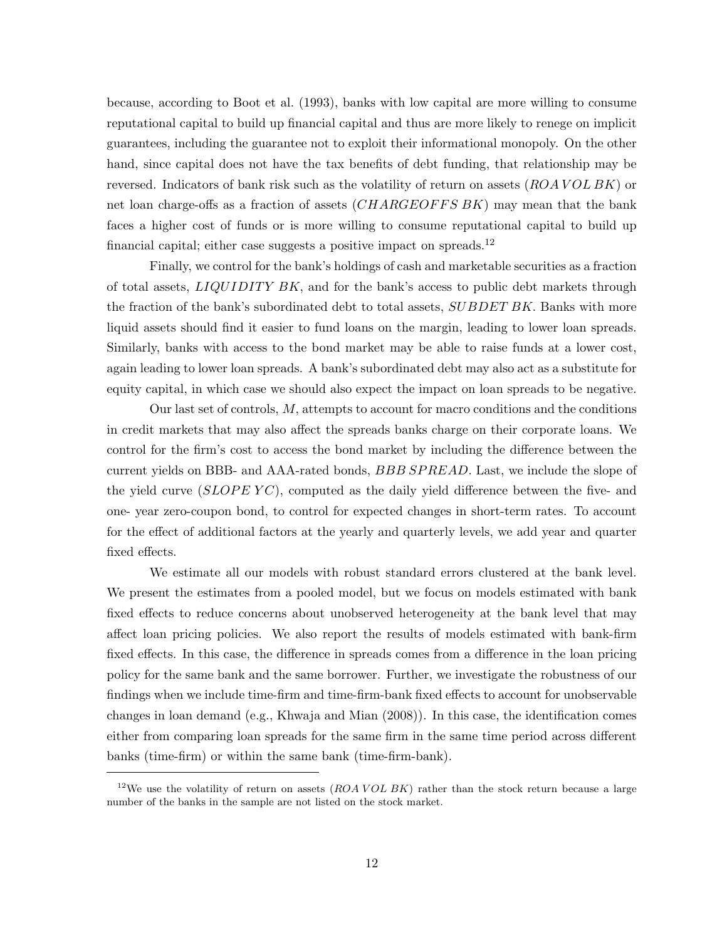because, according to Boot et al. (1993), banks with low capital are more willing to consume reputational capital to build up financial capital and thus are more likely to renege on implicit guarantees, including the guarantee not to exploit their informational monopoly. On the other hand, since capital does not have the tax benefits of debt funding, that relationship may be reversed. Indicators of bank risk such as the volatility of return on assets (*ROA V OL BK*) or net loan charge-offs as a fraction of assets (*CHARGEOF F S BK*) may mean that the bank faces a higher cost of funds or is more willing to consume reputational capital to build up financial capital; either case suggests a positive impact on spreads.<sup>12</sup>

Finally, we control for the bank's holdings of cash and marketable securities as a fraction of total assets, *LIQUIDITY BK*, and for the bank's access to public debt markets through the fraction of the bank's subordinated debt to total assets, *SUBDET BK.* Banks with more liquid assets should find it easier to fund loans on the margin, leading to lower loan spreads. Similarly, banks with access to the bond market may be able to raise funds at a lower cost, again leading to lower loan spreads. A bank's subordinated debt may also act as a substitute for equity capital, in which case we should also expect the impact on loan spreads to be negative.

Our last set of controls, *M,* attempts to account for macro conditions and the conditions in credit markets that may also affect the spreads banks charge on their corporate loans. We control for the firm's cost to access the bond market by including the difference between the current yields on BBB- and AAA-rated bonds, *BBB SP READ.* Last, we include the slope of the yield curve *(SLOPEYC)*, computed as the daily yield difference between the five- and one- year zero-coupon bond, to control for expected changes in short-term rates. To account for the effect of additional factors at the yearly and quarterly levels, we add year and quarter fixed effects.

We estimate all our models with robust standard errors clustered at the bank level. We present the estimates from a pooled model, but we focus on models estimated with bank fixed effects to reduce concerns about unobserved heterogeneity at the bank level that may affect loan pricing policies. We also report the results of models estimated with bank-firm fixed effects. In this case, the difference in spreads comes from a difference in the loan pricing policy for the same bank and the same borrower. Further, we investigate the robustness of our findings when we include time-firm and time-firm-bank fixed effects to account for unobservable changes in loan demand (e.g., Khwaja and Mian (2008)). In this case, the identification comes either from comparing loan spreads for the same firm in the same time period across different banks (time-firm) or within the same bank (time-firm-bank).

<sup>&</sup>lt;sup>12</sup>We use the volatility of return on assets  $(ROA VOL BK)$  rather than the stock return because a large number of the banks in the sample are not listed on the stock market.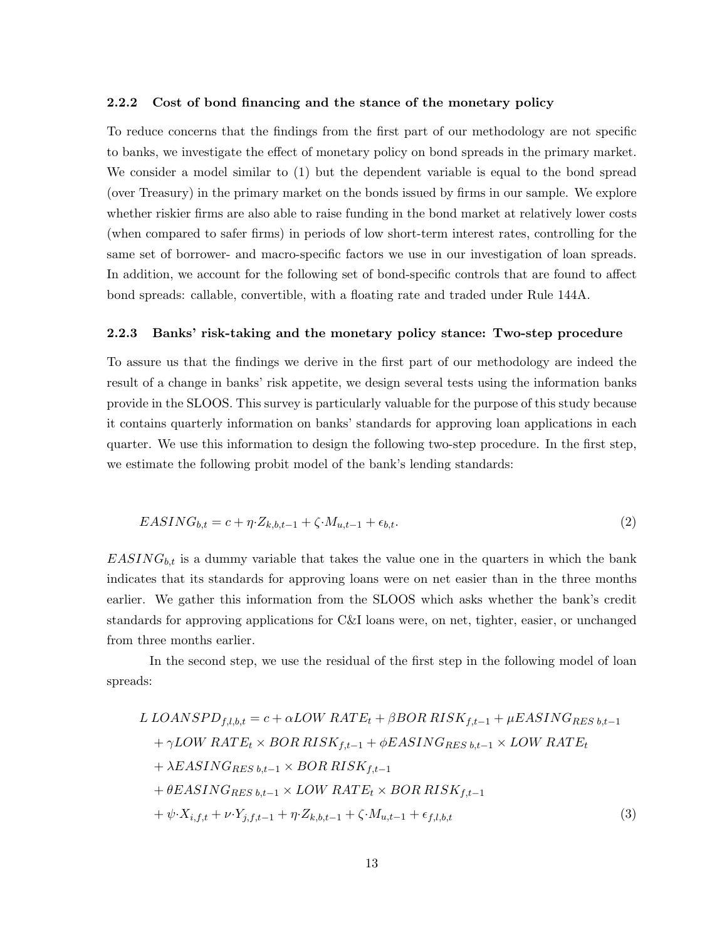#### **2.2.2 Cost of bond financing and the stance of the monetary policy**

To reduce concerns that the findings from the first part of our methodology are not specific to banks, we investigate the effect of monetary policy on bond spreads in the primary market. We consider a model similar to (1) but the dependent variable is equal to the bond spread (over Treasury) in the primary market on the bonds issued by firms in our sample. We explore whether riskier firms are also able to raise funding in the bond market at relatively lower costs (when compared to safer firms) in periods of low short-term interest rates, controlling for the same set of borrower- and macro-specific factors we use in our investigation of loan spreads. In addition, we account for the following set of bond-specific controls that are found to affect bond spreads: callable, convertible, with a floating rate and traded under Rule 144A.

#### **2.2.3 Banks' risk-taking and the monetary policy stance: Two-step procedure**

To assure us that the findings we derive in the first part of our methodology are indeed the result of a change in banks' risk appetite, we design several tests using the information banks provide in the SLOOS. This survey is particularly valuable for the purpose of this study because it contains quarterly information on banks' standards for approving loan applications in each quarter. We use this information to design the following two-step procedure. In the first step, we estimate the following probit model of the bank's lending standards:

$$
EASING_{b,t} = c + \eta \cdot Z_{k,b,t-1} + \zeta \cdot M_{u,t-1} + \epsilon_{b,t}.\tag{2}
$$

*EASINGb,t* is a dummy variable that takes the value one in the quarters in which the bank indicates that its standards for approving loans were on net easier than in the three months earlier. We gather this information from the SLOOS which asks whether the bank's credit standards for approving applications for C&I loans were, on net, tighter, easier, or unchanged from three months earlier.

In the second step, we use the residual of the first step in the following model of loan spreads:

$$
L\text{LOANSPD}_{f,l,b,t} = c + \alpha LOW\text{ RATE}_{t} + \beta BOR\text{ RISK}_{f,t-1} + \mu EASING_{RES\ b,t-1}
$$

$$
+ \gamma LOW\text{ RATE}_{t} \times BOR\text{ RISK}_{f,t-1} + \phi EASING_{RES\ b,t-1} \times LOW\text{ RATE}_{t}
$$

$$
+ \lambda EASING_{RES\ b,t-1} \times BOR\text{ RISK}_{f,t-1}
$$

$$
+ \theta EASING_{RES\ b,t-1} \times LOW\text{ RATE}_{t} \times BOR\text{ RISK}_{f,t-1}
$$

$$
+ \psi \cdot X_{i,f,t} + \nu \cdot Y_{j,f,t-1} + \eta \cdot Z_{k,b,t-1} + \zeta \cdot M_{u,t-1} + \epsilon_{f,l,b,t} \tag{3}
$$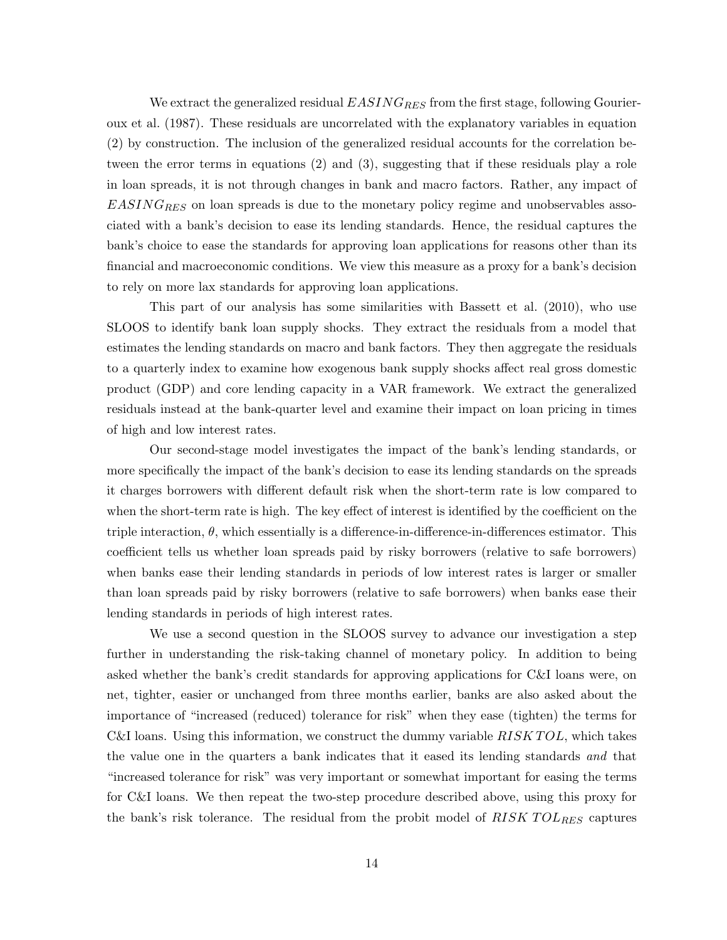We extract the generalized residual *EASINGRES* from the first stage, following Gourieroux et al. (1987). These residuals are uncorrelated with the explanatory variables in equation (2) by construction. The inclusion of the generalized residual accounts for the correlation between the error terms in equations (2) and (3), suggesting that if these residuals play a role in loan spreads, it is not through changes in bank and macro factors. Rather, any impact of *EASINGRES* on loan spreads is due to the monetary policy regime and unobservables associated with a bank's decision to ease its lending standards. Hence, the residual captures the bank's choice to ease the standards for approving loan applications for reasons other than its financial and macroeconomic conditions. We view this measure as a proxy for a bank's decision to rely on more lax standards for approving loan applications.

This part of our analysis has some similarities with Bassett et al. (2010), who use SLOOS to identify bank loan supply shocks. They extract the residuals from a model that estimates the lending standards on macro and bank factors. They then aggregate the residuals to a quarterly index to examine how exogenous bank supply shocks affect real gross domestic product (GDP) and core lending capacity in a VAR framework. We extract the generalized residuals instead at the bank-quarter level and examine their impact on loan pricing in times of high and low interest rates.

Our second-stage model investigates the impact of the bank's lending standards, or more specifically the impact of the bank's decision to ease its lending standards on the spreads it charges borrowers with different default risk when the short-term rate is low compared to when the short-term rate is high. The key effect of interest is identified by the coefficient on the triple interaction,  $\theta$ , which essentially is a difference-in-difference-in-differences estimator. This coefficient tells us whether loan spreads paid by risky borrowers (relative to safe borrowers) when banks ease their lending standards in periods of low interest rates is larger or smaller than loan spreads paid by risky borrowers (relative to safe borrowers) when banks ease their lending standards in periods of high interest rates.

We use a second question in the SLOOS survey to advance our investigation a step further in understanding the risk-taking channel of monetary policy. In addition to being asked whether the bank's credit standards for approving applications for C&I loans were, on net, tighter, easier or unchanged from three months earlier, banks are also asked about the importance of "increased (reduced) tolerance for risk" when they ease (tighten) the terms for C&I loans. Using this information, we construct the dummy variable *RISK TOL*, which takes the value one in the quarters a bank indicates that it eased its lending standards *and* that "increased tolerance for risk" was very important or somewhat important for easing the terms for C&I loans. We then repeat the two-step procedure described above, using this proxy for the bank's risk tolerance. The residual from the probit model of *RISK TOL<sub>RES</sub>* captures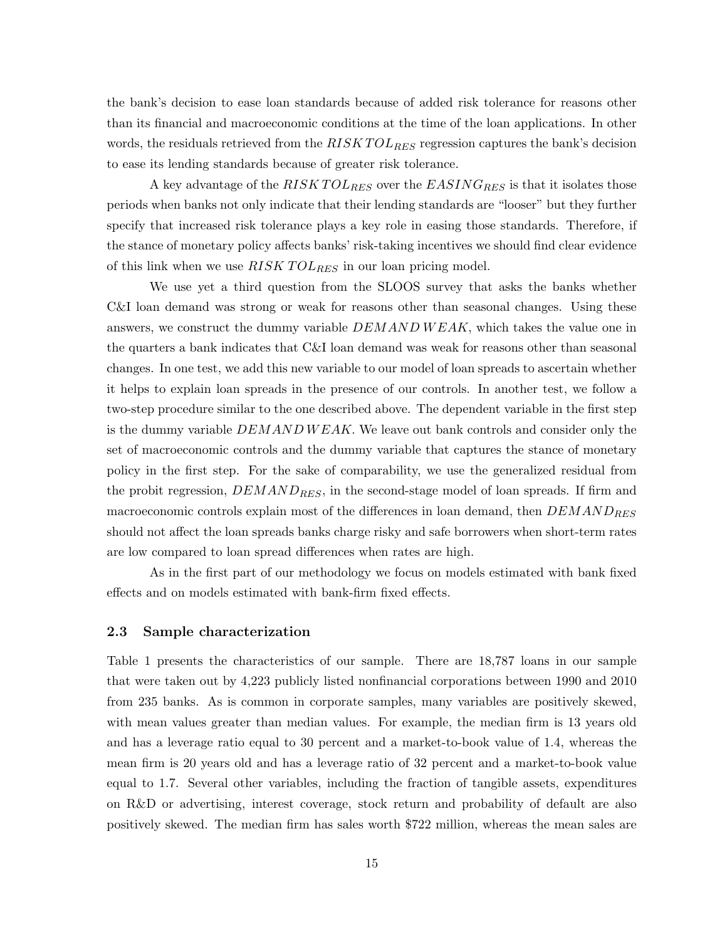the bank's decision to ease loan standards because of added risk tolerance for reasons other than its financial and macroeconomic conditions at the time of the loan applications. In other words, the residuals retrieved from the  $RISK TOL_{RES}$  regression captures the bank's decision to ease its lending standards because of greater risk tolerance.

A key advantage of the *RISK T OLRES* over the *EASINGRES* is that it isolates those periods when banks not only indicate that their lending standards are "looser" but they further specify that increased risk tolerance plays a key role in easing those standards. Therefore, if the stance of monetary policy affects banks' risk-taking incentives we should find clear evidence of this link when we use  $RISK\ TOL_{RES}$  in our loan pricing model.

We use yet a third question from the SLOOS survey that asks the banks whether C&I loan demand was strong or weak for reasons other than seasonal changes. Using these answers, we construct the dummy variable *DEMAND W EAK,* which takes the value one in the quarters a bank indicates that C&I loan demand was weak for reasons other than seasonal changes. In one test, we add this new variable to our model of loan spreads to ascertain whether it helps to explain loan spreads in the presence of our controls. In another test, we follow a two-step procedure similar to the one described above. The dependent variable in the first step is the dummy variable *DEMAND W EAK.* We leave out bank controls and consider only the set of macroeconomic controls and the dummy variable that captures the stance of monetary policy in the first step. For the sake of comparability, we use the generalized residual from the probit regression, *DEMANDRES,* in the second-stage model of loan spreads. If firm and macroeconomic controls explain most of the differences in loan demand, then *DEMANDRES* should not affect the loan spreads banks charge risky and safe borrowers when short-term rates are low compared to loan spread differences when rates are high.

As in the first part of our methodology we focus on models estimated with bank fixed effects and on models estimated with bank-firm fixed effects.

#### **2.3 Sample characterization**

Table 1 presents the characteristics of our sample. There are 18,787 loans in our sample that were taken out by 4,223 publicly listed nonfinancial corporations between 1990 and 2010 from 235 banks. As is common in corporate samples, many variables are positively skewed, with mean values greater than median values. For example, the median firm is 13 years old and has a leverage ratio equal to 30 percent and a market-to-book value of 1.4, whereas the mean firm is 20 years old and has a leverage ratio of 32 percent and a market-to-book value equal to 1.7. Several other variables, including the fraction of tangible assets, expenditures on R&D or advertising, interest coverage, stock return and probability of default are also positively skewed. The median firm has sales worth \$722 million, whereas the mean sales are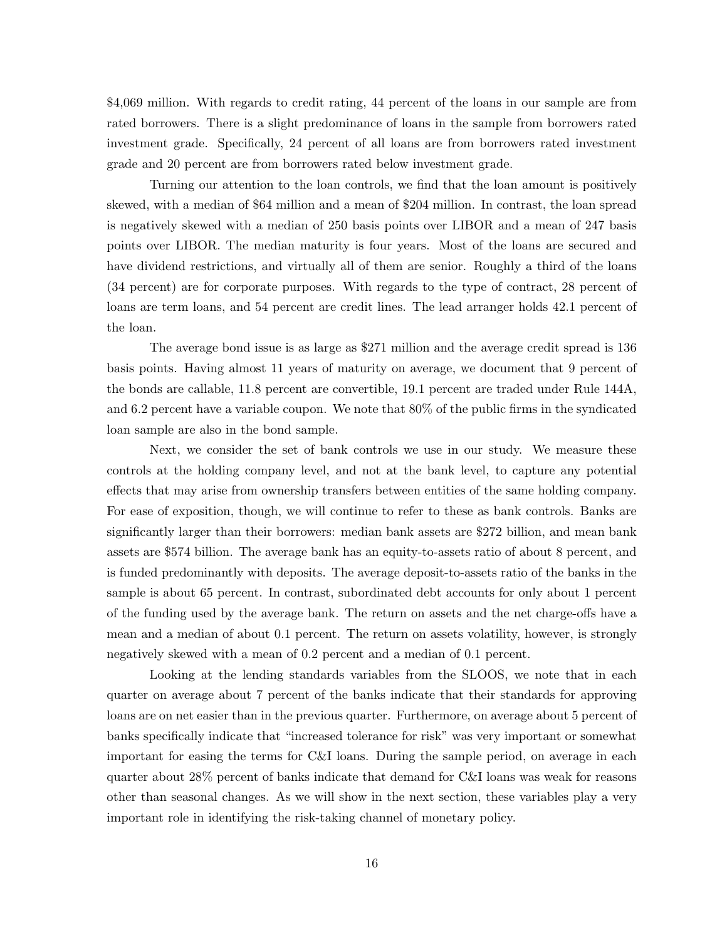\$4,069 million. With regards to credit rating, 44 percent of the loans in our sample are from rated borrowers. There is a slight predominance of loans in the sample from borrowers rated investment grade. Specifically, 24 percent of all loans are from borrowers rated investment grade and 20 percent are from borrowers rated below investment grade.

Turning our attention to the loan controls, we find that the loan amount is positively skewed, with a median of \$64 million and a mean of \$204 million. In contrast, the loan spread is negatively skewed with a median of 250 basis points over LIBOR and a mean of 247 basis points over LIBOR. The median maturity is four years. Most of the loans are secured and have dividend restrictions, and virtually all of them are senior. Roughly a third of the loans (34 percent) are for corporate purposes. With regards to the type of contract, 28 percent of loans are term loans, and 54 percent are credit lines. The lead arranger holds 42.1 percent of the loan.

The average bond issue is as large as \$271 million and the average credit spread is 136 basis points. Having almost 11 years of maturity on average, we document that 9 percent of the bonds are callable, 11.8 percent are convertible, 19.1 percent are traded under Rule 144A, and 6.2 percent have a variable coupon. We note that 80% of the public firms in the syndicated loan sample are also in the bond sample.

Next, we consider the set of bank controls we use in our study. We measure these controls at the holding company level, and not at the bank level, to capture any potential effects that may arise from ownership transfers between entities of the same holding company. For ease of exposition, though, we will continue to refer to these as bank controls. Banks are significantly larger than their borrowers: median bank assets are \$272 billion, and mean bank assets are \$574 billion. The average bank has an equity-to-assets ratio of about 8 percent, and is funded predominantly with deposits. The average deposit-to-assets ratio of the banks in the sample is about 65 percent. In contrast, subordinated debt accounts for only about 1 percent of the funding used by the average bank. The return on assets and the net charge-offs have a mean and a median of about 0.1 percent. The return on assets volatility, however, is strongly negatively skewed with a mean of 0.2 percent and a median of 0.1 percent.

Looking at the lending standards variables from the SLOOS, we note that in each quarter on average about 7 percent of the banks indicate that their standards for approving loans are on net easier than in the previous quarter. Furthermore, on average about 5 percent of banks specifically indicate that "increased tolerance for risk" was very important or somewhat important for easing the terms for C&I loans. During the sample period, on average in each quarter about 28% percent of banks indicate that demand for C&I loans was weak for reasons other than seasonal changes. As we will show in the next section, these variables play a very important role in identifying the risk-taking channel of monetary policy.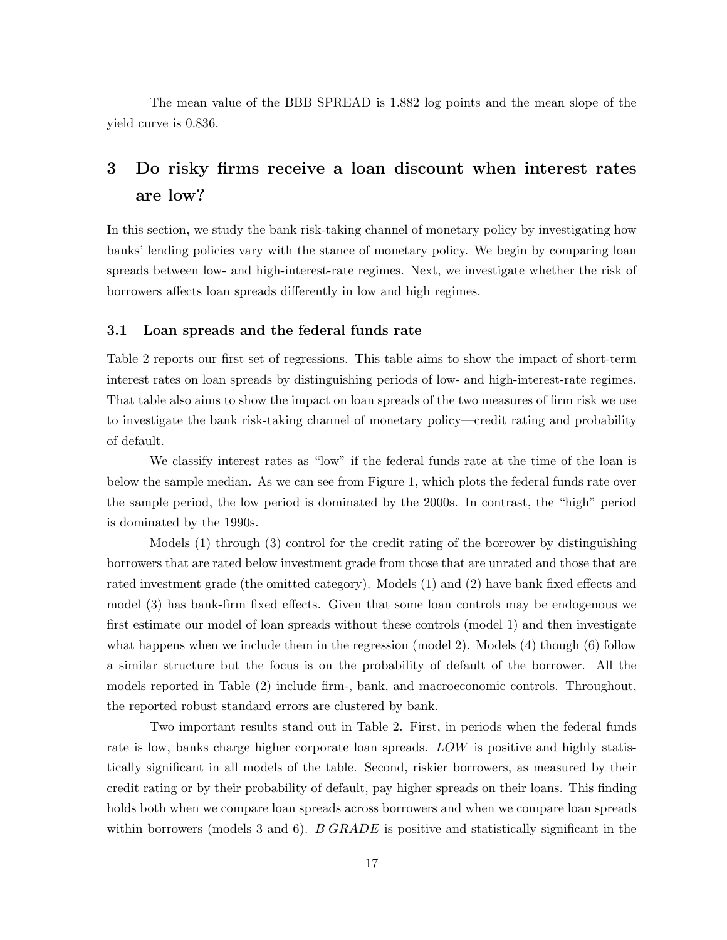The mean value of the BBB SPREAD is 1.882 log points and the mean slope of the yield curve is 0.836.

# **3 Do risky firms receive a loan discount when interest rates are low?**

In this section, we study the bank risk-taking channel of monetary policy by investigating how banks' lending policies vary with the stance of monetary policy. We begin by comparing loan spreads between low- and high-interest-rate regimes. Next, we investigate whether the risk of borrowers affects loan spreads differently in low and high regimes.

#### **3.1 Loan spreads and the federal funds rate**

Table 2 reports our first set of regressions. This table aims to show the impact of short-term interest rates on loan spreads by distinguishing periods of low- and high-interest-rate regimes. That table also aims to show the impact on loan spreads of the two measures of firm risk we use to investigate the bank risk-taking channel of monetary policy—credit rating and probability of default.

We classify interest rates as "low" if the federal funds rate at the time of the loan is below the sample median. As we can see from Figure 1, which plots the federal funds rate over the sample period, the low period is dominated by the 2000s. In contrast, the "high" period is dominated by the 1990s.

Models (1) through (3) control for the credit rating of the borrower by distinguishing borrowers that are rated below investment grade from those that are unrated and those that are rated investment grade (the omitted category). Models (1) and (2) have bank fixed effects and model (3) has bank-firm fixed effects. Given that some loan controls may be endogenous we first estimate our model of loan spreads without these controls (model 1) and then investigate what happens when we include them in the regression (model 2). Models (4) though (6) follow a similar structure but the focus is on the probability of default of the borrower. All the models reported in Table (2) include firm-, bank, and macroeconomic controls. Throughout, the reported robust standard errors are clustered by bank.

Two important results stand out in Table 2. First, in periods when the federal funds rate is low, banks charge higher corporate loan spreads. *LOW* is positive and highly statistically significant in all models of the table. Second, riskier borrowers, as measured by their credit rating or by their probability of default, pay higher spreads on their loans. This finding holds both when we compare loan spreads across borrowers and when we compare loan spreads within borrowers (models 3 and 6). *B GRADE* is positive and statistically significant in the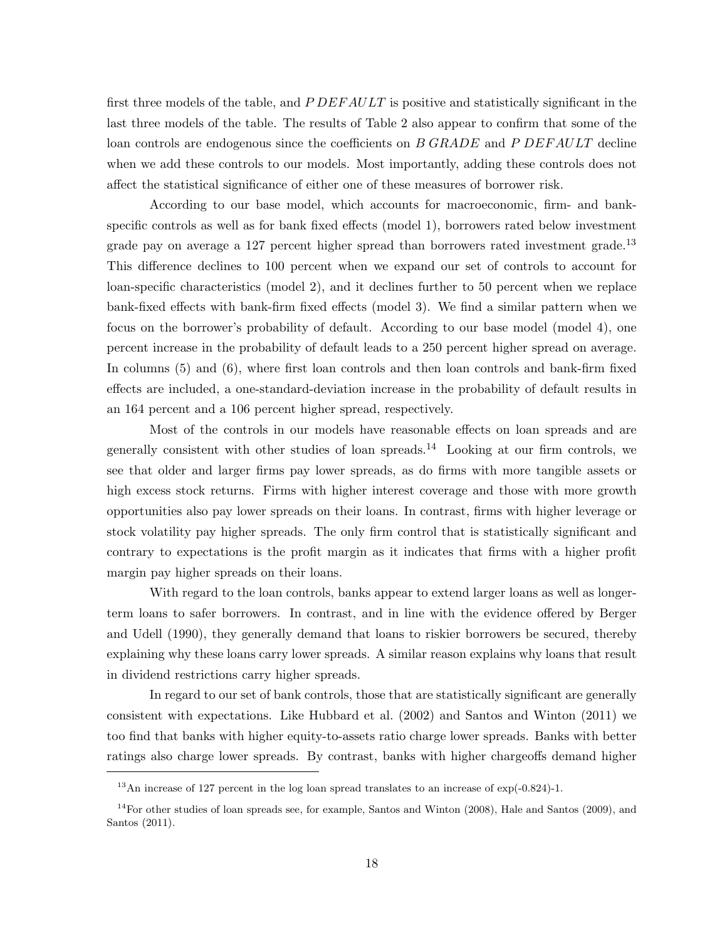first three models of the table, and *P DEF AULT* is positive and statistically significant in the last three models of the table. The results of Table 2 also appear to confirm that some of the loan controls are endogenous since the coefficients on *B GRADE* and *P DEF AULT* decline when we add these controls to our models. Most importantly, adding these controls does not affect the statistical significance of either one of these measures of borrower risk.

According to our base model, which accounts for macroeconomic, firm- and bankspecific controls as well as for bank fixed effects (model 1), borrowers rated below investment grade pay on average a 127 percent higher spread than borrowers rated investment grade.<sup>13</sup> This difference declines to 100 percent when we expand our set of controls to account for loan-specific characteristics (model 2), and it declines further to 50 percent when we replace bank-fixed effects with bank-firm fixed effects (model 3). We find a similar pattern when we focus on the borrower's probability of default. According to our base model (model 4), one percent increase in the probability of default leads to a 250 percent higher spread on average. In columns (5) and (6), where first loan controls and then loan controls and bank-firm fixed effects are included, a one-standard-deviation increase in the probability of default results in an 164 percent and a 106 percent higher spread, respectively.

Most of the controls in our models have reasonable effects on loan spreads and are generally consistent with other studies of loan spreads.<sup>14</sup> Looking at our firm controls, we see that older and larger firms pay lower spreads, as do firms with more tangible assets or high excess stock returns. Firms with higher interest coverage and those with more growth opportunities also pay lower spreads on their loans. In contrast, firms with higher leverage or stock volatility pay higher spreads. The only firm control that is statistically significant and contrary to expectations is the profit margin as it indicates that firms with a higher profit margin pay higher spreads on their loans.

With regard to the loan controls, banks appear to extend larger loans as well as longerterm loans to safer borrowers. In contrast, and in line with the evidence offered by Berger and Udell (1990), they generally demand that loans to riskier borrowers be secured, thereby explaining why these loans carry lower spreads. A similar reason explains why loans that result in dividend restrictions carry higher spreads.

In regard to our set of bank controls, those that are statistically significant are generally consistent with expectations. Like Hubbard et al. (2002) and Santos and Winton (2011) we too find that banks with higher equity-to-assets ratio charge lower spreads. Banks with better ratings also charge lower spreads. By contrast, banks with higher chargeoffs demand higher

<sup>&</sup>lt;sup>13</sup>An increase of 127 percent in the log loan spread translates to an increase of exp(-0.824)-1.

 $14$ For other studies of loan spreads see, for example, Santos and Winton (2008), Hale and Santos (2009), and Santos (2011).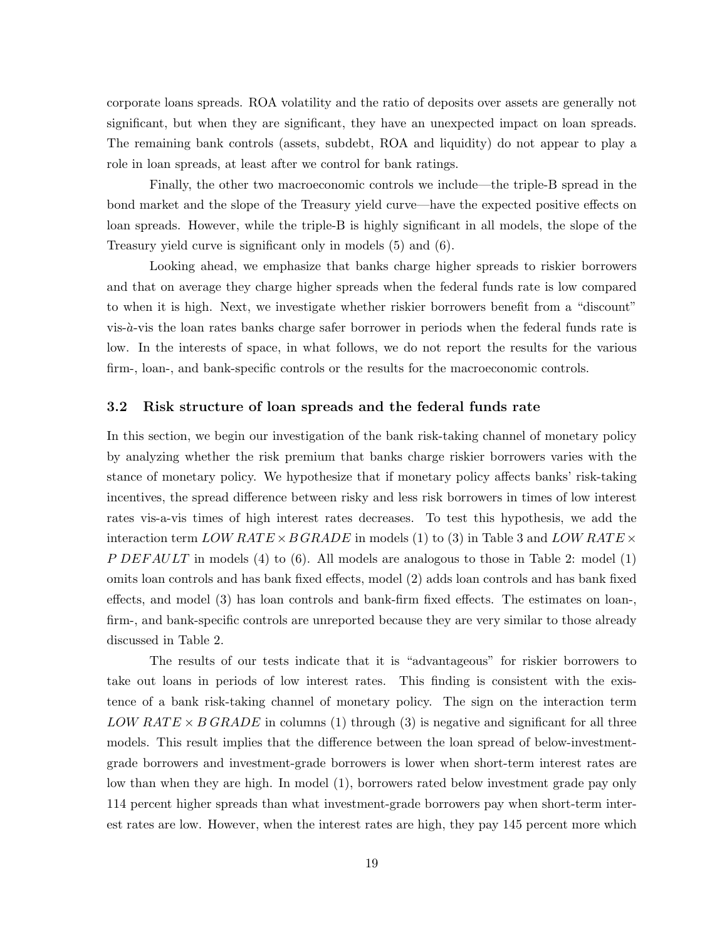corporate loans spreads. ROA volatility and the ratio of deposits over assets are generally not significant, but when they are significant, they have an unexpected impact on loan spreads. The remaining bank controls (assets, subdebt, ROA and liquidity) do not appear to play a role in loan spreads, at least after we control for bank ratings.

Finally, the other two macroeconomic controls we include—the triple-B spread in the bond market and the slope of the Treasury yield curve—have the expected positive effects on loan spreads. However, while the triple-B is highly significant in all models, the slope of the Treasury yield curve is significant only in models (5) and (6).

Looking ahead, we emphasize that banks charge higher spreads to riskier borrowers and that on average they charge higher spreads when the federal funds rate is low compared to when it is high. Next, we investigate whether riskier borrowers benefit from a "discount" vis- $\dot{a}$ -vis the loan rates banks charge safer borrower in periods when the federal funds rate is low. In the interests of space, in what follows, we do not report the results for the various firm-, loan-, and bank-specific controls or the results for the macroeconomic controls.

#### **3.2 Risk structure of loan spreads and the federal funds rate**

In this section, we begin our investigation of the bank risk-taking channel of monetary policy by analyzing whether the risk premium that banks charge riskier borrowers varies with the stance of monetary policy. We hypothesize that if monetary policy affects banks' risk-taking incentives, the spread difference between risky and less risk borrowers in times of low interest rates vis-a-vis times of high interest rates decreases. To test this hypothesis, we add the interaction term  $LOW RATE \times BGRADE$  in models (1) to (3) in Table 3 and  $LOW RATE \times$ *P DEFAULT* in models (4) to (6). All models are analogous to those in Table 2: model (1) omits loan controls and has bank fixed effects, model (2) adds loan controls and has bank fixed effects, and model (3) has loan controls and bank-firm fixed effects. The estimates on loan-, firm-, and bank-specific controls are unreported because they are very similar to those already discussed in Table 2.

The results of our tests indicate that it is "advantageous" for riskier borrowers to take out loans in periods of low interest rates. This finding is consistent with the existence of a bank risk-taking channel of monetary policy. The sign on the interaction term *LOW RATE*  $\times$  *B GRADE* in columns (1) through (3) is negative and significant for all three models. This result implies that the difference between the loan spread of below-investmentgrade borrowers and investment-grade borrowers is lower when short-term interest rates are low than when they are high. In model (1), borrowers rated below investment grade pay only 114 percent higher spreads than what investment-grade borrowers pay when short-term interest rates are low. However, when the interest rates are high, they pay 145 percent more which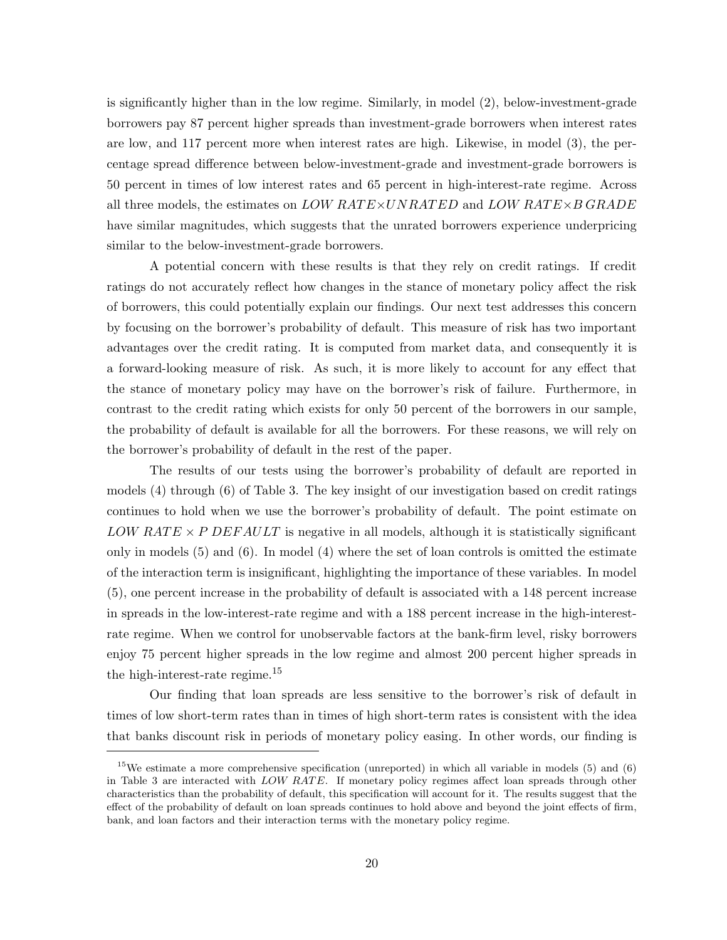is significantly higher than in the low regime. Similarly, in model (2), below-investment-grade borrowers pay 87 percent higher spreads than investment-grade borrowers when interest rates are low, and 117 percent more when interest rates are high. Likewise, in model (3), the percentage spread difference between below-investment-grade and investment-grade borrowers is 50 percent in times of low interest rates and 65 percent in high-interest-rate regime. Across all three models, the estimates on *LOW RAT E×UNRAT ED* and *LOW RAT E×B GRADE* have similar magnitudes, which suggests that the unrated borrowers experience underpricing similar to the below-investment-grade borrowers.

A potential concern with these results is that they rely on credit ratings. If credit ratings do not accurately reflect how changes in the stance of monetary policy affect the risk of borrowers, this could potentially explain our findings. Our next test addresses this concern by focusing on the borrower's probability of default. This measure of risk has two important advantages over the credit rating. It is computed from market data, and consequently it is a forward-looking measure of risk. As such, it is more likely to account for any effect that the stance of monetary policy may have on the borrower's risk of failure. Furthermore, in contrast to the credit rating which exists for only 50 percent of the borrowers in our sample, the probability of default is available for all the borrowers. For these reasons, we will rely on the borrower's probability of default in the rest of the paper.

The results of our tests using the borrower's probability of default are reported in models (4) through (6) of Table 3. The key insight of our investigation based on credit ratings continues to hold when we use the borrower's probability of default. The point estimate on *LOW RATE*  $\times$  *P DEFAULT* is negative in all models, although it is statistically significant only in models (5) and (6). In model (4) where the set of loan controls is omitted the estimate of the interaction term is insignificant, highlighting the importance of these variables. In model (5), one percent increase in the probability of default is associated with a 148 percent increase in spreads in the low-interest-rate regime and with a 188 percent increase in the high-interestrate regime. When we control for unobservable factors at the bank-firm level, risky borrowers enjoy 75 percent higher spreads in the low regime and almost 200 percent higher spreads in the high-interest-rate regime.<sup>15</sup>

Our finding that loan spreads are less sensitive to the borrower's risk of default in times of low short-term rates than in times of high short-term rates is consistent with the idea that banks discount risk in periods of monetary policy easing. In other words, our finding is

<sup>&</sup>lt;sup>15</sup>We estimate a more comprehensive specification (unreported) in which all variable in models  $(5)$  and  $(6)$ in Table 3 are interacted with *LOW RATE*. If monetary policy regimes affect loan spreads through other characteristics than the probability of default, this specification will account for it. The results suggest that the effect of the probability of default on loan spreads continues to hold above and beyond the joint effects of firm, bank, and loan factors and their interaction terms with the monetary policy regime.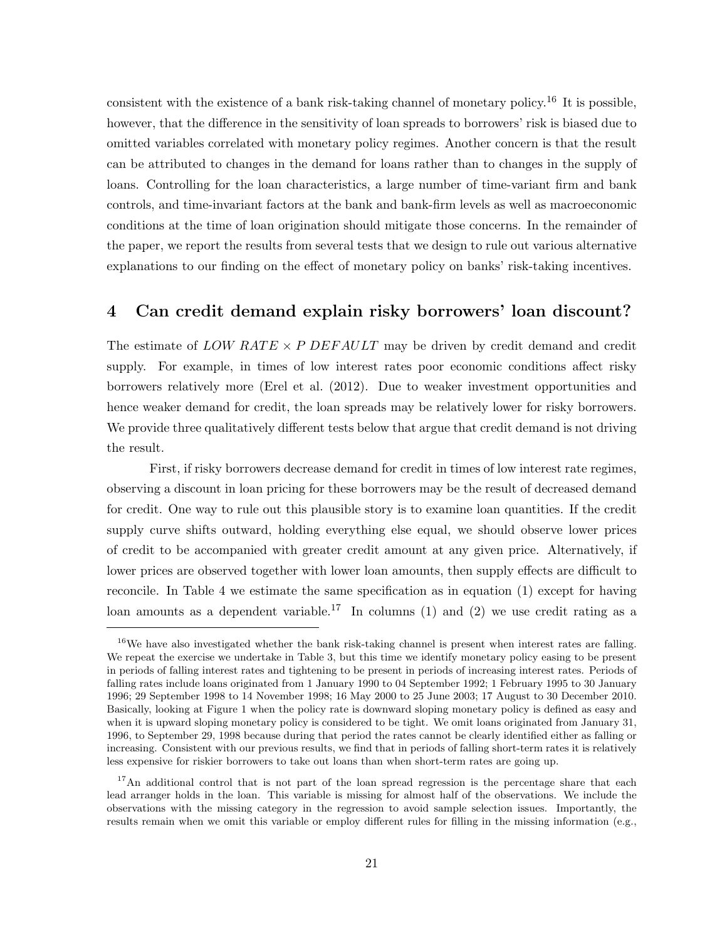consistent with the existence of a bank risk-taking channel of monetary policy.<sup>16</sup> It is possible, however, that the difference in the sensitivity of loan spreads to borrowers' risk is biased due to omitted variables correlated with monetary policy regimes. Another concern is that the result can be attributed to changes in the demand for loans rather than to changes in the supply of loans. Controlling for the loan characteristics, a large number of time-variant firm and bank controls, and time-invariant factors at the bank and bank-firm levels as well as macroeconomic conditions at the time of loan origination should mitigate those concerns. In the remainder of the paper, we report the results from several tests that we design to rule out various alternative explanations to our finding on the effect of monetary policy on banks' risk-taking incentives.

# **4 Can credit demand explain risky borrowers' loan discount?**

The estimate of *LOW RATE*  $\times$  *P DEFAULT* may be driven by credit demand and credit supply. For example, in times of low interest rates poor economic conditions affect risky borrowers relatively more (Erel et al. (2012). Due to weaker investment opportunities and hence weaker demand for credit, the loan spreads may be relatively lower for risky borrowers. We provide three qualitatively different tests below that argue that credit demand is not driving the result.

First, if risky borrowers decrease demand for credit in times of low interest rate regimes, observing a discount in loan pricing for these borrowers may be the result of decreased demand for credit. One way to rule out this plausible story is to examine loan quantities. If the credit supply curve shifts outward, holding everything else equal, we should observe lower prices of credit to be accompanied with greater credit amount at any given price. Alternatively, if lower prices are observed together with lower loan amounts, then supply effects are difficult to reconcile. In Table 4 we estimate the same specification as in equation (1) except for having loan amounts as a dependent variable.<sup>17</sup> In columns (1) and (2) we use credit rating as a

<sup>&</sup>lt;sup>16</sup>We have also investigated whether the bank risk-taking channel is present when interest rates are falling. We repeat the exercise we undertake in Table 3, but this time we identify monetary policy easing to be present in periods of falling interest rates and tightening to be present in periods of increasing interest rates. Periods of falling rates include loans originated from 1 January 1990 to 04 September 1992; 1 February 1995 to 30 January 1996; 29 September 1998 to 14 November 1998; 16 May 2000 to 25 June 2003; 17 August to 30 December 2010. Basically, looking at Figure 1 when the policy rate is downward sloping monetary policy is defined as easy and when it is upward sloping monetary policy is considered to be tight. We omit loans originated from January 31, 1996, to September 29, 1998 because during that period the rates cannot be clearly identified either as falling or increasing. Consistent with our previous results, we find that in periods of falling short-term rates it is relatively less expensive for riskier borrowers to take out loans than when short-term rates are going up.

<sup>&</sup>lt;sup>17</sup>An additional control that is not part of the loan spread regression is the percentage share that each lead arranger holds in the loan. This variable is missing for almost half of the observations. We include the observations with the missing category in the regression to avoid sample selection issues. Importantly, the results remain when we omit this variable or employ different rules for filling in the missing information (e.g.,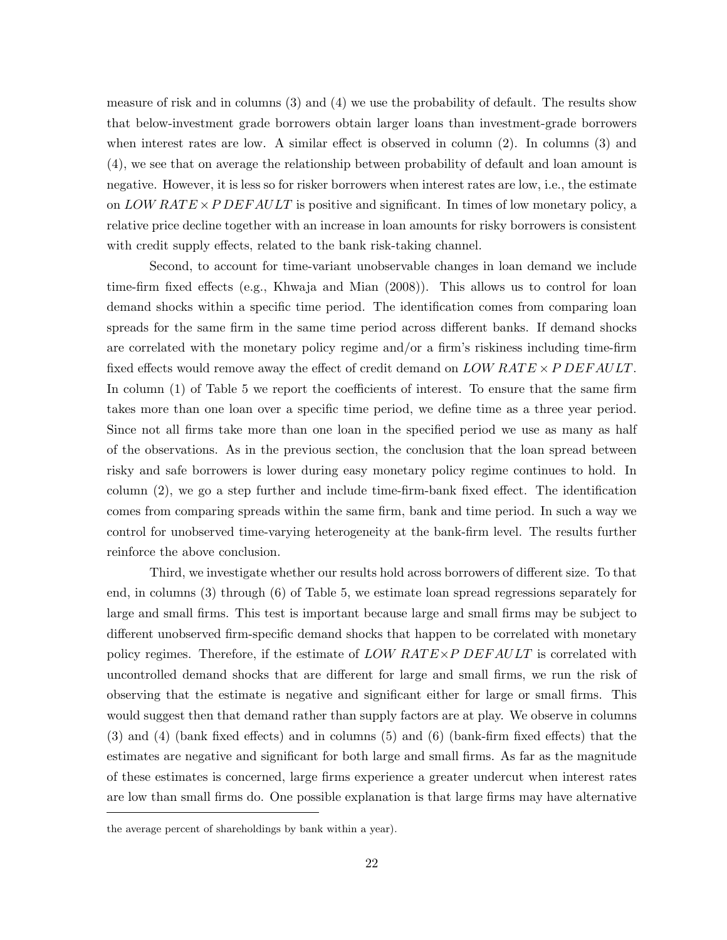measure of risk and in columns (3) and (4) we use the probability of default. The results show that below-investment grade borrowers obtain larger loans than investment-grade borrowers when interest rates are low. A similar effect is observed in column (2). In columns (3) and (4), we see that on average the relationship between probability of default and loan amount is negative. However, it is less so for risker borrowers when interest rates are low, i.e., the estimate on  $LOW RATE \times PDEFAULT$  is positive and significant. In times of low monetary policy, a relative price decline together with an increase in loan amounts for risky borrowers is consistent with credit supply effects, related to the bank risk-taking channel.

Second, to account for time-variant unobservable changes in loan demand we include time-firm fixed effects (e.g., Khwaja and Mian (2008)). This allows us to control for loan demand shocks within a specific time period. The identification comes from comparing loan spreads for the same firm in the same time period across different banks. If demand shocks are correlated with the monetary policy regime and/or a firm's riskiness including time-firm fixed effects would remove away the effect of credit demand on *LOW RATE*  $\times$  *P DEFAULT*. In column (1) of Table 5 we report the coefficients of interest. To ensure that the same firm takes more than one loan over a specific time period, we define time as a three year period. Since not all firms take more than one loan in the specified period we use as many as half of the observations. As in the previous section, the conclusion that the loan spread between risky and safe borrowers is lower during easy monetary policy regime continues to hold. In column (2), we go a step further and include time-firm-bank fixed effect. The identification comes from comparing spreads within the same firm, bank and time period. In such a way we control for unobserved time-varying heterogeneity at the bank-firm level. The results further reinforce the above conclusion.

Third, we investigate whether our results hold across borrowers of different size. To that end, in columns (3) through (6) of Table 5, we estimate loan spread regressions separately for large and small firms. This test is important because large and small firms may be subject to different unobserved firm-specific demand shocks that happen to be correlated with monetary policy regimes. Therefore, if the estimate of *LOW RAT E×P DEF AULT* is correlated with uncontrolled demand shocks that are different for large and small firms, we run the risk of observing that the estimate is negative and significant either for large or small firms. This would suggest then that demand rather than supply factors are at play. We observe in columns (3) and (4) (bank fixed effects) and in columns (5) and (6) (bank-firm fixed effects) that the estimates are negative and significant for both large and small firms. As far as the magnitude of these estimates is concerned, large firms experience a greater undercut when interest rates are low than small firms do. One possible explanation is that large firms may have alternative

the average percent of shareholdings by bank within a year).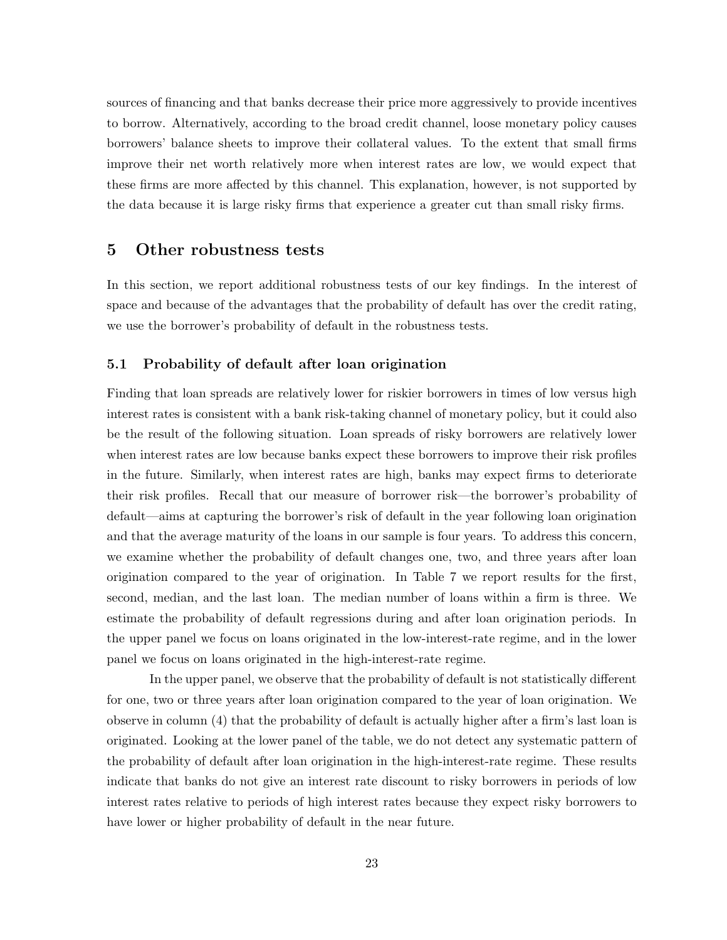sources of financing and that banks decrease their price more aggressively to provide incentives to borrow. Alternatively, according to the broad credit channel, loose monetary policy causes borrowers' balance sheets to improve their collateral values. To the extent that small firms improve their net worth relatively more when interest rates are low, we would expect that these firms are more affected by this channel. This explanation, however, is not supported by the data because it is large risky firms that experience a greater cut than small risky firms.

# **5 Other robustness tests**

In this section, we report additional robustness tests of our key findings. In the interest of space and because of the advantages that the probability of default has over the credit rating, we use the borrower's probability of default in the robustness tests.

#### **5.1 Probability of default after loan origination**

Finding that loan spreads are relatively lower for riskier borrowers in times of low versus high interest rates is consistent with a bank risk-taking channel of monetary policy, but it could also be the result of the following situation. Loan spreads of risky borrowers are relatively lower when interest rates are low because banks expect these borrowers to improve their risk profiles in the future. Similarly, when interest rates are high, banks may expect firms to deteriorate their risk profiles. Recall that our measure of borrower risk—the borrower's probability of default—aims at capturing the borrower's risk of default in the year following loan origination and that the average maturity of the loans in our sample is four years. To address this concern, we examine whether the probability of default changes one, two, and three years after loan origination compared to the year of origination. In Table 7 we report results for the first, second, median, and the last loan. The median number of loans within a firm is three. We estimate the probability of default regressions during and after loan origination periods. In the upper panel we focus on loans originated in the low-interest-rate regime, and in the lower panel we focus on loans originated in the high-interest-rate regime.

In the upper panel, we observe that the probability of default is not statistically different for one, two or three years after loan origination compared to the year of loan origination. We observe in column (4) that the probability of default is actually higher after a firm's last loan is originated. Looking at the lower panel of the table, we do not detect any systematic pattern of the probability of default after loan origination in the high-interest-rate regime. These results indicate that banks do not give an interest rate discount to risky borrowers in periods of low interest rates relative to periods of high interest rates because they expect risky borrowers to have lower or higher probability of default in the near future.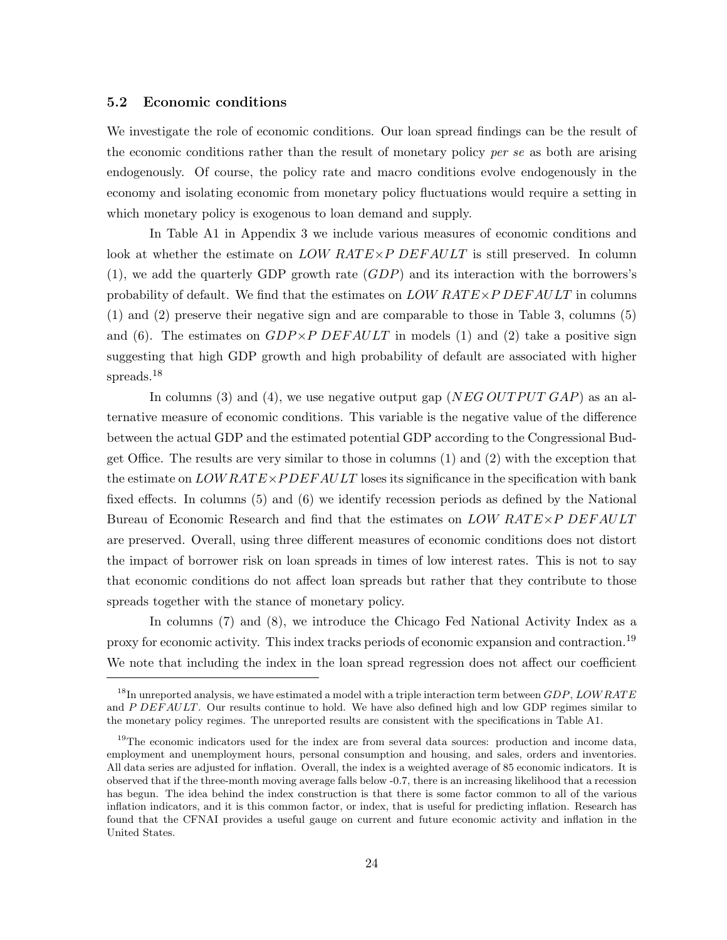#### **5.2 Economic conditions**

We investigate the role of economic conditions. Our loan spread findings can be the result of the economic conditions rather than the result of monetary policy *per se* as both are arising endogenously. Of course, the policy rate and macro conditions evolve endogenously in the economy and isolating economic from monetary policy fluctuations would require a setting in which monetary policy is exogenous to loan demand and supply.

In Table A1 in Appendix 3 we include various measures of economic conditions and look at whether the estimate on *LOW RATE×P DEFAULT* is still preserved. In column (1), we add the quarterly GDP growth rate (*GDP*) and its interaction with the borrowers's probability of default. We find that the estimates on *LOW RAT E×P DEF AULT* in columns (1) and (2) preserve their negative sign and are comparable to those in Table 3, columns (5) and (6). The estimates on  $GDP \times P$  DEFAULT in models (1) and (2) take a positive sign suggesting that high GDP growth and high probability of default are associated with higher spreads.<sup>18</sup>

In columns (3) and (4), we use negative output gap ( $NEG$   $OUTPUT$   $GAP$ ) as an alternative measure of economic conditions. This variable is the negative value of the difference between the actual GDP and the estimated potential GDP according to the Congressional Budget Office. The results are very similar to those in columns (1) and (2) with the exception that the estimate on *LOW RAT E×P DEF AULT* loses its significance in the specification with bank fixed effects. In columns (5) and (6) we identify recession periods as defined by the National Bureau of Economic Research and find that the estimates on *LOW RAT E×P DEF AULT* are preserved. Overall, using three different measures of economic conditions does not distort the impact of borrower risk on loan spreads in times of low interest rates. This is not to say that economic conditions do not affect loan spreads but rather that they contribute to those spreads together with the stance of monetary policy.

In columns (7) and (8), we introduce the Chicago Fed National Activity Index as a proxy for economic activity. This index tracks periods of economic expansion and contraction.<sup>19</sup> We note that including the index in the loan spread regression does not affect our coefficient

<sup>18</sup>In unreported analysis, we have estimated a model with a triple interaction term between *GDP*, *LOW RAT E* and *P DEF AULT*. Our results continue to hold. We have also defined high and low GDP regimes similar to the monetary policy regimes. The unreported results are consistent with the specifications in Table A1.

<sup>&</sup>lt;sup>19</sup>The economic indicators used for the index are from several data sources: production and income data, employment and unemployment hours, personal consumption and housing, and sales, orders and inventories. All data series are adjusted for inflation. Overall, the index is a weighted average of 85 economic indicators. It is observed that if the three-month moving average falls below -0.7, there is an increasing likelihood that a recession has begun. The idea behind the index construction is that there is some factor common to all of the various inflation indicators, and it is this common factor, or index, that is useful for predicting inflation. Research has found that the CFNAI provides a useful gauge on current and future economic activity and inflation in the United States.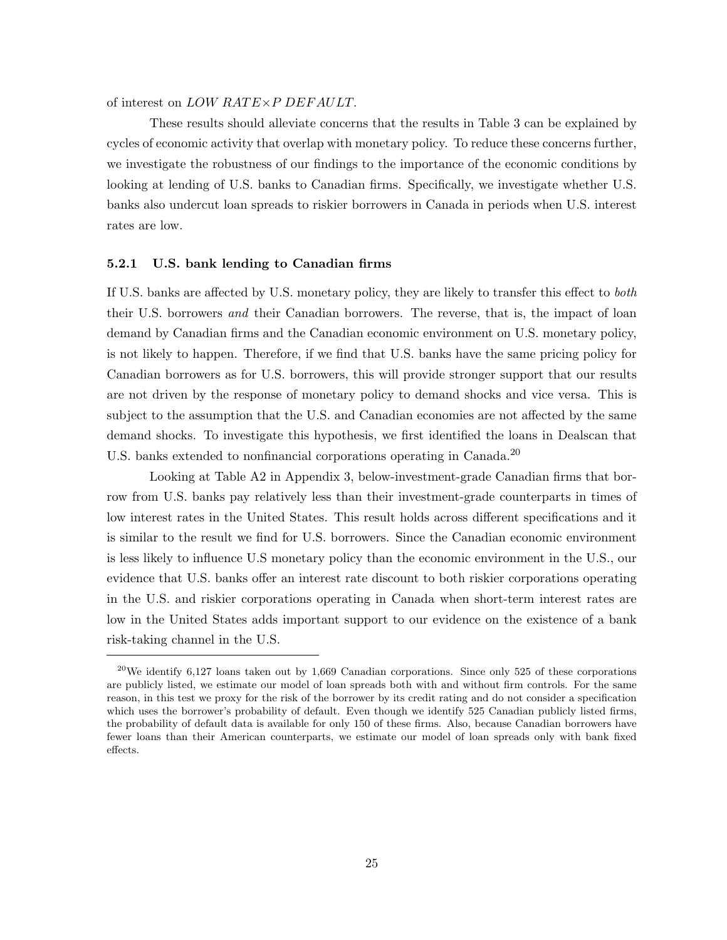of interest on *LOW RAT E×P DEF AULT.*

These results should alleviate concerns that the results in Table 3 can be explained by cycles of economic activity that overlap with monetary policy. To reduce these concerns further, we investigate the robustness of our findings to the importance of the economic conditions by looking at lending of U.S. banks to Canadian firms. Specifically, we investigate whether U.S. banks also undercut loan spreads to riskier borrowers in Canada in periods when U.S. interest rates are low.

#### **5.2.1 U.S. bank lending to Canadian firms**

If U.S. banks are affected by U.S. monetary policy, they are likely to transfer this effect to *both* their U.S. borrowers *and* their Canadian borrowers. The reverse, that is, the impact of loan demand by Canadian firms and the Canadian economic environment on U.S. monetary policy, is not likely to happen. Therefore, if we find that U.S. banks have the same pricing policy for Canadian borrowers as for U.S. borrowers, this will provide stronger support that our results are not driven by the response of monetary policy to demand shocks and vice versa. This is subject to the assumption that the U.S. and Canadian economies are not affected by the same demand shocks. To investigate this hypothesis, we first identified the loans in Dealscan that U.S. banks extended to nonfinancial corporations operating in Canada.<sup>20</sup>

Looking at Table A2 in Appendix 3, below-investment-grade Canadian firms that borrow from U.S. banks pay relatively less than their investment-grade counterparts in times of low interest rates in the United States. This result holds across different specifications and it is similar to the result we find for U.S. borrowers. Since the Canadian economic environment is less likely to influence U.S monetary policy than the economic environment in the U.S., our evidence that U.S. banks offer an interest rate discount to both riskier corporations operating in the U.S. and riskier corporations operating in Canada when short-term interest rates are low in the United States adds important support to our evidence on the existence of a bank risk-taking channel in the U.S.

<sup>&</sup>lt;sup>20</sup>We identify 6,127 loans taken out by 1,669 Canadian corporations. Since only 525 of these corporations are publicly listed, we estimate our model of loan spreads both with and without firm controls. For the same reason, in this test we proxy for the risk of the borrower by its credit rating and do not consider a specification which uses the borrower's probability of default. Even though we identify 525 Canadian publicly listed firms, the probability of default data is available for only 150 of these firms. Also, because Canadian borrowers have fewer loans than their American counterparts, we estimate our model of loan spreads only with bank fixed effects.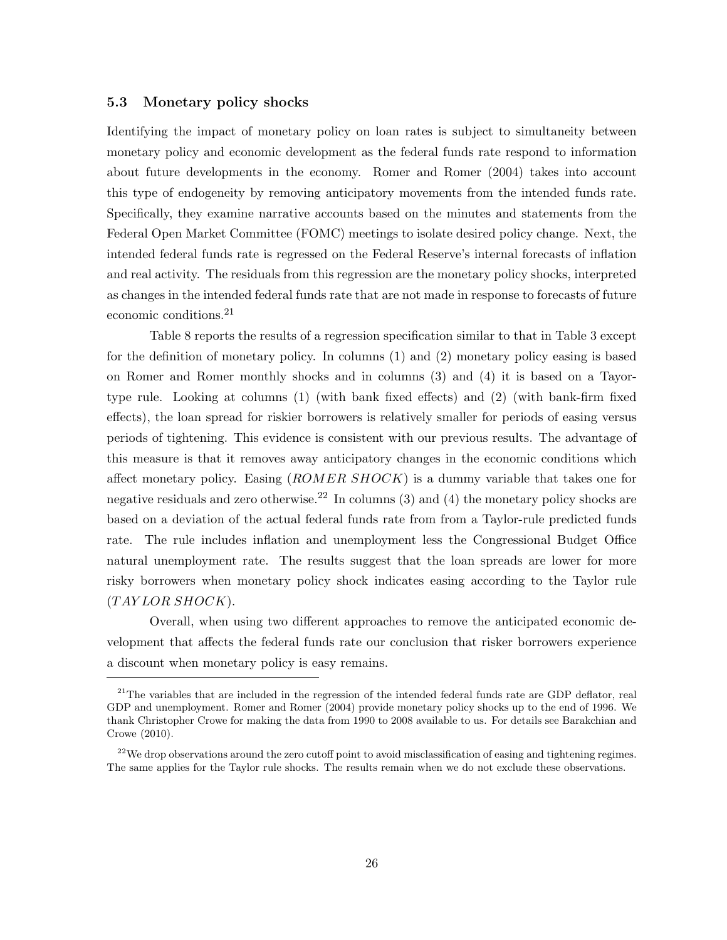#### **5.3 Monetary policy shocks**

Identifying the impact of monetary policy on loan rates is subject to simultaneity between monetary policy and economic development as the federal funds rate respond to information about future developments in the economy. Romer and Romer (2004) takes into account this type of endogeneity by removing anticipatory movements from the intended funds rate. Specifically, they examine narrative accounts based on the minutes and statements from the Federal Open Market Committee (FOMC) meetings to isolate desired policy change. Next, the intended federal funds rate is regressed on the Federal Reserve's internal forecasts of inflation and real activity. The residuals from this regression are the monetary policy shocks, interpreted as changes in the intended federal funds rate that are not made in response to forecasts of future economic conditions.<sup>21</sup>

Table 8 reports the results of a regression specification similar to that in Table 3 except for the definition of monetary policy. In columns (1) and (2) monetary policy easing is based on Romer and Romer monthly shocks and in columns (3) and (4) it is based on a Tayortype rule. Looking at columns (1) (with bank fixed effects) and (2) (with bank-firm fixed effects), the loan spread for riskier borrowers is relatively smaller for periods of easing versus periods of tightening. This evidence is consistent with our previous results. The advantage of this measure is that it removes away anticipatory changes in the economic conditions which affect monetary policy. Easing (*ROMER SHOCK*) is a dummy variable that takes one for negative residuals and zero otherwise.<sup>22</sup> In columns (3) and (4) the monetary policy shocks are based on a deviation of the actual federal funds rate from from a Taylor-rule predicted funds rate. The rule includes inflation and unemployment less the Congressional Budget Office natural unemployment rate. The results suggest that the loan spreads are lower for more risky borrowers when monetary policy shock indicates easing according to the Taylor rule (*T AY LOR SHOCK*).

Overall, when using two different approaches to remove the anticipated economic development that affects the federal funds rate our conclusion that risker borrowers experience a discount when monetary policy is easy remains.

<sup>&</sup>lt;sup>21</sup>The variables that are included in the regression of the intended federal funds rate are GDP deflator, real GDP and unemployment. Romer and Romer (2004) provide monetary policy shocks up to the end of 1996. We thank Christopher Crowe for making the data from 1990 to 2008 available to us. For details see Barakchian and Crowe (2010).

 $^{22}$ We drop observations around the zero cutoff point to avoid misclassification of easing and tightening regimes. The same applies for the Taylor rule shocks. The results remain when we do not exclude these observations.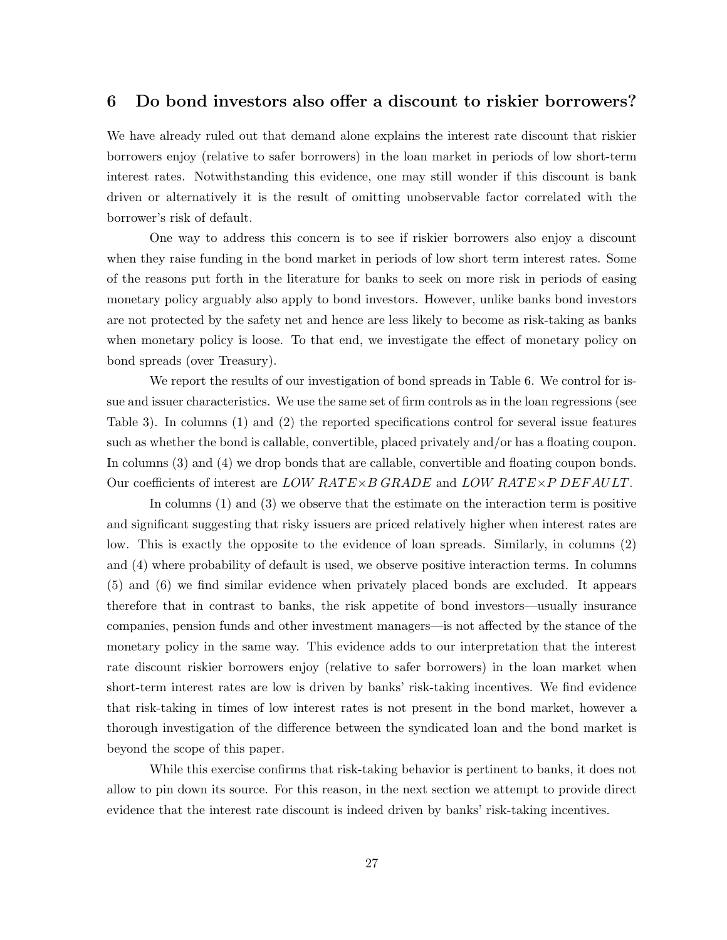# **6 Do bond investors also offer a discount to riskier borrowers?**

We have already ruled out that demand alone explains the interest rate discount that riskier borrowers enjoy (relative to safer borrowers) in the loan market in periods of low short-term interest rates. Notwithstanding this evidence, one may still wonder if this discount is bank driven or alternatively it is the result of omitting unobservable factor correlated with the borrower's risk of default.

One way to address this concern is to see if riskier borrowers also enjoy a discount when they raise funding in the bond market in periods of low short term interest rates. Some of the reasons put forth in the literature for banks to seek on more risk in periods of easing monetary policy arguably also apply to bond investors. However, unlike banks bond investors are not protected by the safety net and hence are less likely to become as risk-taking as banks when monetary policy is loose. To that end, we investigate the effect of monetary policy on bond spreads (over Treasury).

We report the results of our investigation of bond spreads in Table 6. We control for issue and issuer characteristics. We use the same set of firm controls as in the loan regressions (see Table 3). In columns (1) and (2) the reported specifications control for several issue features such as whether the bond is callable, convertible, placed privately and/or has a floating coupon. In columns (3) and (4) we drop bonds that are callable, convertible and floating coupon bonds. Our coefficients of interest are *LOW RAT E×B GRADE* and *LOW RAT E×P DEF AULT*.

In columns (1) and (3) we observe that the estimate on the interaction term is positive and significant suggesting that risky issuers are priced relatively higher when interest rates are low. This is exactly the opposite to the evidence of loan spreads. Similarly, in columns (2) and (4) where probability of default is used, we observe positive interaction terms. In columns (5) and (6) we find similar evidence when privately placed bonds are excluded. It appears therefore that in contrast to banks, the risk appetite of bond investors—usually insurance companies, pension funds and other investment managers—is not affected by the stance of the monetary policy in the same way. This evidence adds to our interpretation that the interest rate discount riskier borrowers enjoy (relative to safer borrowers) in the loan market when short-term interest rates are low is driven by banks' risk-taking incentives. We find evidence that risk-taking in times of low interest rates is not present in the bond market, however a thorough investigation of the difference between the syndicated loan and the bond market is beyond the scope of this paper.

While this exercise confirms that risk-taking behavior is pertinent to banks, it does not allow to pin down its source. For this reason, in the next section we attempt to provide direct evidence that the interest rate discount is indeed driven by banks' risk-taking incentives.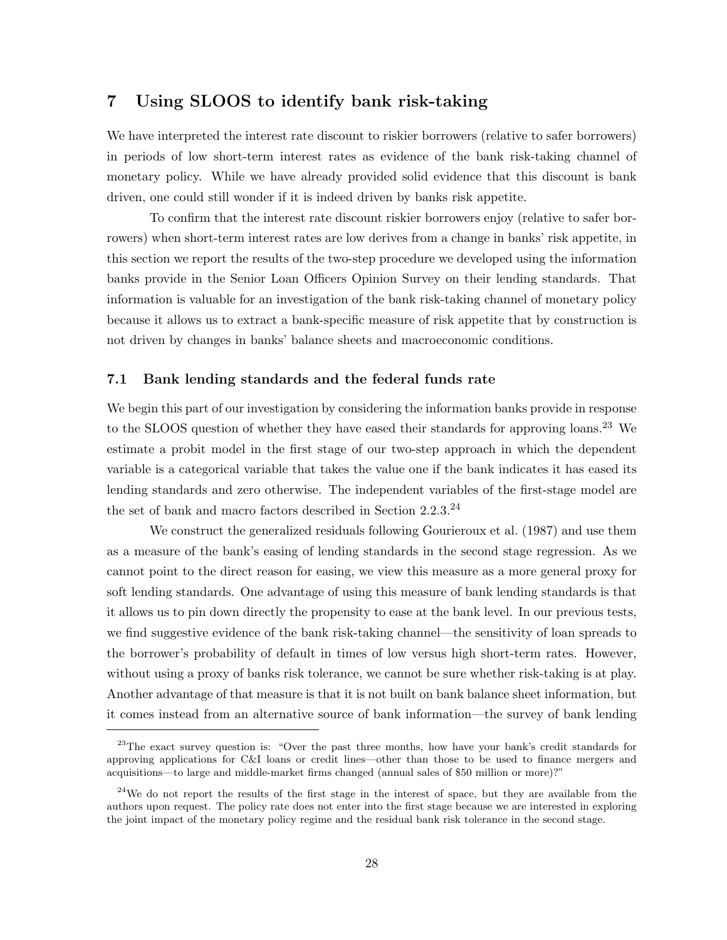# **7 Using SLOOS to identify bank risk-taking**

We have interpreted the interest rate discount to riskier borrowers (relative to safer borrowers) in periods of low short-term interest rates as evidence of the bank risk-taking channel of monetary policy. While we have already provided solid evidence that this discount is bank driven, one could still wonder if it is indeed driven by banks risk appetite.

To confirm that the interest rate discount riskier borrowers enjoy (relative to safer borrowers) when short-term interest rates are low derives from a change in banks' risk appetite, in this section we report the results of the two-step procedure we developed using the information banks provide in the Senior Loan Officers Opinion Survey on their lending standards. That information is valuable for an investigation of the bank risk-taking channel of monetary policy because it allows us to extract a bank-specific measure of risk appetite that by construction is not driven by changes in banks' balance sheets and macroeconomic conditions.

#### **7.1 Bank lending standards and the federal funds rate**

We begin this part of our investigation by considering the information banks provide in response to the SLOOS question of whether they have eased their standards for approving loans.<sup>23</sup> We estimate a probit model in the first stage of our two-step approach in which the dependent variable is a categorical variable that takes the value one if the bank indicates it has eased its lending standards and zero otherwise. The independent variables of the first-stage model are the set of bank and macro factors described in Section  $2.2.3^{24}$ 

We construct the generalized residuals following Gourieroux et al. (1987) and use them as a measure of the bank's easing of lending standards in the second stage regression. As we cannot point to the direct reason for easing, we view this measure as a more general proxy for soft lending standards. One advantage of using this measure of bank lending standards is that it allows us to pin down directly the propensity to ease at the bank level. In our previous tests, we find suggestive evidence of the bank risk-taking channel—the sensitivity of loan spreads to the borrower's probability of default in times of low versus high short-term rates. However, without using a proxy of banks risk tolerance, we cannot be sure whether risk-taking is at play. Another advantage of that measure is that it is not built on bank balance sheet information, but it comes instead from an alternative source of bank information—the survey of bank lending

 $^{23}$ The exact survey question is: "Over the past three months, how have your bank's credit standards for approving applications for C&I loans or credit lines—other than those to be used to finance mergers and acquisitions—to large and middle-market firms changed (annual sales of \$50 million or more)?"

<sup>&</sup>lt;sup>24</sup>We do not report the results of the first stage in the interest of space, but they are available from the authors upon request. The policy rate does not enter into the first stage because we are interested in exploring the joint impact of the monetary policy regime and the residual bank risk tolerance in the second stage.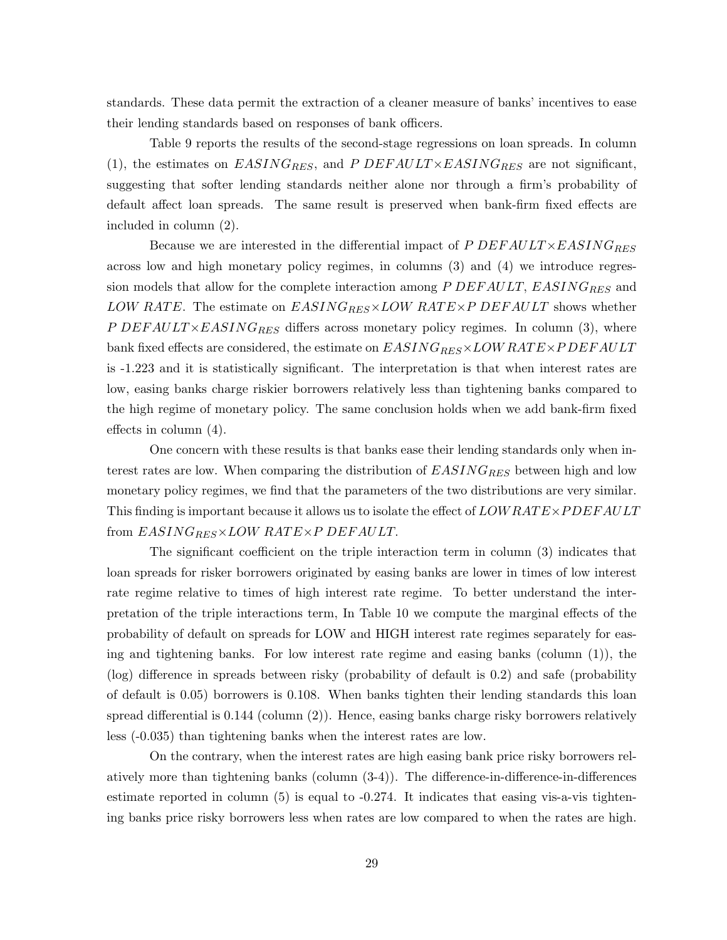standards. These data permit the extraction of a cleaner measure of banks' incentives to ease their lending standards based on responses of bank officers.

Table 9 reports the results of the second-stage regressions on loan spreads. In column (1), the estimates on  $EASING_{RES}$ , and *P DEFAULT* $\times EASING_{RES}$  are not significant, suggesting that softer lending standards neither alone nor through a firm's probability of default affect loan spreads. The same result is preserved when bank-firm fixed effects are included in column (2).

Because we are interested in the differential impact of *P DEF AULT×EASINGRES* across low and high monetary policy regimes, in columns (3) and (4) we introduce regression models that allow for the complete interaction among *P DEF AULT, EASINGRES* and *LOW RAT E*. The estimate on *EASINGRES×LOW RAT E×P DEF AULT* shows whether *P DEF AULT×EASINGRES* differs across monetary policy regimes. In column (3), where bank fixed effects are considered, the estimate on *EASINGRES×LOW RAT E×P DEF AULT* is -1.223 and it is statistically significant. The interpretation is that when interest rates are low, easing banks charge riskier borrowers relatively less than tightening banks compared to the high regime of monetary policy. The same conclusion holds when we add bank-firm fixed effects in column (4).

One concern with these results is that banks ease their lending standards only when interest rates are low. When comparing the distribution of *EASINGRES* between high and low monetary policy regimes, we find that the parameters of the two distributions are very similar. This finding is important because it allows us to isolate the effect of *LOW RAT E×P DEF AULT* from  $EASING_{RES} \times LOW\ RATE \times P \ DEFAULT.$ 

The significant coefficient on the triple interaction term in column (3) indicates that loan spreads for risker borrowers originated by easing banks are lower in times of low interest rate regime relative to times of high interest rate regime. To better understand the interpretation of the triple interactions term, In Table 10 we compute the marginal effects of the probability of default on spreads for LOW and HIGH interest rate regimes separately for easing and tightening banks. For low interest rate regime and easing banks (column (1)), the (log) difference in spreads between risky (probability of default is 0.2) and safe (probability of default is 0.05) borrowers is 0.108. When banks tighten their lending standards this loan spread differential is 0.144 (column (2)). Hence, easing banks charge risky borrowers relatively less (-0.035) than tightening banks when the interest rates are low.

On the contrary, when the interest rates are high easing bank price risky borrowers relatively more than tightening banks (column (3-4)). The difference-in-difference-in-differences estimate reported in column  $(5)$  is equal to  $-0.274$ . It indicates that easing vis-a-vis tightening banks price risky borrowers less when rates are low compared to when the rates are high.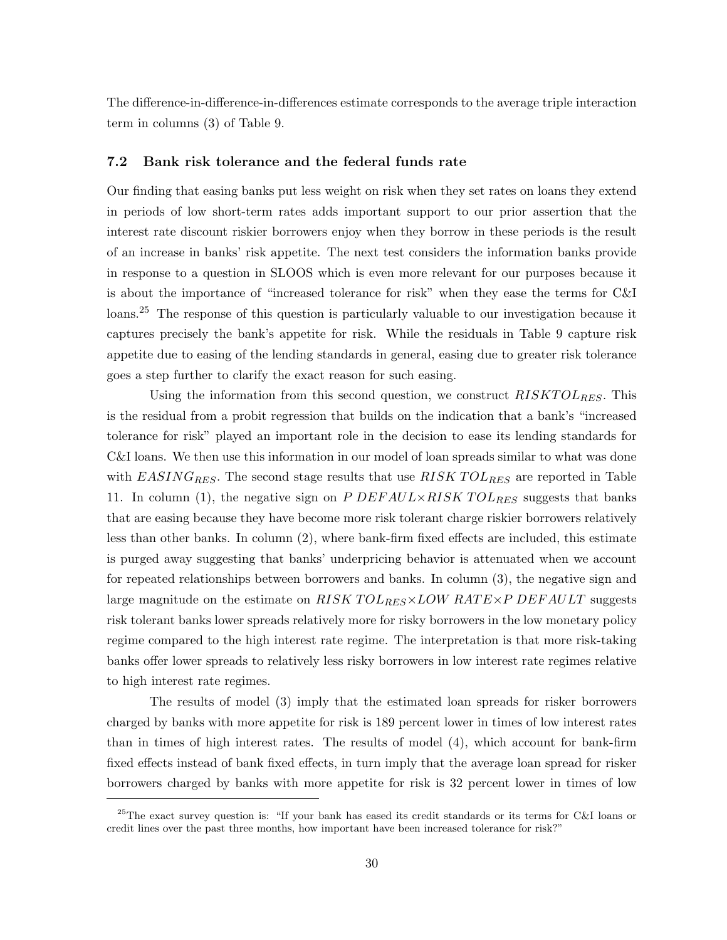The difference-in-difference-in-differences estimate corresponds to the average triple interaction term in columns (3) of Table 9.

#### **7.2 Bank risk tolerance and the federal funds rate**

Our finding that easing banks put less weight on risk when they set rates on loans they extend in periods of low short-term rates adds important support to our prior assertion that the interest rate discount riskier borrowers enjoy when they borrow in these periods is the result of an increase in banks' risk appetite. The next test considers the information banks provide in response to a question in SLOOS which is even more relevant for our purposes because it is about the importance of "increased tolerance for risk" when they ease the terms for C&I loans.<sup>25</sup> The response of this question is particularly valuable to our investigation because it captures precisely the bank's appetite for risk. While the residuals in Table 9 capture risk appetite due to easing of the lending standards in general, easing due to greater risk tolerance goes a step further to clarify the exact reason for such easing.

Using the information from this second question, we construct *RISKT OLRES.* This is the residual from a probit regression that builds on the indication that a bank's "increased tolerance for risk" played an important role in the decision to ease its lending standards for C&I loans. We then use this information in our model of loan spreads similar to what was done with *EASING<sub>RES</sub>*. The second stage results that use *RISK TOL<sub>RES</sub>* are reported in Table 11. In column (1), the negative sign on *P DEFAUL*×*RISK TOL<sub>RES</sub>* suggests that banks that are easing because they have become more risk tolerant charge riskier borrowers relatively less than other banks. In column (2), where bank-firm fixed effects are included, this estimate is purged away suggesting that banks' underpricing behavior is attenuated when we account for repeated relationships between borrowers and banks. In column (3), the negative sign and large magnitude on the estimate on *RISK TOL<sub>RES</sub>*×*LOW RATE*×*P DEFAULT* suggests risk tolerant banks lower spreads relatively more for risky borrowers in the low monetary policy regime compared to the high interest rate regime. The interpretation is that more risk-taking banks offer lower spreads to relatively less risky borrowers in low interest rate regimes relative to high interest rate regimes.

The results of model (3) imply that the estimated loan spreads for risker borrowers charged by banks with more appetite for risk is 189 percent lower in times of low interest rates than in times of high interest rates. The results of model (4), which account for bank-firm fixed effects instead of bank fixed effects, in turn imply that the average loan spread for risker borrowers charged by banks with more appetite for risk is 32 percent lower in times of low

<sup>&</sup>lt;sup>25</sup>The exact survey question is: "If your bank has eased its credit standards or its terms for C&I loans or credit lines over the past three months, how important have been increased tolerance for risk?"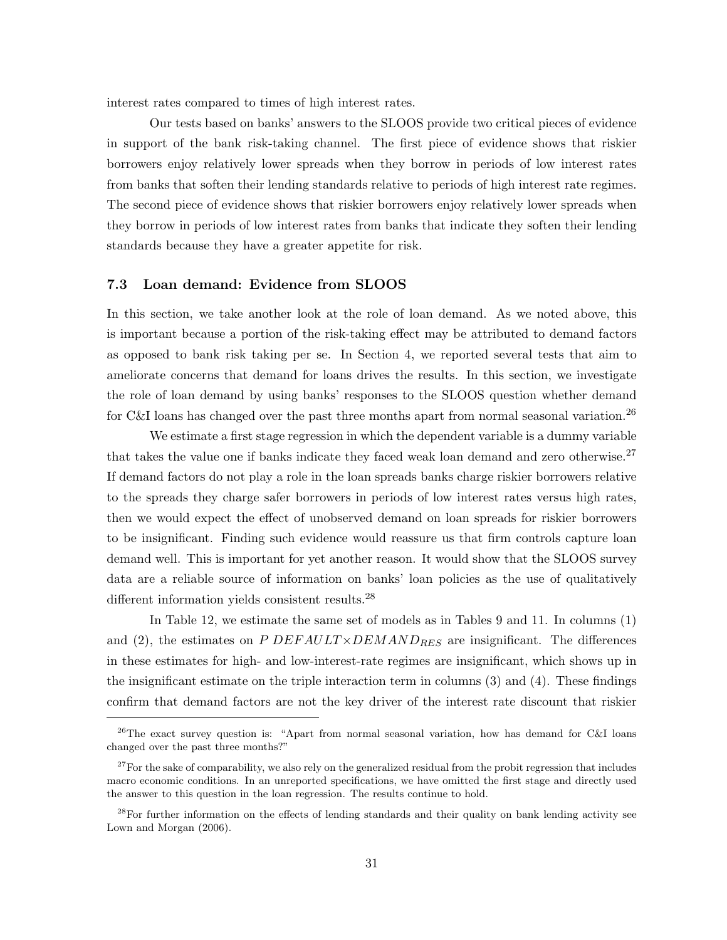interest rates compared to times of high interest rates.

Our tests based on banks' answers to the SLOOS provide two critical pieces of evidence in support of the bank risk-taking channel. The first piece of evidence shows that riskier borrowers enjoy relatively lower spreads when they borrow in periods of low interest rates from banks that soften their lending standards relative to periods of high interest rate regimes. The second piece of evidence shows that riskier borrowers enjoy relatively lower spreads when they borrow in periods of low interest rates from banks that indicate they soften their lending standards because they have a greater appetite for risk.

#### **7.3 Loan demand: Evidence from SLOOS**

In this section, we take another look at the role of loan demand. As we noted above, this is important because a portion of the risk-taking effect may be attributed to demand factors as opposed to bank risk taking per se. In Section 4, we reported several tests that aim to ameliorate concerns that demand for loans drives the results. In this section, we investigate the role of loan demand by using banks' responses to the SLOOS question whether demand for C&I loans has changed over the past three months apart from normal seasonal variation.<sup>26</sup>

We estimate a first stage regression in which the dependent variable is a dummy variable that takes the value one if banks indicate they faced weak loan demand and zero otherwise.<sup>27</sup> If demand factors do not play a role in the loan spreads banks charge riskier borrowers relative to the spreads they charge safer borrowers in periods of low interest rates versus high rates, then we would expect the effect of unobserved demand on loan spreads for riskier borrowers to be insignificant. Finding such evidence would reassure us that firm controls capture loan demand well. This is important for yet another reason. It would show that the SLOOS survey data are a reliable source of information on banks' loan policies as the use of qualitatively different information yields consistent results.<sup>28</sup>

In Table 12, we estimate the same set of models as in Tables 9 and 11. In columns (1) and (2), the estimates on *P DEF AULT×DEMANDRES* are insignificant. The differences in these estimates for high- and low-interest-rate regimes are insignificant, which shows up in the insignificant estimate on the triple interaction term in columns (3) and (4). These findings confirm that demand factors are not the key driver of the interest rate discount that riskier

<sup>&</sup>lt;sup>26</sup>The exact survey question is: "Apart from normal seasonal variation, how has demand for C&I loans changed over the past three months?"

 $27$  For the sake of comparability, we also rely on the generalized residual from the probit regression that includes macro economic conditions. In an unreported specifications, we have omitted the first stage and directly used the answer to this question in the loan regression. The results continue to hold.

<sup>&</sup>lt;sup>28</sup>For further information on the effects of lending standards and their quality on bank lending activity see Lown and Morgan (2006).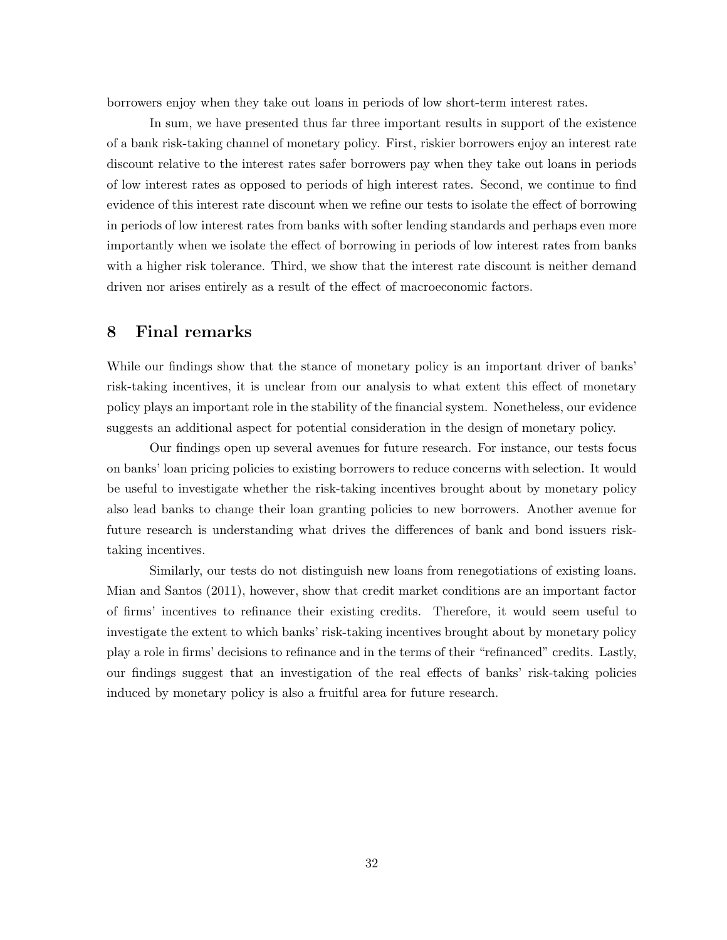borrowers enjoy when they take out loans in periods of low short-term interest rates.

In sum, we have presented thus far three important results in support of the existence of a bank risk-taking channel of monetary policy. First, riskier borrowers enjoy an interest rate discount relative to the interest rates safer borrowers pay when they take out loans in periods of low interest rates as opposed to periods of high interest rates. Second, we continue to find evidence of this interest rate discount when we refine our tests to isolate the effect of borrowing in periods of low interest rates from banks with softer lending standards and perhaps even more importantly when we isolate the effect of borrowing in periods of low interest rates from banks with a higher risk tolerance. Third, we show that the interest rate discount is neither demand driven nor arises entirely as a result of the effect of macroeconomic factors.

# **8 Final remarks**

While our findings show that the stance of monetary policy is an important driver of banks' risk-taking incentives, it is unclear from our analysis to what extent this effect of monetary policy plays an important role in the stability of the financial system. Nonetheless, our evidence suggests an additional aspect for potential consideration in the design of monetary policy.

Our findings open up several avenues for future research. For instance, our tests focus on banks' loan pricing policies to existing borrowers to reduce concerns with selection. It would be useful to investigate whether the risk-taking incentives brought about by monetary policy also lead banks to change their loan granting policies to new borrowers. Another avenue for future research is understanding what drives the differences of bank and bond issuers risktaking incentives.

Similarly, our tests do not distinguish new loans from renegotiations of existing loans. Mian and Santos (2011), however, show that credit market conditions are an important factor of firms' incentives to refinance their existing credits. Therefore, it would seem useful to investigate the extent to which banks' risk-taking incentives brought about by monetary policy play a role in firms' decisions to refinance and in the terms of their "refinanced" credits. Lastly, our findings suggest that an investigation of the real effects of banks' risk-taking policies induced by monetary policy is also a fruitful area for future research.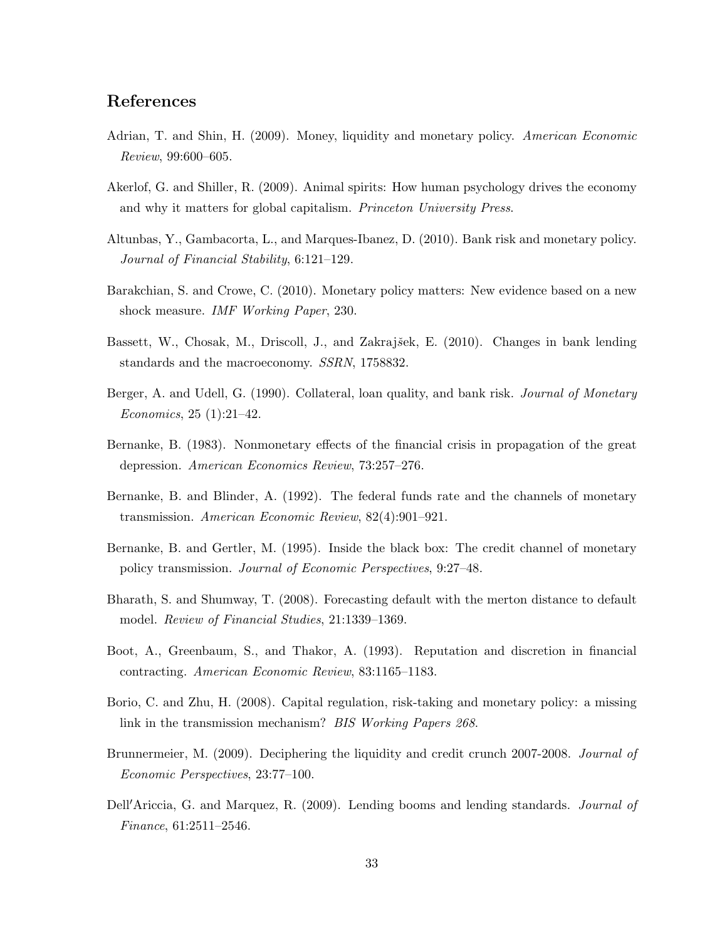# **References**

- Adrian, T. and Shin, H. (2009). Money, liquidity and monetary policy. *American Economic Review*, 99:600–605.
- Akerlof, G. and Shiller, R. (2009). Animal spirits: How human psychology drives the economy and why it matters for global capitalism. *Princeton University Press*.
- Altunbas, Y., Gambacorta, L., and Marques-Ibanez, D. (2010). Bank risk and monetary policy. *Journal of Financial Stability*, 6:121–129.
- Barakchian, S. and Crowe, C. (2010). Monetary policy matters: New evidence based on a new shock measure. *IMF Working Paper*, 230.
- Bassett, W., Chosak, M., Driscoll, J., and Zakrajšek, E. (2010). Changes in bank lending standards and the macroeconomy. *SSRN*, 1758832.
- Berger, A. and Udell, G. (1990). Collateral, loan quality, and bank risk. *Journal of Monetary Economics*, 25 (1):21–42.
- Bernanke, B. (1983). Nonmonetary effects of the financial crisis in propagation of the great depression. *American Economics Review*, 73:257–276.
- Bernanke, B. and Blinder, A. (1992). The federal funds rate and the channels of monetary transmission. *American Economic Review*, 82(4):901–921.
- Bernanke, B. and Gertler, M. (1995). Inside the black box: The credit channel of monetary policy transmission. *Journal of Economic Perspectives*, 9:27–48.
- Bharath, S. and Shumway, T. (2008). Forecasting default with the merton distance to default model. *Review of Financial Studies*, 21:1339–1369.
- Boot, A., Greenbaum, S., and Thakor, A. (1993). Reputation and discretion in financial contracting. *American Economic Review*, 83:1165–1183.
- Borio, C. and Zhu, H. (2008). Capital regulation, risk-taking and monetary policy: a missing link in the transmission mechanism? *BIS Working Papers 268*.
- Brunnermeier, M. (2009). Deciphering the liquidity and credit crunch 2007-2008. *Journal of Economic Perspectives*, 23:77–100.
- Dell*′*Ariccia, G. and Marquez, R. (2009). Lending booms and lending standards. *Journal of Finance*, 61:2511–2546.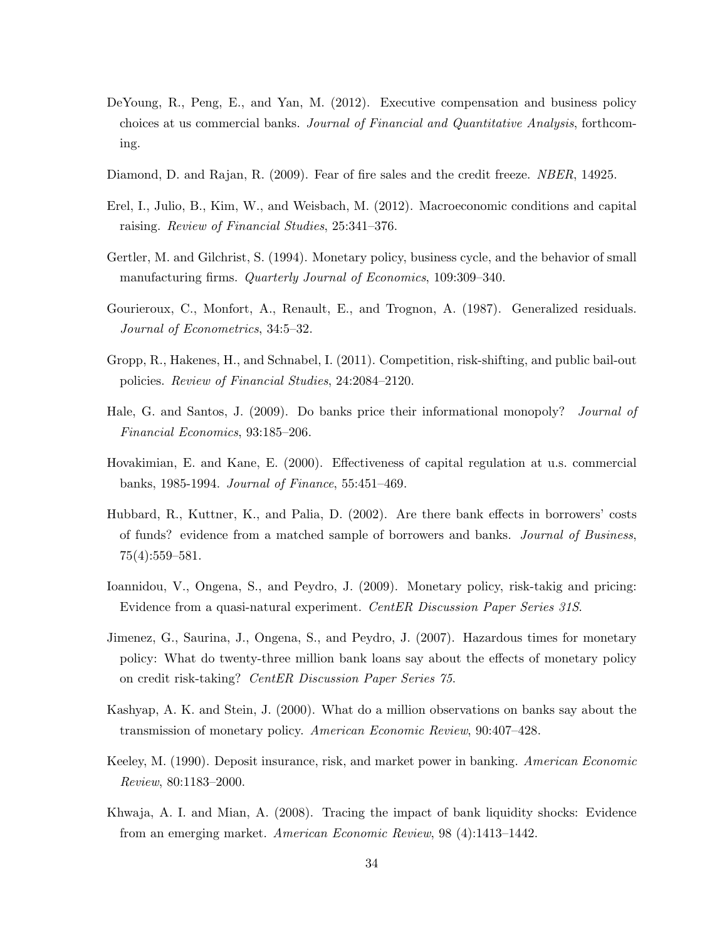- DeYoung, R., Peng, E., and Yan, M. (2012). Executive compensation and business policy choices at us commercial banks. *Journal of Financial and Quantitative Analysis*, forthcoming.
- Diamond, D. and Rajan, R. (2009). Fear of fire sales and the credit freeze. *NBER*, 14925.
- Erel, I., Julio, B., Kim, W., and Weisbach, M. (2012). Macroeconomic conditions and capital raising. *Review of Financial Studies*, 25:341–376.
- Gertler, M. and Gilchrist, S. (1994). Monetary policy, business cycle, and the behavior of small manufacturing firms. *Quarterly Journal of Economics*, 109:309–340.
- Gourieroux, C., Monfort, A., Renault, E., and Trognon, A. (1987). Generalized residuals. *Journal of Econometrics*, 34:5–32.
- Gropp, R., Hakenes, H., and Schnabel, I. (2011). Competition, risk-shifting, and public bail-out policies. *Review of Financial Studies*, 24:2084–2120.
- Hale, G. and Santos, J. (2009). Do banks price their informational monopoly? *Journal of Financial Economics*, 93:185–206.
- Hovakimian, E. and Kane, E. (2000). Effectiveness of capital regulation at u.s. commercial banks, 1985-1994. *Journal of Finance*, 55:451–469.
- Hubbard, R., Kuttner, K., and Palia, D. (2002). Are there bank effects in borrowers' costs of funds? evidence from a matched sample of borrowers and banks. *Journal of Business*, 75(4):559–581.
- Ioannidou, V., Ongena, S., and Peydro, J. (2009). Monetary policy, risk-takig and pricing: Evidence from a quasi-natural experiment. *CentER Discussion Paper Series 31S*.
- Jimenez, G., Saurina, J., Ongena, S., and Peydro, J. (2007). Hazardous times for monetary policy: What do twenty-three million bank loans say about the effects of monetary policy on credit risk-taking? *CentER Discussion Paper Series 75*.
- Kashyap, A. K. and Stein, J. (2000). What do a million observations on banks say about the transmission of monetary policy. *American Economic Review*, 90:407–428.
- Keeley, M. (1990). Deposit insurance, risk, and market power in banking. *American Economic Review*, 80:1183–2000.
- Khwaja, A. I. and Mian, A. (2008). Tracing the impact of bank liquidity shocks: Evidence from an emerging market. *American Economic Review*, 98 (4):1413–1442.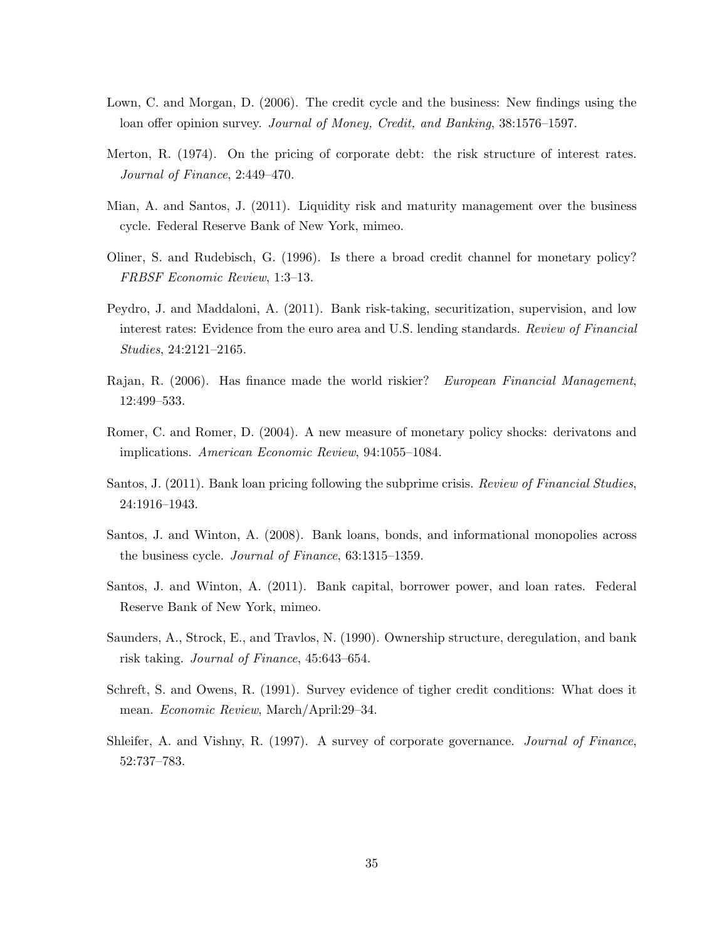- Lown, C. and Morgan, D. (2006). The credit cycle and the business: New findings using the loan offer opinion survey. *Journal of Money, Credit, and Banking*, 38:1576–1597.
- Merton, R. (1974). On the pricing of corporate debt: the risk structure of interest rates. *Journal of Finance*, 2:449–470.
- Mian, A. and Santos, J. (2011). Liquidity risk and maturity management over the business cycle. Federal Reserve Bank of New York, mimeo.
- Oliner, S. and Rudebisch, G. (1996). Is there a broad credit channel for monetary policy? *FRBSF Economic Review*, 1:3–13.
- Peydro, J. and Maddaloni, A. (2011). Bank risk-taking, securitization, supervision, and low interest rates: Evidence from the euro area and U.S. lending standards. *Review of Financial Studies*, 24:2121–2165.
- Rajan, R. (2006). Has finance made the world riskier? *European Financial Management*, 12:499–533.
- Romer, C. and Romer, D. (2004). A new measure of monetary policy shocks: derivatons and implications. *American Economic Review*, 94:1055–1084.
- Santos, J. (2011). Bank loan pricing following the subprime crisis. *Review of Financial Studies*, 24:1916–1943.
- Santos, J. and Winton, A. (2008). Bank loans, bonds, and informational monopolies across the business cycle. *Journal of Finance*, 63:1315–1359.
- Santos, J. and Winton, A. (2011). Bank capital, borrower power, and loan rates. Federal Reserve Bank of New York, mimeo.
- Saunders, A., Strock, E., and Travlos, N. (1990). Ownership structure, deregulation, and bank risk taking. *Journal of Finance*, 45:643–654.
- Schreft, S. and Owens, R. (1991). Survey evidence of tigher credit conditions: What does it mean. *Economic Review*, March/April:29–34.
- Shleifer, A. and Vishny, R. (1997). A survey of corporate governance. *Journal of Finance*, 52:737–783.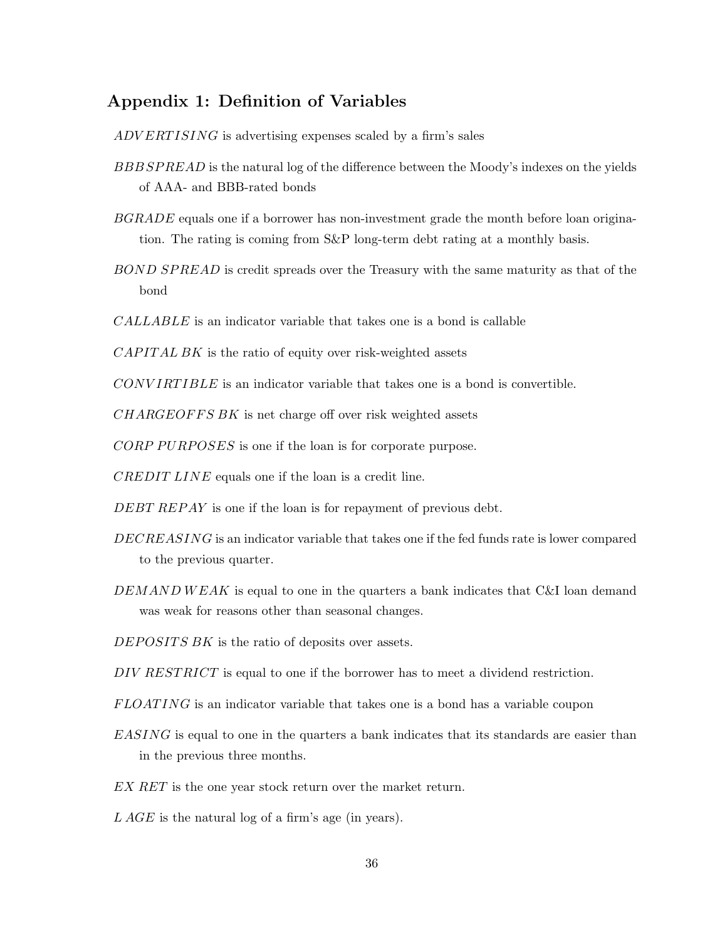# **Appendix 1: Definition of Variables**

- *ADV ERT ISING* is advertising expenses scaled by a firm's sales
- *BBB SP READ* is the natural log of the difference between the Moody's indexes on the yields of AAA- and BBB-rated bonds
- *BGRADE* equals one if a borrower has non-investment grade the month before loan origination. The rating is coming from S&P long-term debt rating at a monthly basis.
- *BOND SP READ* is credit spreads over the Treasury with the same maturity as that of the bond
- *CALLABLE* is an indicator variable that takes one is a bond is callable
- *CAP IT AL BK* is the ratio of equity over risk-weighted assets
- *CONV IRT IBLE* is an indicator variable that takes one is a bond is convertible.

*CHARGEOF F S BK* is net charge off over risk weighted assets

*CORP PURPOSES* is one if the loan is for corporate purpose.

- *CREDIT LINE* equals one if the loan is a credit line.
- *DEBT REP AY* is one if the loan is for repayment of previous debt.
- *DECREASING* is an indicator variable that takes one if the fed funds rate is lower compared to the previous quarter.
- *DEMAND WEAK* is equal to one in the quarters a bank indicates that C&I loan demand was weak for reasons other than seasonal changes.
- *DEP OSIT S BK* is the ratio of deposits over assets.
- *DIV REST RICT* is equal to one if the borrower has to meet a dividend restriction.
- *F LOAT ING* is an indicator variable that takes one is a bond has a variable coupon
- *EASING* is equal to one in the quarters a bank indicates that its standards are easier than in the previous three months.
- *EX RET* is the one year stock return over the market return.
- *L AGE* is the natural log of a firm's age (in years).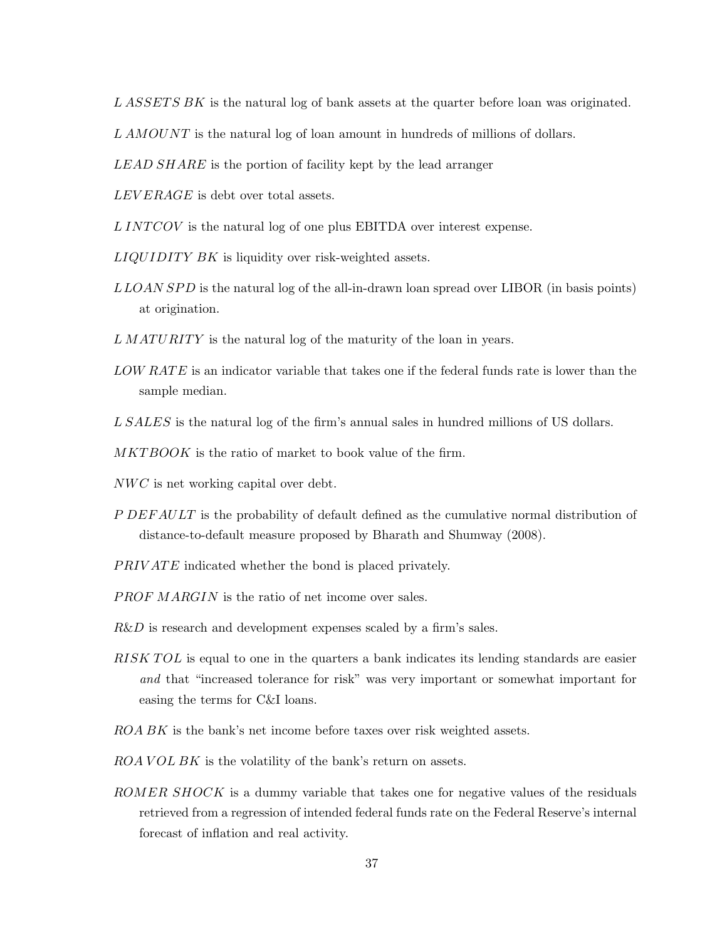- *L ASSET S BK* is the natural log of bank assets at the quarter before loan was originated.
- *L AMOUNT* is the natural log of loan amount in hundreds of millions of dollars.
- *LEAD SHARE* is the portion of facility kept by the lead arranger
- *LEV ERAGE* is debt over total assets.
- *L INT COV* is the natural log of one plus EBITDA over interest expense.
- *LIQUIDITY BK* is liquidity over risk-weighted assets.
- LLOAN SPD is the natural log of the all-in-drawn loan spread over LIBOR (in basis points) at origination.
- L MATURITY is the natural log of the maturity of the loan in years.
- *LOW RAT E* is an indicator variable that takes one if the federal funds rate is lower than the sample median.
- *L SALES* is the natural log of the firm's annual sales in hundred millions of US dollars.
- *MKT BOOK* is the ratio of market to book value of the firm.
- *NWC* is net working capital over debt.
- *P DEF AULT* is the probability of default defined as the cumulative normal distribution of distance-to-default measure proposed by Bharath and Shumway (2008).
- *PRIVATE* indicated whether the bond is placed privately.
- *PROF MARGIN* is the ratio of net income over sales.
- *R*&*D* is research and development expenses scaled by a firm's sales.
- *RISK TOL* is equal to one in the quarters a bank indicates its lending standards are easier *and* that "increased tolerance for risk" was very important or somewhat important for easing the terms for C&I loans.
- *ROA BK* is the bank's net income before taxes over risk weighted assets.
- *ROA VOL BK* is the volatility of the bank's return on assets.
- *ROMER SHOCK* is a dummy variable that takes one for negative values of the residuals retrieved from a regression of intended federal funds rate on the Federal Reserve's internal forecast of inflation and real activity.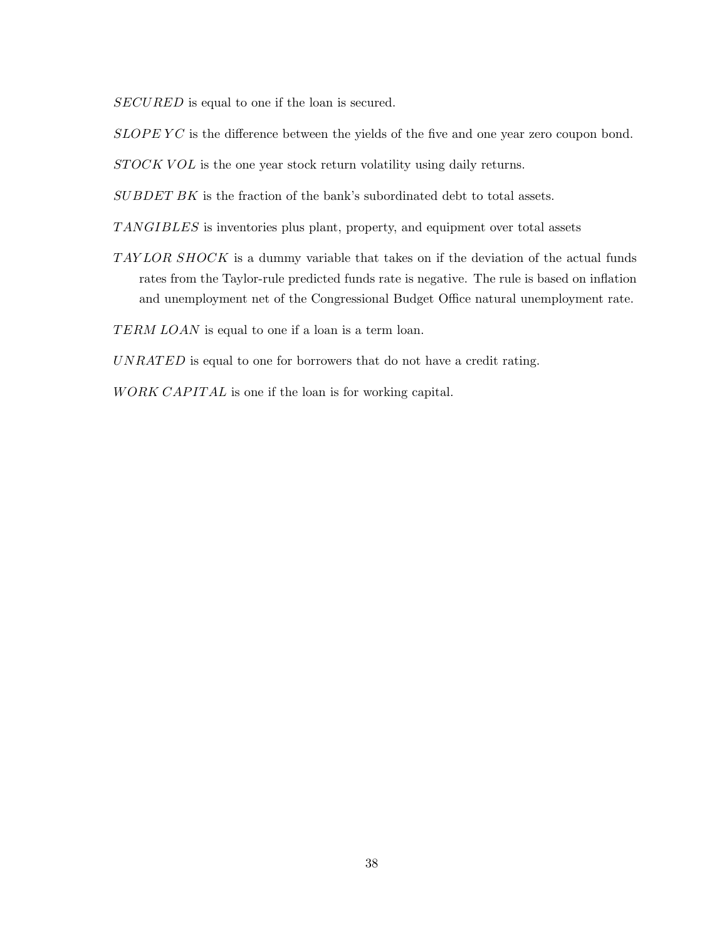*SECURED* is equal to one if the loan is secured.

- *SLOPEYC* is the difference between the yields of the five and one year zero coupon bond.
- *STOCK VOL* is the one year stock return volatility using daily returns.
- *SUBDET BK* is the fraction of the bank's subordinated debt to total assets.
- *T ANGIBLES* is inventories plus plant, property, and equipment over total assets
- *T AY LOR SHOCK* is a dummy variable that takes on if the deviation of the actual funds rates from the Taylor-rule predicted funds rate is negative. The rule is based on inflation and unemployment net of the Congressional Budget Office natural unemployment rate.
- *T ERM LOAN* is equal to one if a loan is a term loan.
- *UNRAT ED* is equal to one for borrowers that do not have a credit rating.
- *WORK CAPITAL* is one if the loan is for working capital.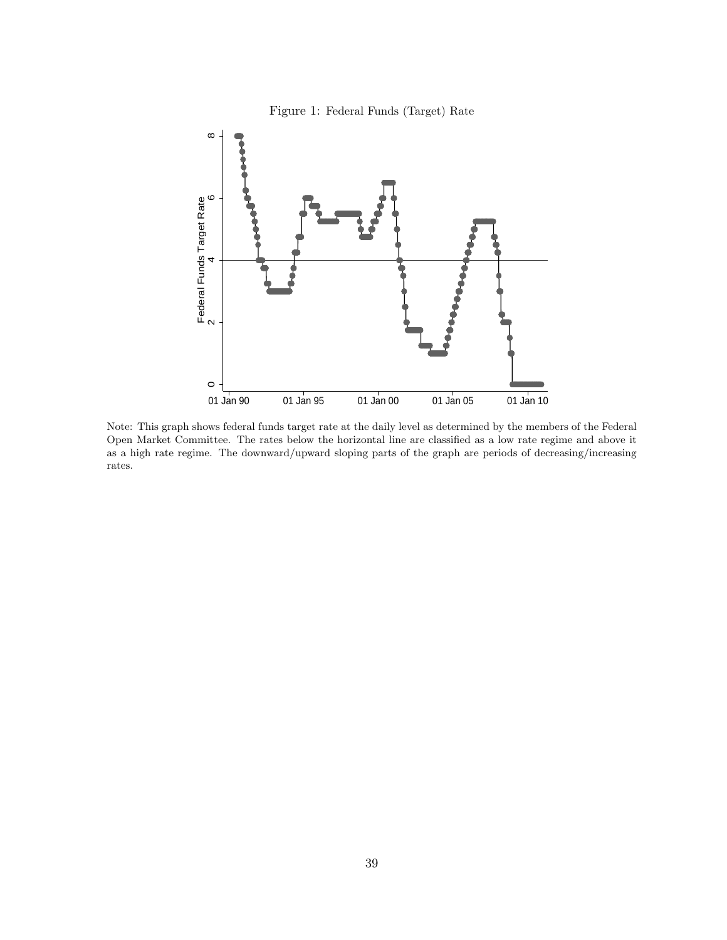

Note: This graph shows federal funds target rate at the daily level as determined by the members of the Federal Open Market Committee. The rates below the horizontal line are classified as a low rate regime and above it as a high rate regime. The downward/upward sloping parts of the graph are periods of decreasing/increasing rates.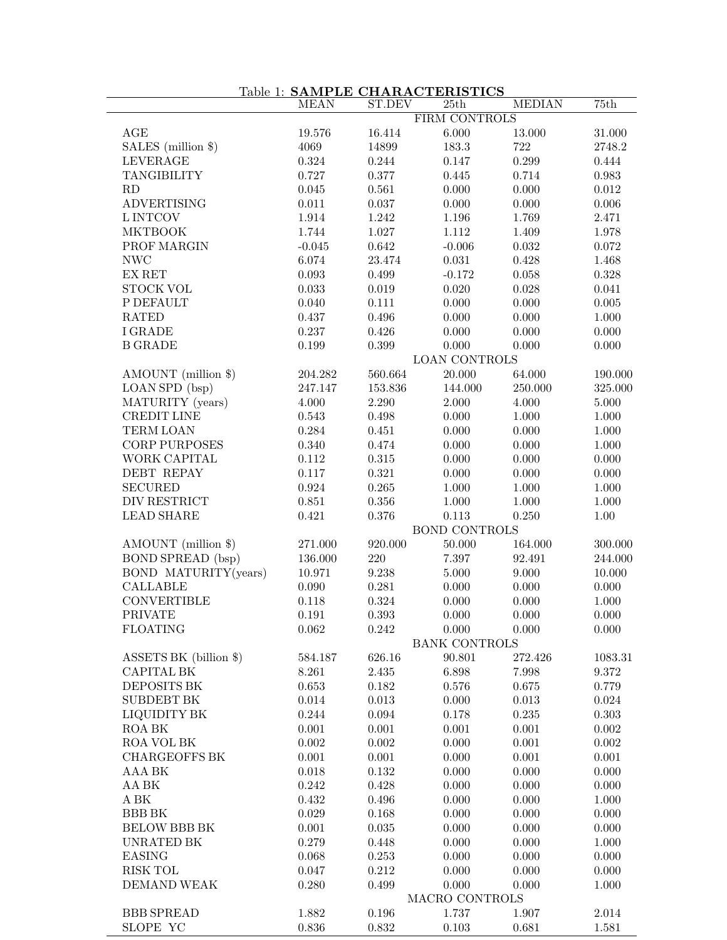# Table 1: **SAMPLE CHARACTERISTICS**

|                                                  | <b>MEAN</b> | ST.DEV    | 25th                          | <b>MEDIAN</b> | 75th              |
|--------------------------------------------------|-------------|-----------|-------------------------------|---------------|-------------------|
|                                                  |             |           | FIRM CONTROLS                 |               |                   |
| AGE                                              | 19.576      | 16.414    | 6.000                         | 13.000        | 31.000            |
| SALES (million \$)                               | 4069        | 14899     | 183.3                         | $722\,$       | 2748.2            |
| <b>LEVERAGE</b>                                  | 0.324       | 0.244     | 0.147                         | 0.299         | 0.444             |
| <b>TANGIBILITY</b>                               | 0.727       | 0.377     | 0.445                         | 0.714         | 0.983             |
| RD                                               | $0.045\,$   | 0.561     | 0.000                         | 0.000         | $0.012\,$         |
| <b>ADVERTISING</b>                               | $0.011\,$   | 0.037     | 0.000                         | 0.000         | $0.006\,$         |
| L INTCOV                                         | 1.914       | 1.242     | 1.196                         | 1.769         | 2.471             |
| <b>MKTBOOK</b>                                   | 1.744       | 1.027     | 1.112                         | 1.409         | 1.978             |
| PROF MARGIN                                      | $-0.045$    | 0.642     | $-0.006$                      | $0.032\,$     | $0.072\,$         |
| <b>NWC</b>                                       | 6.074       | 23.474    | 0.031                         | 0.428         | 1.468             |
| EX RET                                           | 0.093       | 0.499     | $-0.172$                      | 0.058         | 0.328             |
| STOCK VOL                                        | $\,0.033\,$ | 0.019     | 0.020                         | 0.028         | 0.041             |
| P DEFAULT                                        | 0.040       | 0.111     | 0.000                         | 0.000         | $0.005\,$         |
| <b>RATED</b>                                     | 0.437       | $0.496\,$ | 0.000                         | 0.000         | $1.000\,$         |
| <b>I GRADE</b>                                   | 0.237       | 0.426     | 0.000                         | 0.000         | 0.000             |
| <b>B GRADE</b>                                   | 0.199       | 0.399     | $0.000\,$                     | 0.000         | 0.000             |
|                                                  |             |           | <b>LOAN CONTROLS</b>          |               |                   |
| AMOUNT (million \$)                              | 204.282     | 560.664   | 20.000                        | 64.000        | 190.000           |
| LOAN SPD (bsp)                                   | 247.147     | 153.836   | 144.000                       | 250.000       | 325.000           |
| MATURITY (years)                                 | 4.000       | 2.290     | 2.000                         | 4.000         | $5.000\,$         |
| CREDIT LINE                                      | 0.543       | 0.498     | 0.000                         | 1.000         | 1.000             |
| TERM LOAN                                        | 0.284       | 0.451     | 0.000                         | 0.000         | $1.000\,$         |
| <b>CORP PURPOSES</b>                             | 0.340       | 0.474     | 0.000                         | 0.000         | $1.000\,$         |
| WORK CAPITAL                                     | 0.112       | 0.315     | $0.000\,$                     | 0.000         | $0.000\,$         |
| DEBT REPAY                                       | 0.117       | 0.321     | $0.000\,$                     | 0.000         | $0.000\,$         |
| <b>SECURED</b>                                   | $\,0.924\,$ | 0.265     | $1.000\,$                     | 1.000         | $1.000\,$         |
| DIV RESTRICT                                     | 0.851       | 0.356     | $1.000\,$                     | $1.000\,$     | $1.000\,$         |
| <b>LEAD SHARE</b>                                |             |           |                               |               |                   |
|                                                  | 0.421       | $0.376\,$ | 0.113<br><b>BOND CONTROLS</b> | 0.250         | 1.00              |
|                                                  | 271.000     | 920.000   | 50.000                        | 164.000       | 300.000           |
| AMOUNT (million \$)                              |             | 220       |                               | 92.491        |                   |
| <b>BOND SPREAD</b> (bsp)<br>BOND MATURITY(years) | 136.000     | 9.238     | 7.397<br>$5.000\,$            | 9.000         | 244.000<br>10.000 |
|                                                  | 10.971      |           |                               |               |                   |
| <b>CALLABLE</b>                                  | 0.090       | 0.281     | 0.000                         | 0.000         | 0.000             |
| <b>CONVERTIBLE</b>                               | 0.118       | 0.324     | $0.000\,$                     | 0.000         | 1.000             |
| <b>PRIVATE</b>                                   | 0.191       | 0.393     | 0.000                         | 0.000         | 0.000             |
| <b>FLOATING</b>                                  | 0.062       | 0.242     | 0.000                         | $0.000\,$     | 0.000             |
|                                                  |             |           | <b>BANK CONTROLS</b>          |               |                   |
| ASSETS BK (billion \$)                           | 584.187     | 626.16    | 90.801                        | 272.426       | 1083.31           |
| <b>CAPITAL BK</b>                                | 8.261       | 2.435     | 6.898                         | 7.998         | 9.372             |
| DEPOSITS BK                                      | 0.653       | 0.182     | 0.576                         | 0.675         | 0.779             |
| <b>SUBDEBT BK</b>                                | 0.014       | 0.013     | 0.000                         | 0.013         | 0.024             |
| LIQUIDITY BK                                     | 0.244       | 0.094     | 0.178                         | 0.235         | 0.303             |
| ROA BK                                           | 0.001       | 0.001     | 0.001                         | 0.001         | 0.002             |
| ROA VOL BK                                       | 0.002       | 0.002     | 0.000                         | 0.001         | 0.002             |
| <b>CHARGEOFFS BK</b>                             | 0.001       | 0.001     | 0.000                         | 0.001         | 0.001             |
| AAA BK                                           | 0.018       | 0.132     | 0.000                         | 0.000         | 0.000             |
| AA BK                                            | 0.242       | 0.428     | 0.000                         | 0.000         | 0.000             |
| $A$ BK                                           | 0.432       | 0.496     | 0.000                         | 0.000         | 1.000             |
| ${\rm BBB}$ BK                                   | 0.029       | 0.168     | 0.000                         | 0.000         | 0.000             |
| <b>BELOW BBB BK</b>                              | 0.001       | 0.035     | 0.000                         | 0.000         | 0.000             |
| UNRATED BK                                       | 0.279       | 0.448     | 0.000                         | 0.000         | 1.000             |
| <b>EASING</b>                                    | 0.068       | 0.253     | 0.000                         | 0.000         | 0.000             |
| RISK TOL                                         | 0.047       | 0.212     | 0.000                         | 0.000         | 0.000             |
| DEMAND WEAK                                      | 0.280       | 0.499     | 0.000                         | 0.000         | 1.000             |
|                                                  |             |           | MACRO CONTROLS                |               |                   |
| <b>BBB SPREAD</b>                                | 1.882       | 0.196     | 1.737                         | 1.907         | 2.014             |
| SLOPE YC                                         | 0.836       | 0.832     | 0.103                         | 0.681         | 1.581             |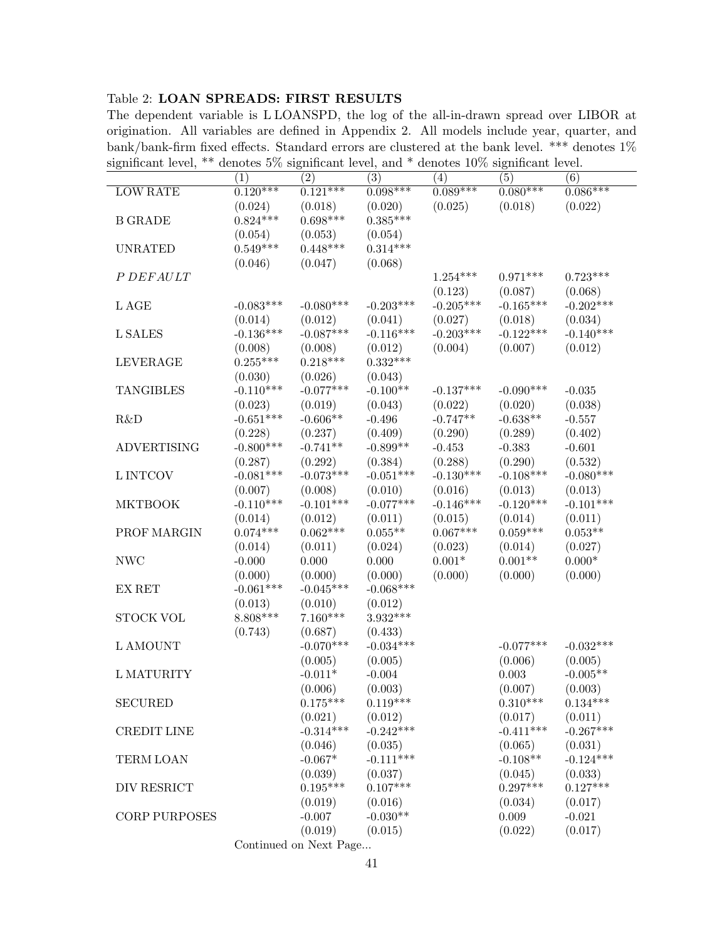#### Table 2: **LOAN SPREADS: FIRST RESULTS**

The dependent variable is L LOANSPD, the log of the all-in-drawn spread over LIBOR at origination. All variables are defined in Appendix 2. All models include year, quarter, and bank/bank-firm fixed effects. Standard errors are clustered at the bank level. \*\*\* denotes  $1\%$ significant level, \*\* denotes 5% significant level, and \* denotes 10% significant level.

| m                     | enotes 970 signmeant level, and |                        |                       | actional to the primerant to |             |                 |
|-----------------------|---------------------------------|------------------------|-----------------------|------------------------------|-------------|-----------------|
|                       | (1)                             | (2)                    | (3)                   | (4)                          | (5)         | (6)             |
| <b>LOW RATE</b>       | $0.120***$                      | $0.121***$             | $0.098***$            | $0.\overline{089***}$        | $0.080***$  | $0.086***$      |
|                       | (0.024)                         | (0.018)                | (0.020)               | (0.025)                      | (0.018)     | (0.022)         |
| <b>B</b> GRADE        | $0.824***$                      | $0.698***$             | $0.385***$            |                              |             |                 |
|                       | (0.054)                         | (0.053)                | (0.054)               |                              |             |                 |
| <b>UNRATED</b>        | $0.549***$                      | $0.448***$             | $0.314***$            |                              |             |                 |
|                       | (0.046)                         | (0.047)                | (0.068)               |                              |             |                 |
| P DEFAULT             |                                 |                        |                       | $1.254***$                   | $0.971***$  | $0.723***$      |
|                       |                                 |                        |                       | (0.123)                      | (0.087)     | (0.068)         |
| ${\rm L}\, {\rm AGE}$ | $-0.083***$                     | $-0.080***$            | $-0.203***$           | $-0.205***$                  | $-0.165***$ | $-0.202***$     |
|                       | (0.014)                         | (0.012)                | (0.041)               | (0.027)                      | (0.018)     | (0.034)         |
| L SALES               | $-0.136***$                     | $-0.087***$            | $-0.116***$           | $-0.203***$                  | $-0.122***$ | $-0.140***$     |
|                       |                                 |                        |                       |                              |             |                 |
|                       | (0.008)                         | (0.008)                | (0.012)               | (0.004)                      | (0.007)     | (0.012)         |
| LEVERAGE              | $0.255***$                      | $0.218***$             | $0.332***$            |                              |             |                 |
|                       | (0.030)                         | (0.026)                | (0.043)               |                              |             |                 |
| <b>TANGIBLES</b>      | $-0.110***$                     | $-0.077***$            | $-0.100**$            | $-0.137***$                  | $-0.090***$ | $-0.035$        |
|                       | (0.023)                         | (0.019)                | (0.043)               | (0.022)                      | (0.020)     | (0.038)         |
| R&D                   | $-0.651***$                     | $-0.606**$             | $-0.496$              | $-0.747**$                   | $-0.638**$  | $-0.557$        |
|                       | (0.228)                         | (0.237)                | (0.409)               | (0.290)                      | (0.289)     | (0.402)         |
| <b>ADVERTISING</b>    | $-0.800***$                     | $-0.741**$             | $-0.899**$            | $-0.453$                     | $-0.383$    | $\mbox{-}0.601$ |
|                       | (0.287)                         | (0.292)                | (0.384)               | (0.288)                      | (0.290)     | (0.532)         |
| L INTCOV              | $-0.081***$                     | $-0.073***$            | $-0.051***$           | $-0.130***$                  | $-0.108***$ | $-0.080***$     |
|                       | (0.007)                         | (0.008)                | (0.010)               | (0.016)                      | (0.013)     | (0.013)         |
| <b>MKTBOOK</b>        | $-0.110***$                     | $-0.101***$            | $-0.077***$           | $-0.146***$                  | $-0.120***$ | $-0.101***$     |
|                       | (0.014)                         | (0.012)                | (0.011)               | (0.015)                      | (0.014)     | (0.011)         |
| PROF MARGIN           | $0.074***$                      | $0.062***$             | $0.055**$             | $0.067***$                   | $0.059***$  | $0.053**$       |
|                       | (0.014)                         | (0.011)                | (0.024)               | (0.023)                      | (0.014)     | (0.027)         |
| <b>NWC</b>            | $-0.000$                        | 0.000                  | 0.000                 | $0.001*$                     | $0.001**$   | $0.000*$        |
|                       | (0.000)                         | (0.000)                | (0.000)               | (0.000)                      | (0.000)     | (0.000)         |
| EX RET                | $-0.061***$                     | $-0.045***$            | $-0.068***$           |                              |             |                 |
|                       |                                 |                        |                       |                              |             |                 |
|                       | (0.013)                         | (0.010)                | (0.012)<br>$3.932***$ |                              |             |                 |
| <b>STOCK VOL</b>      | $8.808***$                      | $7.160***$             |                       |                              |             |                 |
|                       | (0.743)                         | (0.687)                | (0.433)               |                              |             |                 |
| L AMOUNT              |                                 | $-0.070***$            | $-0.034***$           |                              | $-0.077***$ | $-0.032***$     |
|                       |                                 | (0.005)                | (0.005)               |                              | (0.006)     | (0.005)         |
| L MATURITY            |                                 | $-0.011*$              | $-0.004$              |                              | 0.003       | $-0.005**$      |
|                       |                                 | (0.006)                | (0.003)               |                              | (0.007)     | (0.003)         |
| <b>SECURED</b>        |                                 | $0.175***$             | $0.119***$            |                              | $0.310***$  | $0.134***$      |
|                       |                                 | (0.021)                | (0.012)               |                              | (0.017)     | (0.011)         |
| <b>CREDIT LINE</b>    |                                 | $-0.314***$            | $-0.242***$           |                              | $-0.411***$ | $-0.267***$     |
|                       |                                 | (0.046)                | (0.035)               |                              | (0.065)     | (0.031)         |
| TERM LOAN             |                                 | $-0.067*$              | $-0.111***$           |                              | $-0.108**$  | $-0.124***$     |
|                       |                                 | (0.039)                | (0.037)               |                              | (0.045)     | (0.033)         |
| DIV RESRICT           |                                 | $0.195***$             | $0.107***$            |                              | $0.297***$  | $0.127***$      |
|                       |                                 | (0.019)                | (0.016)               |                              | (0.034)     | (0.017)         |
| <b>CORP PURPOSES</b>  |                                 | $-0.007$               | $-0.030**$            |                              | 0.009       | $-0.021$        |
|                       |                                 | (0.019)                | (0.015)               |                              | (0.022)     | (0.017)         |
|                       |                                 | Continued on Next Page |                       |                              |             |                 |
|                       |                                 |                        |                       |                              |             |                 |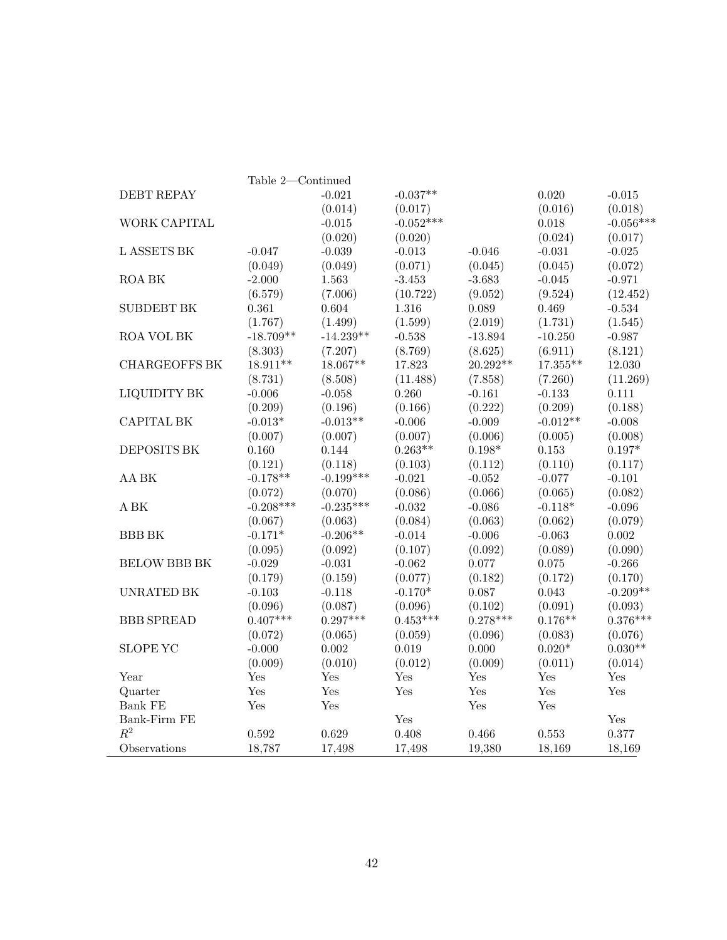| $-0.021$<br>$-0.037**$<br>0.020<br>$-0.015$<br><b>DEBT REPAY</b><br>(0.014)<br>(0.016)<br>(0.018)<br>(0.017)<br>$-0.052***$<br><b>WORK CAPITAL</b><br>$-0.015$<br>$0.018\,$<br>(0.020)<br>(0.024)<br>(0.020)<br>(0.017)<br>L ASSETS BK<br>$-0.039$<br>$-0.013$<br>$-0.031$<br>$-0.025$<br>$-0.047$<br>$-0.046$<br>(0.049)<br>(0.049)<br>(0.071)<br>(0.045)<br>(0.045)<br>(0.072)<br>$\rm{ROA}$ $\rm{BK}$<br>$-2.000$<br>1.563<br>$-3.683$<br>$-0.045$<br>$-0.971$<br>$-3.453$ | Table 2-Continued |         |          |         |         |             |
|-------------------------------------------------------------------------------------------------------------------------------------------------------------------------------------------------------------------------------------------------------------------------------------------------------------------------------------------------------------------------------------------------------------------------------------------------------------------------------|-------------------|---------|----------|---------|---------|-------------|
|                                                                                                                                                                                                                                                                                                                                                                                                                                                                               |                   |         |          |         |         |             |
|                                                                                                                                                                                                                                                                                                                                                                                                                                                                               |                   |         |          |         |         |             |
|                                                                                                                                                                                                                                                                                                                                                                                                                                                                               |                   |         |          |         |         | $-0.056***$ |
|                                                                                                                                                                                                                                                                                                                                                                                                                                                                               |                   |         |          |         |         |             |
|                                                                                                                                                                                                                                                                                                                                                                                                                                                                               |                   |         |          |         |         |             |
|                                                                                                                                                                                                                                                                                                                                                                                                                                                                               |                   |         |          |         |         |             |
|                                                                                                                                                                                                                                                                                                                                                                                                                                                                               |                   |         |          |         |         |             |
|                                                                                                                                                                                                                                                                                                                                                                                                                                                                               | (6.579)           | (7.006) | (10.722) | (9.052) | (9.524) | (12.452)    |
| 0.089<br>0.469<br>0.361<br>0.604<br>1.316<br>$-0.534$<br><b>SUBDEBT BK</b>                                                                                                                                                                                                                                                                                                                                                                                                    |                   |         |          |         |         |             |
| (1.599)<br>(2.019)<br>(1.731)<br>(1.545)<br>(1.767)<br>(1.499)                                                                                                                                                                                                                                                                                                                                                                                                                |                   |         |          |         |         |             |
| $-18.709**$<br>$-14.239**$<br>ROA VOL BK<br>$-0.538$<br>$-13.894$<br>$-10.250$<br>$-0.987$                                                                                                                                                                                                                                                                                                                                                                                    |                   |         |          |         |         |             |
| (8.303)<br>(8.769)<br>(8.625)<br>(6.911)<br>(8.121)<br>(7.207)                                                                                                                                                                                                                                                                                                                                                                                                                |                   |         |          |         |         |             |
| 20.292**<br>17.355**<br>$18.911**$<br>18.067**<br>17.823<br>12.030<br><b>CHARGEOFFS BK</b>                                                                                                                                                                                                                                                                                                                                                                                    |                   |         |          |         |         |             |
| (11.488)<br>(8.731)<br>(8.508)<br>(7.858)<br>(7.260)                                                                                                                                                                                                                                                                                                                                                                                                                          |                   |         |          |         |         | (11.269)    |
| 0.260<br>LIQUIDITY BK<br>$-0.006$<br>$-0.058$<br>$-0.161$<br>$-0.133$<br>0.111                                                                                                                                                                                                                                                                                                                                                                                                |                   |         |          |         |         |             |
| (0.222)<br>(0.209)<br>(0.196)<br>(0.166)<br>(0.209)<br>(0.188)                                                                                                                                                                                                                                                                                                                                                                                                                |                   |         |          |         |         |             |
| $-0.013**$<br>$-0.012**$<br><b>CAPITAL BK</b><br>$-0.013*$<br>$-0.006$<br>$-0.009$<br>$-0.008$                                                                                                                                                                                                                                                                                                                                                                                |                   |         |          |         |         |             |
| (0.007)<br>(0.006)<br>(0.007)<br>(0.007)<br>(0.005)<br>(0.008)                                                                                                                                                                                                                                                                                                                                                                                                                |                   |         |          |         |         |             |
| 0.144<br>$0.263**$<br>$0.198*$<br>$0.197*$<br>DEPOSITS BK<br>0.160<br>0.153                                                                                                                                                                                                                                                                                                                                                                                                   |                   |         |          |         |         |             |
| (0.121)<br>(0.118)<br>(0.103)<br>(0.112)<br>(0.110)<br>(0.117)                                                                                                                                                                                                                                                                                                                                                                                                                |                   |         |          |         |         |             |
| $-0.199***$<br>$-0.178**$<br>$-0.021$<br>$-0.101$<br>AA BK<br>$-0.052$<br>$-0.077$                                                                                                                                                                                                                                                                                                                                                                                            |                   |         |          |         |         |             |
| (0.072)<br>(0.070)<br>(0.086)<br>(0.066)<br>(0.065)<br>(0.082)                                                                                                                                                                                                                                                                                                                                                                                                                |                   |         |          |         |         |             |
| $-0.208***$<br>$-0.235***$<br>$-0.032$<br>$-0.086$<br>$-0.118*$<br>$-0.096$<br>A BK                                                                                                                                                                                                                                                                                                                                                                                           |                   |         |          |         |         |             |
| (0.084)<br>(0.063)<br>(0.062)<br>(0.079)<br>(0.067)<br>(0.063)                                                                                                                                                                                                                                                                                                                                                                                                                |                   |         |          |         |         |             |
| $-0.171*$<br>$-0.206**$<br>$-0.014$<br>$-0.006$<br>0.002<br><b>BBB BK</b><br>$-0.063$                                                                                                                                                                                                                                                                                                                                                                                         |                   |         |          |         |         |             |
| (0.089)<br>(0.095)<br>(0.092)<br>(0.107)<br>(0.092)<br>(0.090)                                                                                                                                                                                                                                                                                                                                                                                                                |                   |         |          |         |         |             |
| <b>BELOW BBB BK</b><br>$-0.029$<br>$-0.031$<br>$-0.062$<br>0.077<br>0.075<br>$-0.266$                                                                                                                                                                                                                                                                                                                                                                                         |                   |         |          |         |         |             |
| (0.179)<br>(0.159)<br>(0.077)<br>(0.182)<br>(0.172)<br>(0.170)                                                                                                                                                                                                                                                                                                                                                                                                                |                   |         |          |         |         |             |
| $-0.170*$<br>0.087<br>0.043<br><b>UNRATED BK</b><br>$-0.103$<br>$-0.118$                                                                                                                                                                                                                                                                                                                                                                                                      |                   |         |          |         |         | $-0.209**$  |
| (0.096)<br>(0.087)<br>(0.096)<br>(0.102)<br>(0.091)<br>(0.093)                                                                                                                                                                                                                                                                                                                                                                                                                |                   |         |          |         |         |             |
| $0.407***$<br>$0.297***$<br>$0.453***$<br>$0.278***$<br>$0.176**$<br><b>BBB SPREAD</b>                                                                                                                                                                                                                                                                                                                                                                                        |                   |         |          |         |         | $0.376***$  |
| (0.072)<br>(0.065)<br>(0.059)<br>(0.096)<br>(0.083)<br>(0.076)                                                                                                                                                                                                                                                                                                                                                                                                                |                   |         |          |         |         |             |
| $0.020*$<br>0.000<br>$-0.000$<br>0.002<br>0.019<br><b>SLOPE YC</b>                                                                                                                                                                                                                                                                                                                                                                                                            |                   |         |          |         |         | $0.030**$   |
| (0.009)<br>(0.009)<br>(0.010)<br>(0.012)<br>(0.011)<br>(0.014)                                                                                                                                                                                                                                                                                                                                                                                                                |                   |         |          |         |         |             |
| Yes<br>Yes<br>Yes<br>Yes<br>Yes<br>Yes<br>Year                                                                                                                                                                                                                                                                                                                                                                                                                                |                   |         |          |         |         |             |
| Quarter<br>Yes<br>Yes<br>Yes<br>Yes<br>Yes<br>Yes                                                                                                                                                                                                                                                                                                                                                                                                                             |                   |         |          |         |         |             |
| Yes<br>Yes<br>Yes<br>Yes<br><b>Bank FE</b>                                                                                                                                                                                                                                                                                                                                                                                                                                    |                   |         |          |         |         |             |
| Bank-Firm FE<br>Yes<br>Yes                                                                                                                                                                                                                                                                                                                                                                                                                                                    |                   |         |          |         |         |             |
| $\mathbb{R}^2$<br>0.408<br>0.377<br>0.592<br>0.629<br>0.466<br>0.553                                                                                                                                                                                                                                                                                                                                                                                                          |                   |         |          |         |         |             |
| 19,380<br>18,169<br>Observations<br>18,787<br>17,498<br>17,498<br>18,169                                                                                                                                                                                                                                                                                                                                                                                                      |                   |         |          |         |         |             |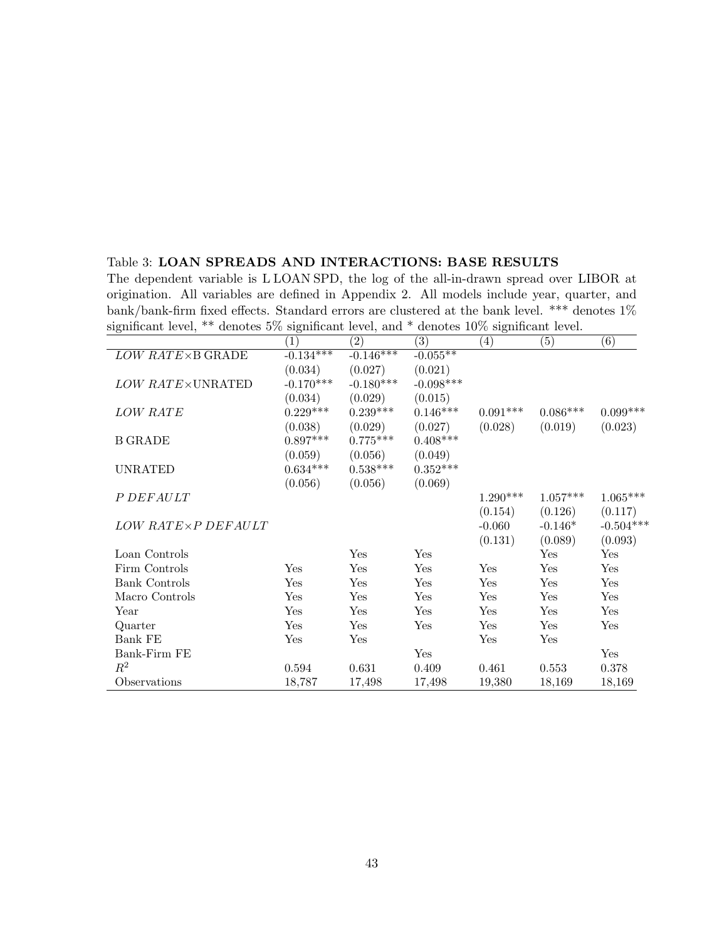Table 3: **LOAN SPREADS AND INTERACTIONS: BASE RESULTS**

The dependent variable is L LOAN SPD, the log of the all-in-drawn spread over LIBOR at origination. All variables are defined in Appendix 2. All models include year, quarter, and bank/bank-firm fixed effects. Standard errors are clustered at the bank level. \*\*\* denotes 1% significant level, \*\* denotes 5% significant level, and \* denotes 10% significant level.

|                             | っ<br>$\left( 1\right)$ | $\left( 2\right)$ | (3)          | っ<br>$\left( 4\right)$ | (5)        | $\overline{(6)}$ |
|-----------------------------|------------------------|-------------------|--------------|------------------------|------------|------------------|
| $LOW$ $RATE \times B$ GRADE | $-0.134***$            | $-0.146***$       | $-0.055**$   |                        |            |                  |
|                             | (0.034)                | (0.027)           | (0.021)      |                        |            |                  |
| LOW RATE×UNRATED            | $-0.170***$            | $-0.180***$       | $-0.098***$  |                        |            |                  |
|                             | (0.034)                | (0.029)           | (0.015)      |                        |            |                  |
| <i>LOW RATE</i>             | $0.229***$             | $0.239***$        | $0.146***$   | $0.091***$             | $0.086***$ | $0.099^{***}\,$  |
|                             | (0.038)                | (0.029)           | (0.027)      | (0.028)                | (0.019)    | (0.023)          |
| <b>B GRADE</b>              | $0.897***$             | $0.775***$        | $0.408***$   |                        |            |                  |
|                             | (0.059)                | (0.056)           | (0.049)      |                        |            |                  |
| <b>UNRATED</b>              | $0.634***$             | $0.538***$        | $0.352***$   |                        |            |                  |
|                             | (0.056)                | (0.056)           | (0.069)      |                        |            |                  |
| P DEFAULT                   |                        |                   |              | $1.290***$             | $1.057***$ | $1.065^{***}\,$  |
|                             |                        |                   |              | (0.154)                | (0.126)    | (0.117)          |
| LOW RATEXP DEFAULT          |                        |                   |              | $-0.060$               | $-0.146*$  | $-0.504***$      |
|                             |                        |                   |              | (0.131)                | (0.089)    | (0.093)          |
| Loan Controls               |                        | Yes               | Yes          |                        | Yes        | Yes              |
| Firm Controls               | Yes                    | Yes               | Yes          | Yes                    | Yes        | Yes              |
| <b>Bank Controls</b>        | Yes                    | Yes               | Yes          | Yes                    | Yes        | Yes              |
| Macro Controls              | Yes                    | Yes               | Yes          | Yes                    | Yes        | Yes              |
| Year                        | Yes                    | Yes               | Yes          | Yes                    | Yes        | Yes              |
| Quarter                     | Yes                    | Yes               | $_{\rm Yes}$ | Yes                    | Yes        | Yes              |
| Bank FE                     | Yes                    | Yes               |              | Yes                    | Yes        |                  |
| Bank-Firm FE                |                        |                   | Yes          |                        |            | Yes              |
| $\mathbb{R}^2$              | 0.594                  | 0.631             | 0.409        | 0.461                  | 0.553      | $0.378\,$        |
| Observations                | 18,787                 | 17,498            | 17,498       | 19,380                 | 18,169     | 18,169           |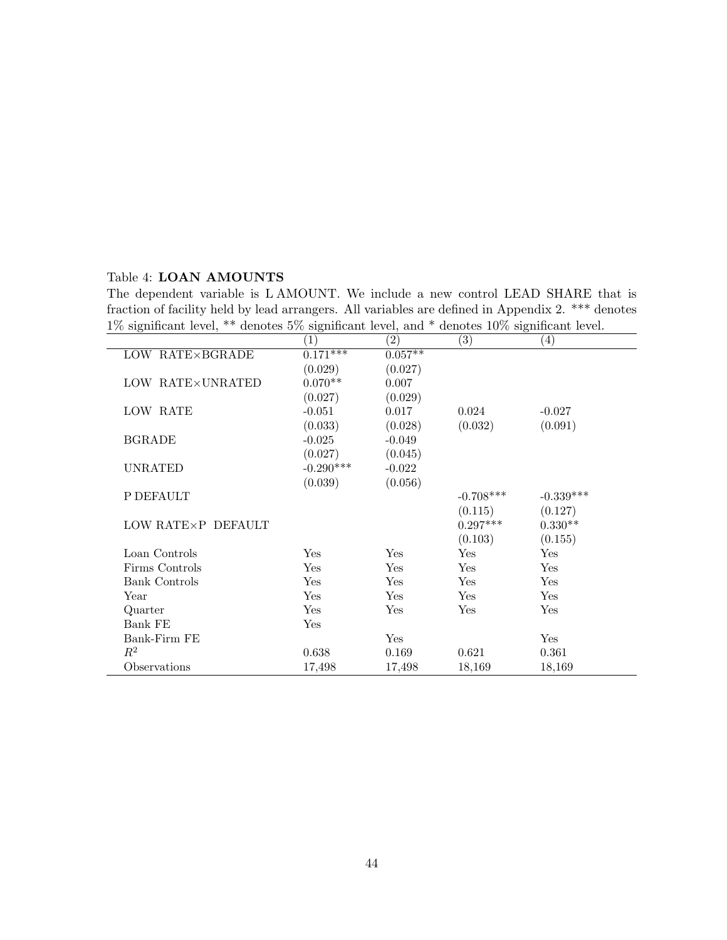#### Table 4: **LOAN AMOUNTS**

The dependent variable is L AMOUNT. We include a new control LEAD SHARE that is fraction of facility held by lead arrangers. All variables are defined in Appendix 2. \*\*\* denotes 1% significant level, \*\* denotes 5% significant level, and \* denotes 10% significant level.

|                      | $\check{ }$       |                   |             |                  |
|----------------------|-------------------|-------------------|-------------|------------------|
|                      | $\left( 1\right)$ | $\left( 2\right)$ | (3)         | $\left(4\right)$ |
| LOW RATE×BGRADE      | $0.171***$        | $0.057**$         |             |                  |
|                      | (0.029)           | (0.027)           |             |                  |
| LOW RATE×UNRATED     | $0.070**$         | 0.007             |             |                  |
|                      | (0.027)           | (0.029)           |             |                  |
| LOW RATE             | $-0.051$          | 0.017             | 0.024       | $-0.027$         |
|                      | (0.033)           | (0.028)           | (0.032)     | (0.091)          |
| <b>BGRADE</b>        | $-0.025$          | $-0.049$          |             |                  |
|                      | (0.027)           | (0.045)           |             |                  |
| <b>UNRATED</b>       | $-0.290***$       | $-0.022$          |             |                  |
|                      | (0.039)           | (0.056)           |             |                  |
| P DEFAULT            |                   |                   | $-0.708***$ | $-0.339***$      |
|                      |                   |                   | (0.115)     | (0.127)          |
| LOW RATE×P DEFAULT   |                   |                   | $0.297***$  | $0.330**$        |
|                      |                   |                   | (0.103)     | (0.155)          |
| Loan Controls        | Yes               | Yes               | Yes         | Yes              |
| Firms Controls       | Yes               | Yes               | Yes         | Yes              |
| <b>Bank Controls</b> | Yes               | Yes               | Yes         | Yes              |
| Year                 | Yes               | Yes               | Yes         | Yes              |
| Quarter              | Yes               | Yes               | Yes         | Yes              |
| Bank FE              | Yes               |                   |             |                  |
| Bank-Firm FE         |                   | Yes               |             | Yes              |
| $R^2$                | 0.638             | 0.169             | 0.621       | 0.361            |
| Observations         | 17,498            | 17,498            | 18,169      | 18,169           |
|                      |                   |                   |             |                  |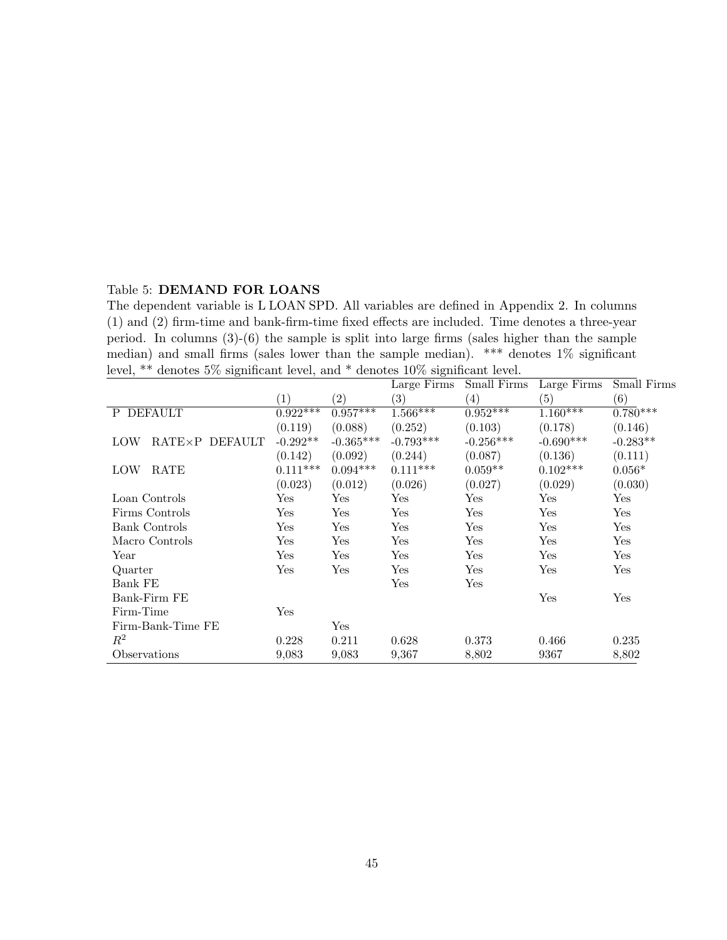#### Table 5: **DEMAND FOR LOANS**

The dependent variable is L LOAN SPD. All variables are defined in Appendix 2. In columns (1) and (2) firm-time and bank-firm-time fixed effects are included. Time denotes a three-year period. In columns (3)-(6) the sample is split into large firms (sales higher than the sample median) and small firms (sales lower than the sample median). \*\*\* denotes 1% significant level, \*\* denotes 5% significant level, and \* denotes 10% significant level.

|                                         |                       |                      | Large Firms       | Small Firms          | Large Firms | Small Firms |
|-----------------------------------------|-----------------------|----------------------|-------------------|----------------------|-------------|-------------|
|                                         | (1)                   | $\left( 2\right)$    | $\left( 3\right)$ | $\left( 4\right)$    | (5)         | (6)         |
| P DEFAULT                               | $0.\overline{922***}$ | $0.957***$           | $1.566***$        | $0.952***$           | $1.160***$  | $0.780***$  |
|                                         | (0.119)               | (0.088)              | (0.252)           | (0.103)              | (0.178)     | (0.146)     |
| LOW<br>$RATE\times P$<br><b>DEFAULT</b> | $-0.292**$            | $-0.365***$          | $-0.793***$       | $-0.256***$          | $-0.690***$ | $-0.283**$  |
|                                         | (0.142)               | (0.092)              | (0.244)           | (0.087)              | (0.136)     | (0.111)     |
| RATE<br>LOW                             | $0.111***$            | $0.094***$           | $0.111***$        | $0.059**$            | $0.102***$  | $0.056*$    |
|                                         | (0.023)               | (0.012)              | (0.026)           | (0.027)              | (0.029)     | (0.030)     |
| Loan Controls                           | Yes                   | $\operatorname{Yes}$ | Yes               | $\operatorname{Yes}$ | Yes         | Yes         |
| Firms Controls                          | Yes                   | Yes                  | Yes               | Yes                  | Yes         | Yes         |
| <b>Bank Controls</b>                    | Yes                   | Yes                  | Yes               | $\operatorname{Yes}$ | Yes         | Yes         |
| Macro Controls                          | Yes                   | Yes                  | Yes               | Yes                  | Yes         | Yes         |
| Year                                    | Yes                   | Yes                  | Yes               | Yes                  | Yes         | Yes         |
| Quarter                                 | Yes                   | Yes                  | Yes               | Yes                  | Yes         | Yes         |
| Bank FE                                 |                       |                      | Yes               | Yes                  |             |             |
| Bank-Firm FE                            |                       |                      |                   |                      | Yes         | Yes         |
| Firm-Time                               | Yes                   |                      |                   |                      |             |             |
| Firm-Bank-Time FE                       |                       | Yes                  |                   |                      |             |             |
| $R^2$                                   | 0.228                 | 0.211                | 0.628             | 0.373                | 0.466       | 0.235       |
| Observations                            | 9,083                 | 9,083                | 9,367             | 8,802                | 9367        | 8,802       |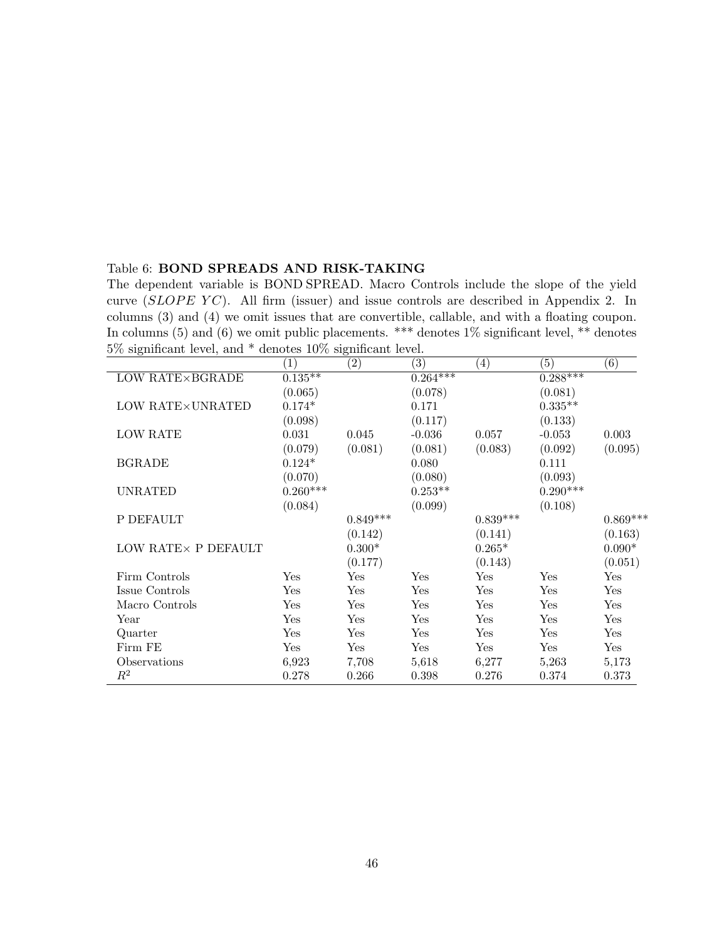#### Table 6: **BOND SPREADS AND RISK-TAKING**

The dependent variable is BOND SPREAD. Macro Controls include the slope of the yield curve (*SLOPE YC*). All firm (issuer) and issue controls are described in Appendix 2. In columns (3) and (4) we omit issues that are convertible, callable, and with a floating coupon. In columns (5) and (6) we omit public placements. \*\*\* denotes  $1\%$  significant level, \*\* denotes 5% significant level, and \* denotes 10% significant level.

|                             | $\left(1\right)$ | $\left( 2\right)$ | (3)                   | $\left( 4\right)$ | (5)        | (6)        |
|-----------------------------|------------------|-------------------|-----------------------|-------------------|------------|------------|
| LOW RATE×BGRADE             | $0.135***$       |                   | $0.\overline{264***}$ |                   | $0.288***$ |            |
|                             | (0.065)          |                   | (0.078)               |                   | (0.081)    |            |
| LOW RATE×UNRATED            | $0.174*$         |                   | 0.171                 |                   | $0.335**$  |            |
|                             | (0.098)          |                   | (0.117)               |                   | (0.133)    |            |
| <b>LOW RATE</b>             | 0.031            | 0.045             | $-0.036$              | 0.057             | $-0.053$   | 0.003      |
|                             | (0.079)          | (0.081)           | (0.081)               | (0.083)           | (0.092)    | (0.095)    |
| <b>BGRADE</b>               | $0.124*$         |                   | 0.080                 |                   | 0.111      |            |
|                             | (0.070)          |                   | (0.080)               |                   | (0.093)    |            |
| <b>UNRATED</b>              | $0.260***$       |                   | $0.253**$             |                   | $0.290***$ |            |
|                             | (0.084)          |                   | (0.099)               |                   | (0.108)    |            |
| P DEFAULT                   |                  | $0.849***$        |                       | $0.839***$        |            | $0.869***$ |
|                             |                  | (0.142)           |                       | (0.141)           |            | (0.163)    |
| LOW RATE $\times$ P DEFAULT |                  | $0.300*$          |                       | $0.265*$          |            | $0.090*$   |
|                             |                  | (0.177)           |                       | (0.143)           |            | (0.051)    |
| Firm Controls               | Yes              | Yes               | Yes                   | Yes               | Yes        | Yes        |
| Issue Controls              | Yes              | Yes               | Yes                   | Yes               | Yes        | Yes        |
| Macro Controls              | Yes              | Yes               | Yes                   | Yes               | Yes        | Yes        |
| Year                        | Yes              | Yes               | Yes                   | Yes               | Yes        | Yes        |
| Quarter                     | Yes              | Yes               | Yes                   | Yes               | Yes        | Yes        |
| Firm FE                     | Yes              | Yes               | Yes                   | Yes               | Yes        | Yes        |
| Observations                | 6,923            | 7,708             | 5,618                 | 6,277             | 5,263      | 5,173      |
| $\mathbb{R}^2$              | 0.278            | 0.266             | 0.398                 | 0.276             | 0.374      | 0.373      |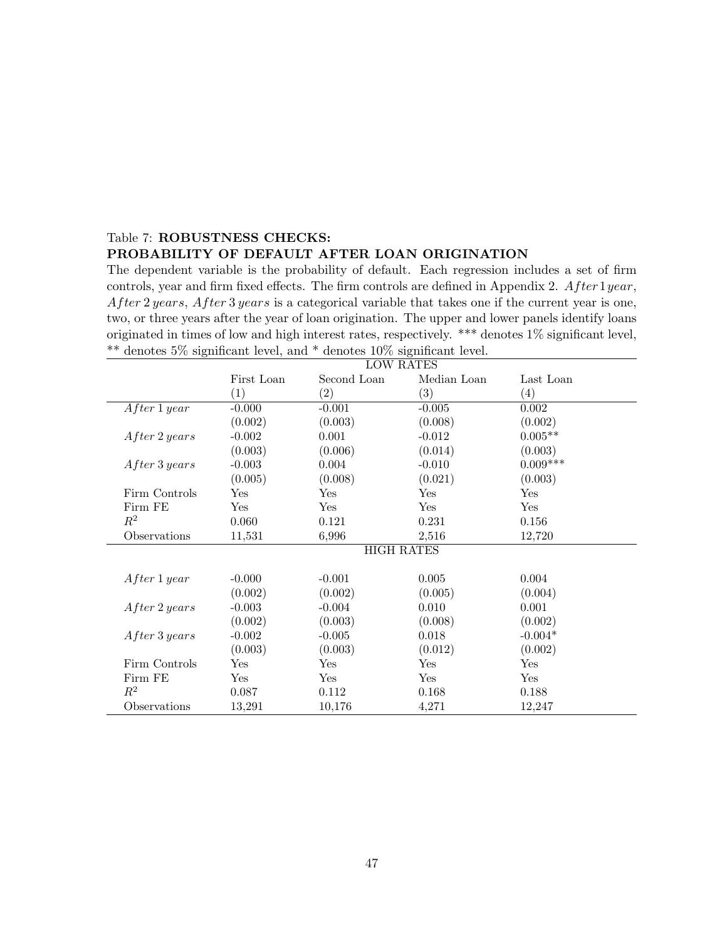# Table 7: **ROBUSTNESS CHECKS: PROBABILITY OF DEFAULT AFTER LOAN ORIGINATION**

The dependent variable is the probability of default. Each regression includes a set of firm controls, year and firm fixed effects. The firm controls are defined in Appendix 2. *Af ter*1*year*, *Af ter* 2 *years*, *Af ter* 3 *years* is a categorical variable that takes one if the current year is one, two, or three years after the year of loan origination. The upper and lower panels identify loans originated in times of low and high interest rates, respectively. \*\*\* denotes 1% significant level,  $^{**}$  denotes 5% significant level, and  $^*$  denotes 10% significant level.

| ပ             | <b>LOW RATES</b>     |                   |             |                  |  |  |
|---------------|----------------------|-------------------|-------------|------------------|--|--|
|               | First Loan           | Second Loan       | Median Loan | Last Loan        |  |  |
|               | (1)                  | (2)               | (3)         | $\left(4\right)$ |  |  |
| After 1 year  | $-0.000$             | $-0.001$          | $-0.005$    | 0.002            |  |  |
|               | (0.002)              | (0.003)           | (0.008)     | (0.002)          |  |  |
| After 2 years | $-0.002$             | 0.001             | $-0.012$    | $0.005**$        |  |  |
|               | (0.003)              | (0.006)           | (0.014)     | (0.003)          |  |  |
| After 3 years | $-0.003$             | 0.004             | $-0.010$    | $0.009***$       |  |  |
|               | (0.005)              | (0.008)           | (0.021)     | (0.003)          |  |  |
| Firm Controls | Yes                  | Yes               | Yes         | Yes              |  |  |
| Firm FE       | $\operatorname{Yes}$ | Yes               | Yes         | Yes              |  |  |
| $R^2$         | 0.060                | 0.121             | 0.231       | 0.156            |  |  |
| Observations  | 11,531               | 6,996             | 2,516       | 12,720           |  |  |
|               |                      | <b>HIGH RATES</b> |             |                  |  |  |
|               |                      |                   |             |                  |  |  |
| After 1 year  | $-0.000$             | $-0.001$          | 0.005       | 0.004            |  |  |
|               | (0.002)              | (0.002)           | (0.005)     | (0.004)          |  |  |
| After 2 years | $-0.003$             | $-0.004$          | 0.010       | 0.001            |  |  |
|               | (0.002)              | (0.003)           | (0.008)     | (0.002)          |  |  |
| After 3 years | $-0.002$             | $-0.005$          | 0.018       | $-0.004*$        |  |  |
|               | (0.003)              | (0.003)           | (0.012)     | (0.002)          |  |  |
| Firm Controls | $\operatorname{Yes}$ | Yes               | Yes         | Yes              |  |  |
| Firm FE       | Yes                  | Yes               | Yes         | Yes              |  |  |
| $R^2$         | 0.087                | 0.112             | 0.168       | 0.188            |  |  |
| Observations  | 13,291               | 10,176            | 4,271       | 12,247           |  |  |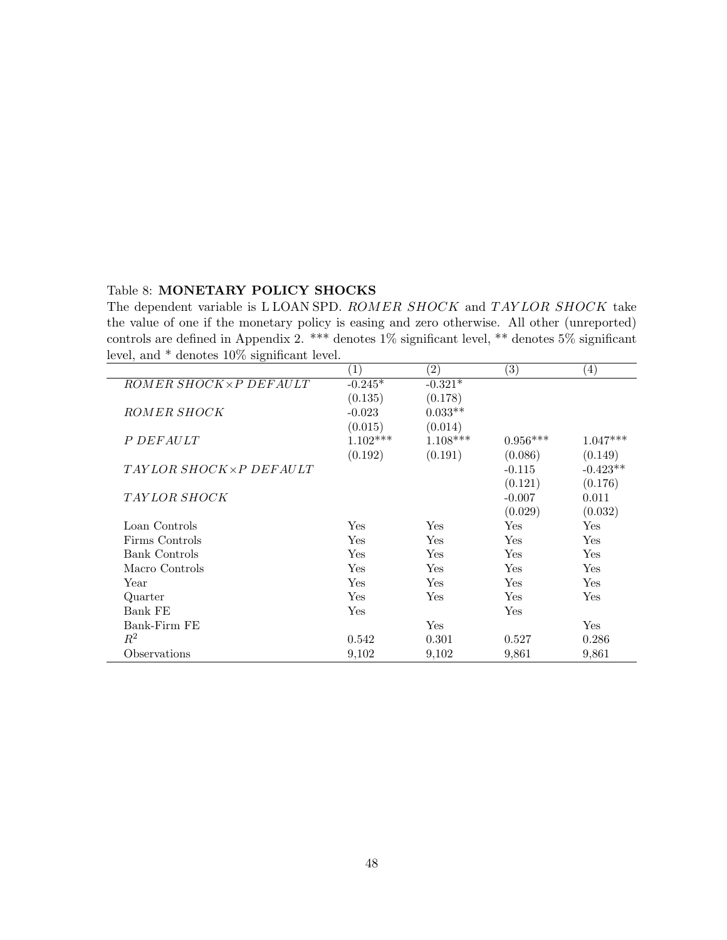## Table 8: **MONETARY POLICY SHOCKS**

The dependent variable is L LOAN SPD. *ROMER SHOCK* and *T AY LOR SHOCK* take the value of one if the monetary policy is easing and zero otherwise. All other (unreported) controls are defined in Appendix 2. \*\*\* denotes 1% significant level, \*\* denotes 5% significant level, and \* denotes 10% significant level.

|                        | $\left( 1\right)$ | $\left( 2\right)$ | $\left( 3\right)$ | $\left( 4\right)$ |
|------------------------|-------------------|-------------------|-------------------|-------------------|
| ROMER SHOCK×P DEFAULT  | $-0.245*$         | $-0.321*$         |                   |                   |
|                        | (0.135)           | (0.178)           |                   |                   |
| <i>ROMER SHOCK</i>     | $-0.023$          | $0.033**$         |                   |                   |
|                        | (0.015)           | (0.014)           |                   |                   |
| P DEFAULT              | $1.102***$        | $1.108***$        | $0.956***$        | $1.047***$        |
|                        | (0.192)           | (0.191)           | (0.086)           | (0.149)           |
| TAYLOR SHOCK×P DEFAULT |                   |                   | $-0.115$          | $-0.423**$        |
|                        |                   |                   | (0.121)           | (0.176)           |
| TAY LOR SHOCK          |                   |                   | $-0.007$          | 0.011             |
|                        |                   |                   | (0.029)           | (0.032)           |
| Loan Controls          | Yes               | Yes               | Yes               | Yes               |
| Firms Controls         | Yes               | Yes               | Yes               | Yes               |
| <b>Bank Controls</b>   | Yes               | Yes               | Yes               | Yes               |
| Macro Controls         | Yes               | Yes               | Yes               | Yes               |
| Year                   | Yes               | Yes               | Yes               | Yes               |
| Quarter                | Yes               | Yes               | Yes               | Yes               |
| Bank FE                | Yes               |                   | Yes               |                   |
| Bank-Firm FE           |                   | Yes               |                   | Yes               |
| $\,R^2$                | 0.542             | 0.301             | 0.527             | 0.286             |
| Observations           | 9,102             | 9,102             | 9,861             | 9,861             |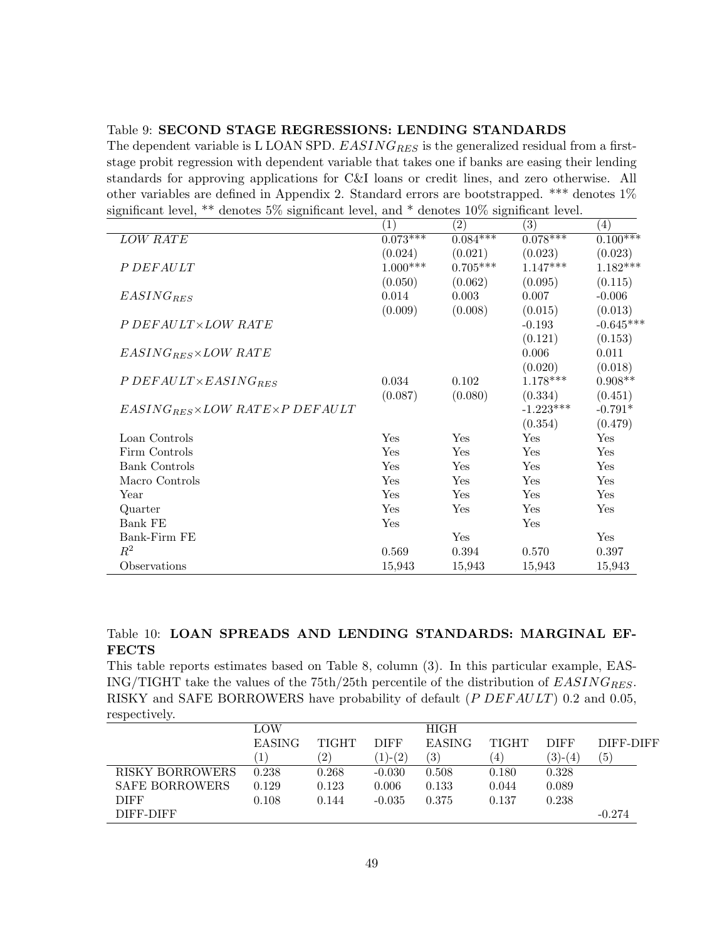#### Table 9: **SECOND STAGE REGRESSIONS: LENDING STANDARDS**

The dependent variable is L LOAN SPD. *EASINGRES* is the generalized residual from a firststage probit regression with dependent variable that takes one if banks are easing their lending standards for approving applications for C&I loans or credit lines, and zero otherwise. All other variables are defined in Appendix 2. Standard errors are bootstrapped. \*\*\* denotes 1% significant level,  $**$  denotes 5% significant level, and  $*$  denotes 10% significant level.

|                                                   | $\left( 1\right)$ | (2)        | (3)         | $\left( 4\right)$        |
|---------------------------------------------------|-------------------|------------|-------------|--------------------------|
| <b>LOW RATE</b>                                   | $0.073***$        | $0.084***$ | $0.078***$  | $0.\overline{100^{***}}$ |
|                                                   | (0.024)           | (0.021)    | (0.023)     | (0.023)                  |
| P DEFAULT                                         | $1.000***$        | $0.705***$ | $1.147***$  | $1.182***$               |
|                                                   | (0.050)           | (0.062)    | (0.095)     | (0.115)                  |
| $EASING_{RES}$                                    | 0.014             | 0.003      | 0.007       | $-0.006$                 |
|                                                   | (0.009)           | (0.008)    | (0.015)     | (0.013)                  |
| P DEFAULT×LOW RATE                                |                   |            | $-0.193$    | $-0.645***$              |
|                                                   |                   |            | (0.121)     | (0.153)                  |
| $EASING_{RES}\times LOW$ RATE                     |                   |            | 0.006       | 0.011                    |
|                                                   |                   |            | (0.020)     | (0.018)                  |
| $P$ DEFAULT×EASING <sub>RES</sub>                 | 0.034             | 0.102      | $1.178***$  | $0.908**$                |
|                                                   | (0.087)           | (0.080)    | (0.334)     | (0.451)                  |
| $EASING_{RES}\times LOW$ $RATE\times P$ $DEFAULT$ |                   |            | $-1.223***$ | $-0.791*$                |
|                                                   |                   |            | (0.354)     | (0.479)                  |
| Loan Controls                                     | Yes               | Yes        | Yes         | Yes                      |
| Firm Controls                                     | Yes               | Yes        | Yes         | Yes                      |
| <b>Bank Controls</b>                              | Yes               | Yes        | Yes         | Yes                      |
| Macro Controls                                    | Yes               | Yes        | Yes         | Yes                      |
| Year                                              | Yes               | Yes        | Yes         | Yes                      |
| Quarter                                           | Yes               | Yes        | Yes         | Yes                      |
| Bank FE                                           | Yes               |            | Yes         |                          |
| Bank-Firm FE                                      |                   | Yes        |             | Yes                      |
| $\mathbb{R}^2$                                    | 0.569             | 0.394      | 0.570       | 0.397                    |
| Observations                                      | 15,943            | 15,943     | 15,943      | 15,943                   |

# Table 10: **LOAN SPREADS AND LENDING STANDARDS: MARGINAL EF-FECTS**

This table reports estimates based on Table 8, column (3). In this particular example, EAS-ING/TIGHT take the values of the 75th/25th percentile of the distribution of *EASINGRES*. RISKY and SAFE BORROWERS have probability of default (*P DEF AULT*) 0.2 and 0.05, respectively.

|                        | LOW           |             |             | <b>HIGH</b>      |                   |             |           |
|------------------------|---------------|-------------|-------------|------------------|-------------------|-------------|-----------|
|                        | <b>EASING</b> | TIGHT       | <b>DIFF</b> | <b>EASING</b>    | <b>TIGHT</b>      | <b>DIFF</b> | DIFF-DIFF |
|                        |               | $2^{\circ}$ | $1)-(2)$    | $\left(3\right)$ | $\left( 4\right)$ | $(3)-(4)$   | (5)       |
| <b>RISKY BORROWERS</b> | 0.238         | 0.268       | $-0.030$    | 0.508            | 0.180             | 0.328       |           |
| <b>SAFE BORROWERS</b>  | 0.129         | 0.123       | 0.006       | 0.133            | 0.044             | 0.089       |           |
| <b>DIFF</b>            | 0.108         | 0.144       | $-0.035$    | 0.375            | 0.137             | 0.238       |           |
| DIFF-DIFF              |               |             |             |                  |                   |             | $-0.274$  |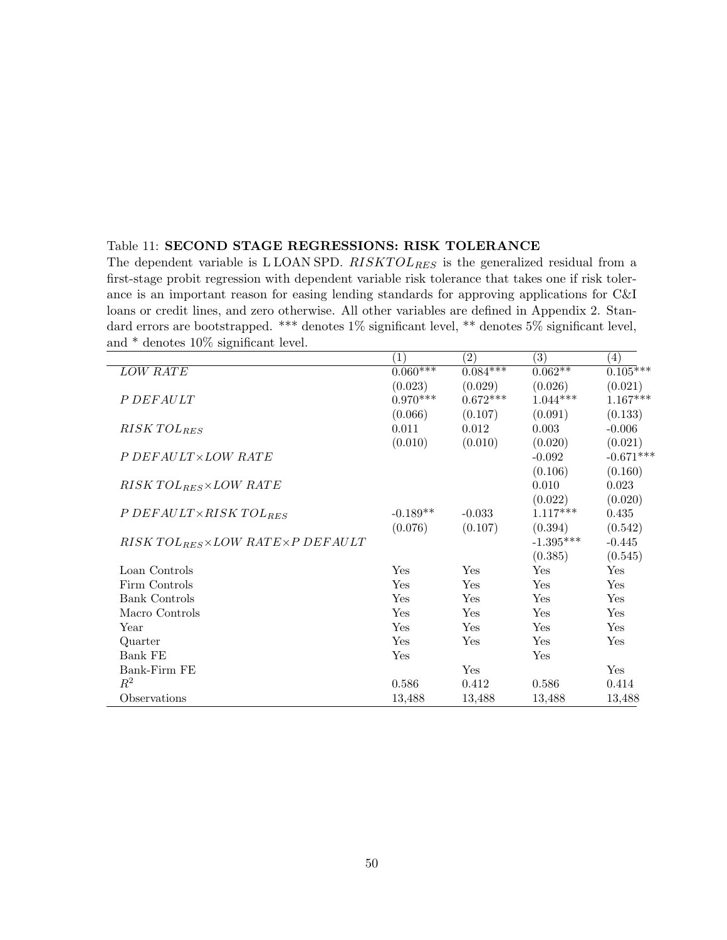#### Table 11: **SECOND STAGE REGRESSIONS: RISK TOLERANCE**

The dependent variable is L LOAN SPD. *RISKTOL<sub>RES</sub>* is the generalized residual from a first-stage probit regression with dependent variable risk tolerance that takes one if risk tolerance is an important reason for easing lending standards for approving applications for C&I loans or credit lines, and zero otherwise. All other variables are defined in Appendix 2. Standard errors are bootstrapped. \*\*\* denotes 1% significant level, \*\* denotes 5% significant level, and \* denotes 10% significant level.

|                                             | (1)        | $\left( 2\right)$ | (3)         | (4)         |
|---------------------------------------------|------------|-------------------|-------------|-------------|
| LOW RATE                                    | $0.060***$ | $0.084***$        | $0.062**$   | $0.105***$  |
|                                             | (0.023)    | (0.029)           | (0.026)     | (0.021)     |
| P DEFAULT                                   | $0.970***$ | $0.672***$        | $1.044***$  | $1.167***$  |
|                                             | (0.066)    | (0.107)           | (0.091)     | (0.133)     |
| RISK TOL <sub>RES</sub>                     | 0.011      | 0.012             | 0.003       | $-0.006$    |
|                                             | (0.010)    | (0.010)           | (0.020)     | (0.021)     |
| P DEFAULT×LOW RATE                          |            |                   | $-0.092$    | $-0.671***$ |
|                                             |            |                   | (0.106)     | (0.160)     |
| RISK TOL <sub>RES</sub> ×LOW RATE           |            |                   | 0.010       | 0.023       |
|                                             |            |                   | (0.022)     | (0.020)     |
| P DEFAULT×RISK TOL <sub>RES</sub>           | $-0.189**$ | $-0.033$          | $1.117***$  | 0.435       |
|                                             | (0.076)    | (0.107)           | (0.394)     | (0.542)     |
| RISK TOL <sub>RES</sub> ×LOW RATE×P DEFAULT |            |                   | $-1.395***$ | $-0.445$    |
|                                             |            |                   | (0.385)     | (0.545)     |
| Loan Controls                               | Yes        | Yes               | Yes         | Yes         |
| Firm Controls                               | Yes        | Yes               | Yes         | Yes         |
| <b>Bank Controls</b>                        | Yes        | Yes               | Yes         | Yes         |
| Macro Controls                              | Yes        | Yes               | Yes         | Yes         |
| Year                                        | Yes        | Yes               | Yes         | Yes         |
| Quarter                                     | Yes        | Yes               | Yes         | Yes         |
| <b>Bank FE</b>                              | Yes        |                   | Yes         |             |
| Bank-Firm FE                                |            | Yes               |             | Yes         |
| $R^2$                                       | 0.586      | 0.412             | 0.586       | 0.414       |
| Observations                                | 13,488     | 13,488            | 13,488      | 13,488      |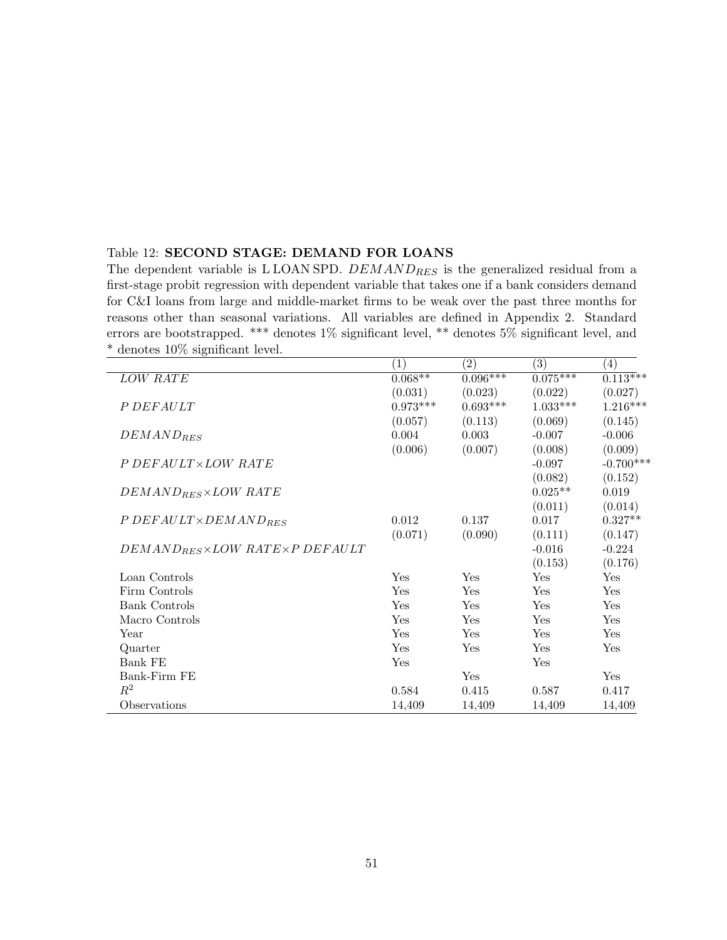#### Table 12: **SECOND STAGE: DEMAND FOR LOANS**

The dependent variable is L LOAN SPD. *DEMANDRES* is the generalized residual from a first-stage probit regression with dependent variable that takes one if a bank considers demand for C&I loans from large and middle-market firms to be weak over the past three months for reasons other than seasonal variations. All variables are defined in Appendix 2. Standard errors are bootstrapped. \*\*\* denotes 1% significant level, \*\* denotes 5% significant level, and \* denotes 10% significant level.

|                                           | $\left(1\right)$ | $\left( 2\right)$ | $\left( 3\right)$ | (4)         |
|-------------------------------------------|------------------|-------------------|-------------------|-------------|
| <b>LOW RATE</b>                           | $0.068**$        | $0.096***$        | $0.075***$        | $0.113***$  |
|                                           | (0.031)          | (0.023)           | (0.022)           | (0.027)     |
| P DEFAULT                                 | $0.973***$       | $0.693***$        | $1.033***$        | $1.216***$  |
|                                           | (0.057)          | (0.113)           | (0.069)           | (0.145)     |
| $DEMAND_{RES}$                            | 0.004            | 0.003             | $-0.007$          | $-0.006$    |
|                                           | (0.006)          | (0.007)           | (0.008)           | (0.009)     |
| P DEFAULT×LOW RATE                        |                  |                   | $-0.097$          | $-0.700***$ |
|                                           |                  |                   | (0.082)           | (0.152)     |
| DEMAND <sub>RES</sub> ×LOW RATE           |                  |                   | $0.025**$         | 0.019       |
|                                           |                  |                   | (0.011)           | (0.014)     |
| P DEFAULT×DEMAND <sub>RES</sub>           | 0.012            | 0.137             | 0.017             | $0.327**$   |
|                                           | (0.071)          | (0.090)           | (0.111)           | (0.147)     |
| DEMAND <sub>RES</sub> ×LOW RATE×P DEFAULT |                  |                   | $-0.016$          | $-0.224$    |
|                                           |                  |                   | (0.153)           | (0.176)     |
| Loan Controls                             | Yes              | Yes               | Yes               | Yes         |
| Firm Controls                             | Yes              | Yes               | Yes               | Yes         |
| <b>Bank Controls</b>                      | Yes              | Yes               | Yes               | Yes         |
| Macro Controls                            | Yes              | Yes               | Yes               | Yes         |
| Year                                      | Yes              | Yes               | Yes               | Yes         |
| Quarter                                   | Yes              | Yes               | Yes               | Yes         |
| Bank FE                                   | Yes              |                   | Yes               |             |
| Bank-Firm FE                              |                  | Yes               |                   | Yes         |
| $\mathbb{R}^2$                            | 0.584            | 0.415             | 0.587             | 0.417       |
| Observations                              | 14,409           | 14,409            | 14,409            | 14,409      |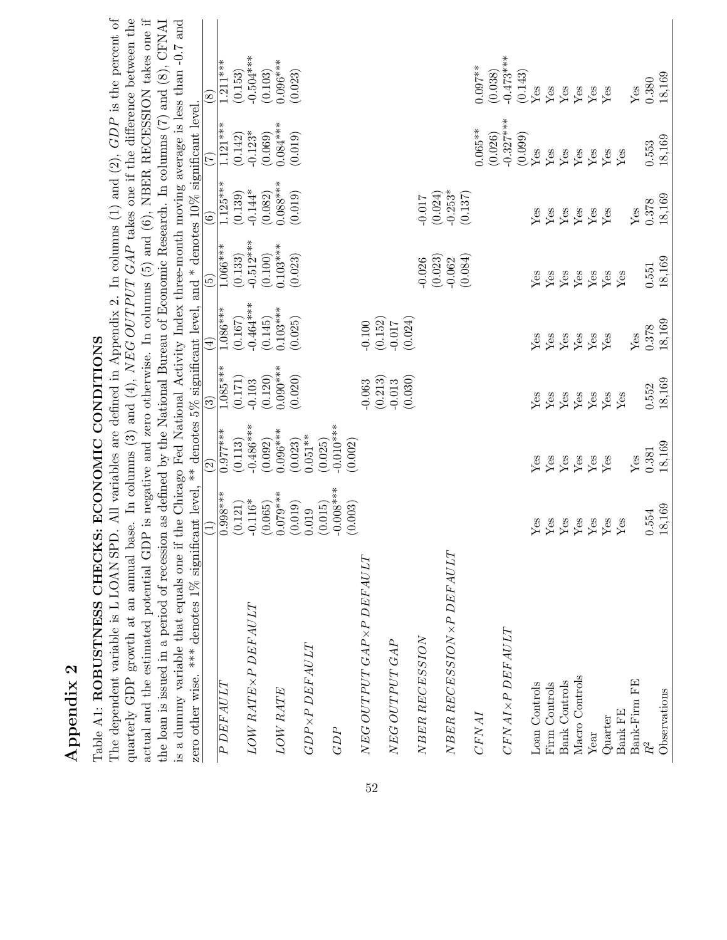| С |  |
|---|--|
|   |  |
|   |  |
|   |  |
|   |  |
|   |  |
|   |  |

# Table A1: ROBUSTNESS CHECKS: ECONOMIC CONDITIONS Table A1: **ROBUSTNESS CHECKS: ECONOMIC CONDITIONS**

The dependent variable is LLOANSPD. All variables are defined in Appendix 2. In columns (1) and (2), GDP is the percent of quarterly GDP growth at an annual base. In columns (3) and (4), NEG OUTPUT GAP takes one if the difference between the actual and the estimated potential GDP is negative and zero otherwise. In columns (5) and (6), NBER RECESSION takes one if actual and the estimated potential GDP is negative and zero otherwise. In columns (5) and (6), NBER RECESSION takes one if the loan is issued in a period of recession as defined by the National Bureau of Economic Research. In columns (7) and (8), CFNAI is a dummy variable that equals one if the Chicago Fed National Activity Index three-month moving average is less than -0.7 and The dependent variable is L LOAN SPD. All variables are defined in Appendix 2. In columns (1) and (2), *GDP* is the percent of quarterly GDP growth at an annual base. In columns (3) and (4), *NEG OUT P UT GAP* takes one if the difference between the the loan is issued in a period of recession as defined by the National Bureau of Economic Research. In columns (7) and (8), CFNAI is a dummy variable that equals one if the Chicago Fed National Activity Index three-month moving average is less than -0.7 and zero other wise. \*\*\* denotes 1% significant level, \*\* denotes 5% significant level, and \* denotes 10% significant level.  $\frac{1}{2}$ 

| *** denotes 1% signi<br>)<br>)<br>zero other wise.<br>Ì | ficant level.                     | $**$ denotes             |                     |                                                                       | $5\%$ significant level, and * denotes $10\%$ significant level |                        |                              |                        |  |
|---------------------------------------------------------|-----------------------------------|--------------------------|---------------------|-----------------------------------------------------------------------|-----------------------------------------------------------------|------------------------|------------------------------|------------------------|--|
|                                                         |                                   | $\widehat{\mathfrak{D}}$ | ನ                   | $\widehat{+}$                                                         | $\widehat{\mathfrak{g}}$                                        | $\widehat{\mathbf{e}}$ |                              | $\widehat{\infty}$     |  |
| P DEFAULT                                               | $0.998***$                        | $0.977***$               | $1.085***$          | $1.086***$                                                            | $1.066***$                                                      | $1.125***$             | $1.121***$                   | $.211***$              |  |
|                                                         | (0.121)                           | (0.113)                  | (0.171)             | $(0.167)$<br>-0.464***                                                | (0.133)                                                         | (0.139)                | (0.142)                      | (0.153)                |  |
| LOW RATE×P DEFAULT                                      | $-0.116*$                         | $-0.486***$              | $-0.103$            |                                                                       | $-0.512***$                                                     | $-0.144*$              | $-0.123*$                    | $0.504***$             |  |
|                                                         | (0.065)                           | (0.092)                  | (0.120)             | (0.145)                                                               | (0.100)                                                         | (0.082)                | (0.069)                      | (0.103)                |  |
| LOW RATE                                                | $0.079***$                        | $0.096***$               | $0.090***$          | $0.103***$                                                            | $0.103***$                                                      | $0.088***$             | $0.084***$                   | $0.096***$             |  |
|                                                         | (0.019)                           | (0.023)                  | (0.020)             | (0.025)                                                               | (0.023)                                                         | (0.019)                | (0.019)                      | (0.023)                |  |
| $GDP \times P$ $DEFALIT$                                | 0.019                             | $0.051***$               |                     |                                                                       |                                                                 |                        |                              |                        |  |
|                                                         | (0.015)                           | (0.025)                  |                     |                                                                       |                                                                 |                        |                              |                        |  |
| $GDP$                                                   | $0.008***$<br>(0.003)             | $0.010***$<br>(0.002)    |                     |                                                                       |                                                                 |                        |                              |                        |  |
| NEGOUTPUT GAP×P DEFAULT                                 |                                   |                          | 0.063               |                                                                       |                                                                 |                        |                              |                        |  |
|                                                         |                                   |                          | (0.213)             |                                                                       |                                                                 |                        |                              |                        |  |
| NEGOUTPUT GAP                                           |                                   |                          | (0.030)<br>$-0.013$ | $\begin{array}{c} -0.100 \\ (0.152) \\ -0.017 \\ (0.024) \end{array}$ |                                                                 |                        |                              |                        |  |
| NBERRECESSION                                           |                                   |                          |                     |                                                                       | $-0.026$                                                        | $-0.017$               |                              |                        |  |
|                                                         |                                   |                          |                     |                                                                       |                                                                 |                        |                              |                        |  |
| NBER RECESSION × P DEF AULT                             |                                   |                          |                     |                                                                       | $(0.023)$<br>-0.062                                             | $(0.024)$<br>-0.253*   |                              |                        |  |
|                                                         |                                   |                          |                     |                                                                       | (0.084)                                                         | (0.137)                |                              |                        |  |
| CFNAI                                                   |                                   |                          |                     |                                                                       |                                                                 |                        | $0.065**$                    | $0.097***$             |  |
|                                                         |                                   |                          |                     |                                                                       |                                                                 |                        | (0.026)                      | (0.038)                |  |
| CFNAI×P DEFAULT                                         |                                   |                          |                     |                                                                       |                                                                 |                        | $-0.327***$                  | $-0.473***$            |  |
|                                                         |                                   |                          |                     |                                                                       |                                                                 |                        | (0.099)                      | (0.143)                |  |
| Loan Controls                                           |                                   | $Y$ es                   | $Y$ es              |                                                                       | Yes                                                             | $_{\rm Yes}^{\rm QST}$ | $Y_{\rm \small \textsf{ES}}$ | $Y$ es                 |  |
| Firm Controls                                           |                                   | $Y$ es                   |                     |                                                                       | $Y$ es                                                          |                        | Yes                          | $Y$ es                 |  |
| <b>Bank Controls</b>                                    |                                   | $Y$ es                   |                     |                                                                       |                                                                 |                        |                              |                        |  |
| Macro Controls                                          |                                   | $\frac{V}{Y}$ es         |                     |                                                                       | Yes<br>Yes<br>Yes                                               |                        | $Yes$<br>$Yes$               |                        |  |
| Year                                                    | <b>Yes</b><br>Yesa<br>Yesa<br>Yes |                          | Yes<br>Yes<br>Yes   | <b>Yes ses XES</b><br>YES SES XES                                     |                                                                 | $\frac{1}{2}$          |                              | Yes<br>Yes<br>Yes      |  |
| Quarter                                                 |                                   | Yes                      | ${\rm Yes}$         |                                                                       | $Y$ es                                                          | Yes                    | $Y$ es                       | Yes                    |  |
| Bank FE                                                 | Yes                               |                          | Yes                 |                                                                       | Yes                                                             |                        | Yes                          |                        |  |
| Bank-Firm FE                                            |                                   | ${\rm Yes}$              |                     | ${\rm Yes}$                                                           |                                                                 | ${\rm Yes}$            |                              | ${\rm Yes}$            |  |
| $R^2$                                                   | 0.554                             | $\rm 0.381$              | 0.552               | $\frac{0.378}{18,169}$                                                | $\!0.551$                                                       | 0.378                  | 0.553                        | $\frac{0.380}{18,169}$ |  |
| Observations                                            | 18,169                            | 18,169                   | 18,169              |                                                                       | 18,169                                                          | 18,169                 | 18,169                       |                        |  |